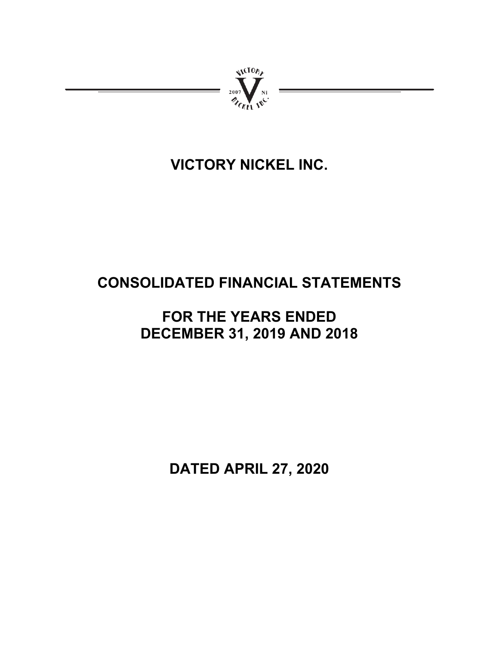

# **VICTORY NICKEL INC.**

# **CONSOLIDATED FINANCIAL STATEMENTS**

# **FOR THE YEARS ENDED DECEMBER 31, 2019 AND 2018**

**DATED APRIL 27, 2020**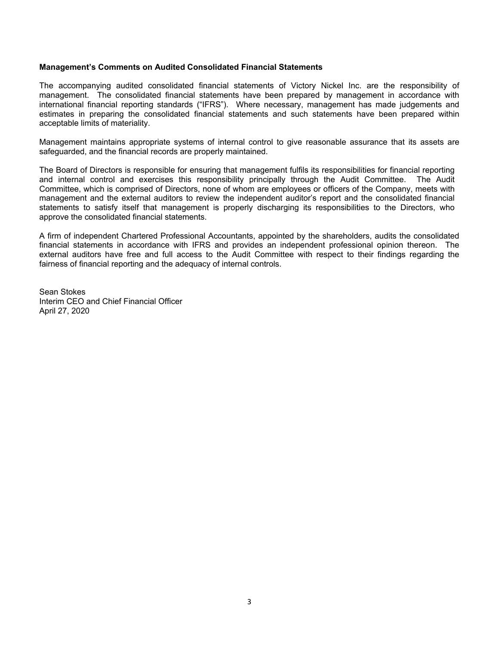#### **Management's Comments on Audited Consolidated Financial Statements**

The accompanying audited consolidated financial statements of Victory Nickel Inc. are the responsibility of management. The consolidated financial statements have been prepared by management in accordance with international financial reporting standards ("IFRS"). Where necessary, management has made judgements and estimates in preparing the consolidated financial statements and such statements have been prepared within acceptable limits of materiality.

Management maintains appropriate systems of internal control to give reasonable assurance that its assets are safeguarded, and the financial records are properly maintained.

The Board of Directors is responsible for ensuring that management fulfils its responsibilities for financial reporting and internal control and exercises this responsibility principally through the Audit Committee. The Audit Committee, which is comprised of Directors, none of whom are employees or officers of the Company, meets with management and the external auditors to review the independent auditor's report and the consolidated financial statements to satisfy itself that management is properly discharging its responsibilities to the Directors, who approve the consolidated financial statements.

A firm of independent Chartered Professional Accountants, appointed by the shareholders, audits the consolidated financial statements in accordance with IFRS and provides an independent professional opinion thereon. The external auditors have free and full access to the Audit Committee with respect to their findings regarding the fairness of financial reporting and the adequacy of internal controls.

Sean Stokes Interim CEO and Chief Financial Officer April 27, 2020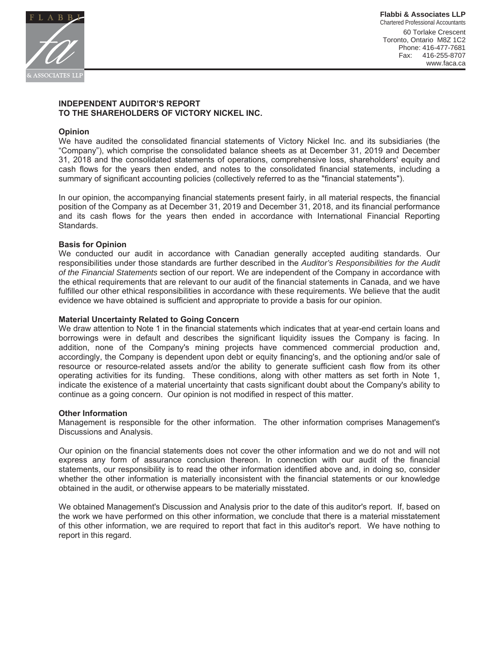

**Flabbi & Associates LLP** Chartered Professional Accountants 60 Torlake Crescent Toronto, Ontario M8Z 1C2 Phone: 416-477-7681 Fax: 416-255-8707 www.faca.ca

# **INDEPENDENT AUDITOR'S REPORT 70 THE SHAREHOLDERS OF VICTORY NICKEL INC.**

#### **2D**

We have audited the consolidated financial statements of Victory Nickel Inc. and its subsidiaries (the "Company"), which comprise the consolidated balance sheets as at December 31, 2019 and December 31, 2018 and the consolidated statements of operations, comprehensive loss, shareholders' equity and cash flows for the years then ended, and notes to the consolidated financial statements, including a summary of significant accounting policies (collectively referred to as the "financial statements").

In our opinion, the accompanying financial statements present fairly, in all material respects, the financial position of the Company as at December 31, 2019 and December 31, 2018, and its financial performance and its cash flows for the years then ended in accordance with International Financial Reporting Standards.

#### **Basis for Opinion**

We conducted our audit in accordance with Canadian generally accepted auditing standards. Our responsibilities under those standards are further described in the Auditor's Responsibilities for the Audit *of the Financial Statements* section of our report. We are independent of the Company in accordance with the ethical requirements that are relevant to our audit of the financial statements in Canada, and we have fulfilled our other ethical responsibilities in accordance with these requirements. We believe that the audit evidence we have obtained is sufficient and appropriate to provide a basis for our opinion.

#### **Material Uncertainty Related to Going Concern**

We draw attention to Note 1 in the financial statements which indicates that at year-end certain loans and borrowings were in default and describes the significant liquidity issues the Company is facing. In addition, none of the Company's mining projects have commenced commercial production and, accordingly, the Company is dependent upon debt or equity financing's, and the optioning and/or sale of resource or resource-related assets and/or the ability to generate sufficient cash flow from its other operating activities for its funding. These conditions, along with other matters as set forth in Note 1, indicate the existence of a material uncertainty that casts significant doubt about the Company's ability to continue as a going concern. Our opinion is not modified in respect of this matter.

#### **20 Other Information**

Management is responsible for the other information. The other information comprises Management's Discussions and Analysis.

Our opinion on the financial statements does not cover the other information and we do not and will not express any form of assurance conclusion thereon. In connection with our audit of the financial statements, our responsibility is to read the other information identified above and, in doing so, consider whether the other information is materially inconsistent with the financial statements or our knowledge obtained in the audit, or otherwise appears to be materially misstated.

We obtained Management's Discussion and Analysis prior to the date of this auditor's report. If, based on the work we have performed on this other information, we conclude that there is a material misstatement of this other information, we are required to report that fact in this auditor's report. We have nothing to report in this regard.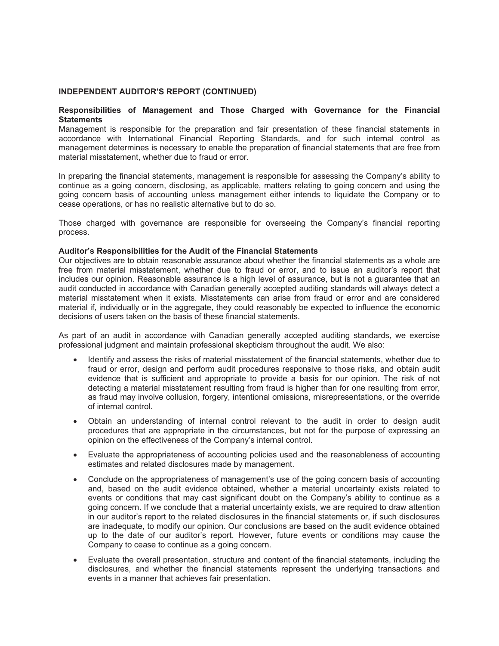# **INDEPENDENT AUDITOR'S REPORT (CONTINUED)**

# Responsibilities of Management and Those Charged with Governance for the Financial **Statements**

Management is responsible for the preparation and fair presentation of these financial statements in accordance with International Financial Reporting Standards, and for such internal control as management determines is necessary to enable the preparation of financial statements that are free from material misstatement, whether due to fraud or error.

In preparing the financial statements, management is responsible for assessing the Company's ability to continue as a going concern, disclosing, as applicable, matters relating to going concern and using the going concern basis of accounting unless management either intends to liquidate the Company or to cease operations, or has no realistic alternative but to do so.

Those charged with governance are responsible for overseeing the Company's financial reporting process.

#### Auditor's Responsibilities for the Audit of the Financial Statements

Our objectives are to obtain reasonable assurance about whether the financial statements as a whole are free from material misstatement, whether due to fraud or error, and to issue an auditor's report that includes our opinion. Reasonable assurance is a high level of assurance, but is not a guarantee that an audit conducted in accordance with Canadian generally accepted auditing standards will always detect a material misstatement when it exists. Misstatements can arise from fraud or error and are considered material if, individually or in the aggregate, they could reasonably be expected to influence the economic decisions of users taken on the basis of these financial statements.

As part of an audit in accordance with Canadian generally accepted auditing standards, we exercise professional judgment and maintain professional skepticism throughout the audit. We also:

- Identify and assess the risks of material misstatement of the financial statements, whether due to fraud or error, design and perform audit procedures responsive to those risks, and obtain audit evidence that is sufficient and appropriate to provide a basis for our opinion. The risk of not detecting a material misstatement resulting from fraud is higher than for one resulting from error, as fraud may involve collusion, forgery, intentional omissions, misrepresentations, or the override of internal control.
- Obtain an understanding of internal control relevant to the audit in order to design audit procedures that are appropriate in the circumstances, but not for the purpose of expressing an opinion on the effectiveness of the Company's internal control.
- Evaluate the appropriateness of accounting policies used and the reasonableness of accounting estimates and related disclosures made by management.
- Conclude on the appropriateness of management's use of the going concern basis of accounting and, based on the audit evidence obtained, whether a material uncertainty exists related to events or conditions that may cast significant doubt on the Company's ability to continue as a going concern. If we conclude that a material uncertainty exists, we are required to draw attention in our auditor's report to the related disclosures in the financial statements or, if such disclosures are inadequate, to modify our opinion. Our conclusions are based on the audit evidence obtained up to the date of our auditor's report. However, future events or conditions may cause the Company to cease to continue as a going concern.
- Evaluate the overall presentation, structure and content of the financial statements, including the disclosures, and whether the financial statements represent the underlying transactions and events in a manner that achieves fair presentation.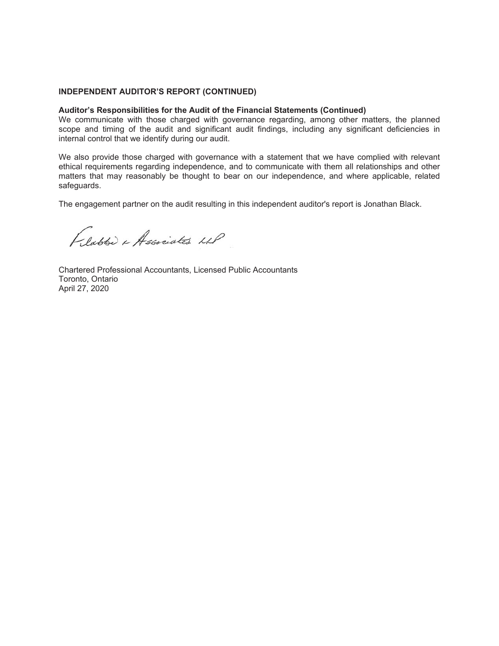# **INDEPENDENT AUDITOR'S REPORT (CONTINUED)**

#### **Auditor's Responsibilities for the Audit of the Financial Statements (Continued)**

We communicate with those charged with governance regarding, among other matters, the planned scope and timing of the audit and significant audit findings, including any significant deficiencies in internal control that we identify during our audit.

We also provide those charged with governance with a statement that we have complied with relevant ethical requirements regarding independence, and to communicate with them all relationships and other matters that may reasonably be thought to bear on our independence, and where applicable, related safeguards.

The engagement partner on the audit resulting in this independent auditor's report is Jonathan Black.

Flatte & Associates LLP

Chartered Professional Accountants, Licensed Public Accountants Toronto, Ontario April 27, 2020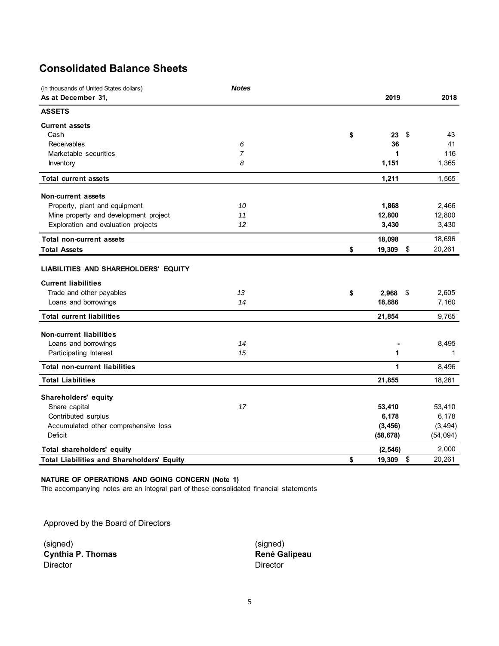# **Consolidated Balance Sheets**

| (in thousands of United States dollars)           | <b>Notes</b>   |              |              |
|---------------------------------------------------|----------------|--------------|--------------|
| As at December 31,                                |                | 2019         | 2018         |
| <b>ASSETS</b>                                     |                |              |              |
| <b>Current assets</b>                             |                |              |              |
| Cash                                              |                | \$<br>23     | \$<br>43     |
| Receivables                                       | 6              | 36           | 41           |
| Marketable securities                             | $\overline{7}$ | 1            | 116          |
| Inventory                                         | 8              | 1,151        | 1,365        |
| <b>Total current assets</b>                       |                | 1,211        | 1,565        |
| <b>Non-current assets</b>                         |                |              |              |
| Property, plant and equipment                     | 10             | 1,868        | 2,466        |
| Mine property and development project             | 11             | 12,800       | 12,800       |
| Exploration and evaluation projects               | 12             | 3,430        | 3,430        |
| <b>Total non-current assets</b>                   |                | 18,098       | 18,696       |
| <b>Total Assets</b>                               |                | \$<br>19,309 | \$<br>20,261 |
| LIABILITIES AND SHAREHOLDERS' EQUITY              |                |              |              |
| <b>Current liabilities</b>                        |                |              |              |
| Trade and other payables                          | 13             | \$<br>2,968  | \$<br>2,605  |
| Loans and borrowings                              | 14             | 18,886       | 7,160        |
| <b>Total current liabilities</b>                  |                | 21,854       | 9,765        |
| <b>Non-current liabilities</b>                    |                |              |              |
| Loans and borrowings                              | 14             |              | 8,495        |
| Participating Interest                            | 15             | 1            | 1            |
| <b>Total non-current liabilities</b>              |                | 1            | 8,496        |
| <b>Total Liabilities</b>                          |                | 21,855       | 18,261       |
| Shareholders' equity                              |                |              |              |
| Share capital                                     | 17             | 53,410       | 53,410       |
| Contributed surplus                               |                | 6,178        | 6,178        |
| Accumulated other comprehensive loss              |                | (3, 456)     | (3, 494)     |
| Deficit                                           |                | (58, 678)    | (54, 094)    |
| Total shareholders' equity                        |                | (2, 546)     | 2,000        |
| <b>Total Liabilities and Shareholders' Equity</b> |                | \$<br>19,309 | \$<br>20,261 |

# **NATURE OF OPERATIONS AND GOING CONCERN (Note 1)**

The accompanying notes are an integral part of these consolidated financial statements

Approved by the Board of Directors

(signed) (signed) **Cynthia P. Thomas Cynthia P. Thomas René Galipeau** Director Director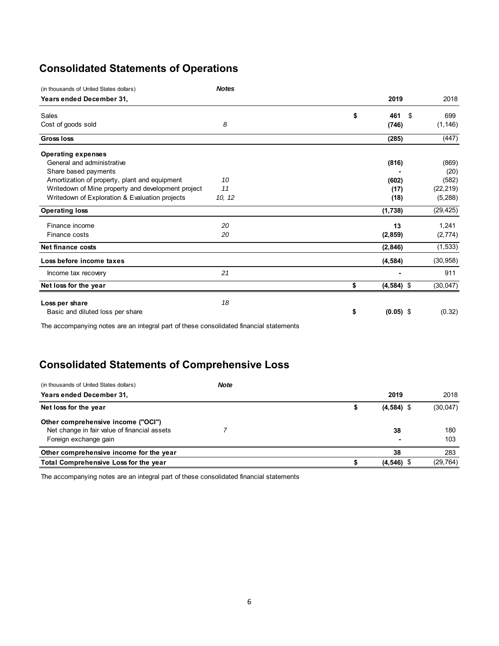# **Consolidated Statements of Operations**

| (in thousands of United States dollars)            | <b>Notes</b> |           |              |           |
|----------------------------------------------------|--------------|-----------|--------------|-----------|
| Years ended December 31,                           |              | 2019      |              | 2018      |
| Sales                                              |              | \$<br>461 | \$           | 699       |
| Cost of goods sold                                 | 8            | (746)     |              | (1, 146)  |
| <b>Gross loss</b>                                  |              | (285)     |              | (447)     |
| <b>Operating expenses</b>                          |              |           |              |           |
| General and administrative                         |              | (816)     |              | (869)     |
| Share based payments                               |              |           |              | (20)      |
| Amortization of property, plant and equipment      | 10           | (602)     |              | (582)     |
| Writedown of Mine property and development project | 11           |           | (17)         | (22, 219) |
| Writedown of Exploration & Evaluation projects     | 10, 12       |           | (18)         | (5,288)   |
| <b>Operating loss</b>                              |              | (1,738)   |              | (29, 425) |
| Finance income                                     | 20           |           | 13           | 1,241     |
| Finance costs                                      | 20           | (2, 859)  |              | (2,774)   |
| <b>Net finance costs</b>                           |              | (2, 846)  |              | (1, 533)  |
| Loss before income taxes                           |              | (4, 584)  |              | (30, 958) |
| Income tax recovery                                | 21           |           |              | 911       |
| Net loss for the year                              |              | \$        | $(4,584)$ \$ | (30, 047) |
| Loss per share                                     | 18           |           |              |           |
| Basic and diluted loss per share                   |              | \$        | $(0.05)$ \$  | (0.32)    |

The accompanying notes are an integral part of these consolidated financial statements

# **Consolidated Statements of Comprehensive Loss**

| (in thousands of United States dollars)      | <b>Note</b> |              |           |
|----------------------------------------------|-------------|--------------|-----------|
| Years ended December 31,                     |             | 2019         | 2018      |
| Net loss for the year                        |             | $(4,584)$ \$ | (30,047)  |
| Other comprehensive income ("OCI")           |             |              |           |
| Net change in fair value of financial assets |             | 38           | 180       |
| Foreign exchange gain                        |             | ۰            | 103       |
| Other comprehensive income for the year      |             | 38           | 283       |
| Total Comprehensive Loss for the year        |             | $(4,546)$ \$ | (29, 764) |

The accompanying notes are an integral part of these consolidated financial statements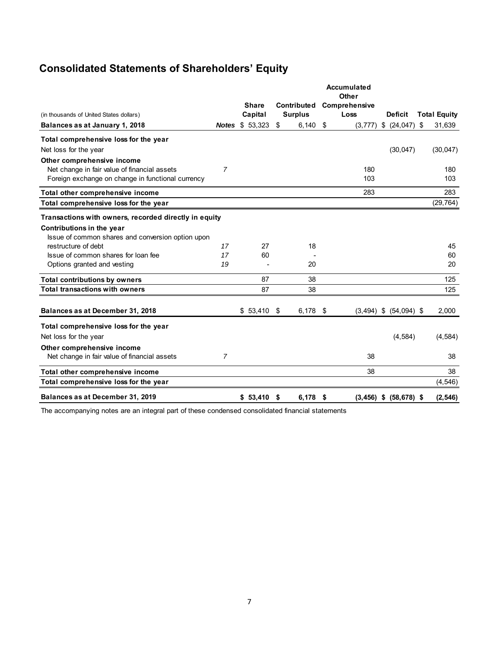# **Consolidated Statements of Shareholders' Equity**

|                                                       |                |              |                  | <b>Accumulated</b><br>Other |                            |                     |
|-------------------------------------------------------|----------------|--------------|------------------|-----------------------------|----------------------------|---------------------|
|                                                       |                | <b>Share</b> | Contributed      | Comprehensive               |                            |                     |
| (in thousands of United States dollars)               |                | Capital      | <b>Surplus</b>   | Loss                        | <b>Deficit</b>             | <b>Total Equity</b> |
| Balances as at January 1, 2018                        | <b>Notes</b>   | \$53,323     | \$<br>$6,140$ \$ |                             | $(3,777)$ \$ $(24,047)$    | \$<br>31,639        |
| Total comprehensive loss for the year                 |                |              |                  |                             |                            |                     |
| Net loss for the year                                 |                |              |                  |                             | (30, 047)                  | (30, 047)           |
| Other comprehensive income                            |                |              |                  |                             |                            |                     |
| Net change in fair value of financial assets          | $\overline{7}$ |              |                  | 180                         |                            | 180                 |
| Foreign exchange on change in functional currency     |                |              |                  | 103                         |                            | 103                 |
| Total other comprehensive income                      |                |              |                  | 283                         |                            | 283                 |
| Total comprehensive loss for the year                 |                |              |                  |                             |                            | (29, 764)           |
| Transactions with owners, recorded directly in equity |                |              |                  |                             |                            |                     |
| Contributions in the year                             |                |              |                  |                             |                            |                     |
| Issue of common shares and conversion option upon     |                |              |                  |                             |                            |                     |
| restructure of debt                                   | 17             | 27           | 18               |                             |                            | 45                  |
| Issue of common shares for loan fee                   | 17             | 60           |                  |                             |                            | 60                  |
| Options granted and vesting                           | 19             |              | 20               |                             |                            | 20                  |
| <b>Total contributions by owners</b>                  |                | 87           | 38               |                             |                            | 125                 |
| <b>Total transactions with owners</b>                 |                | 87           | 38               |                             |                            | 125                 |
|                                                       |                |              |                  |                             |                            |                     |
| Balances as at December 31, 2018                      |                | $$53,410$ \$ | $6,178$ \$       |                             | $(3,494)$ \$ $(54,094)$ \$ | 2,000               |
| Total comprehensive loss for the year                 |                |              |                  |                             |                            |                     |
| Net loss for the year                                 |                |              |                  |                             | (4, 584)                   | (4, 584)            |
| Other comprehensive income                            |                |              |                  |                             |                            |                     |
| Net change in fair value of financial assets          | 7              |              |                  | 38                          |                            | 38                  |
| Total other comprehensive income                      |                |              |                  | 38                          |                            | 38                  |
| Total comprehensive loss for the year                 |                |              |                  |                             |                            | (4, 546)            |
| Balances as at December 31, 2019                      |                | $$53,410$ \$ | $6,178$ \$       |                             | $(3,456)$ \$ $(58,678)$ \$ | (2, 546)            |

The accompanying notes are an integral part of these condensed consolidated financial statements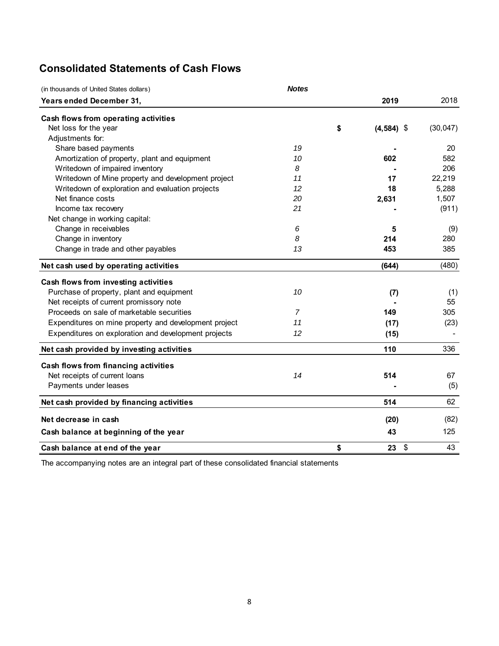# **Consolidated Statements of Cash Flows**

| (in thousands of United States dollars)               | <b>Notes</b> |                                       |           |
|-------------------------------------------------------|--------------|---------------------------------------|-----------|
| Years ended December 31,                              |              | 2019                                  | 2018      |
| Cash flows from operating activities                  |              |                                       |           |
| Net loss for the year                                 |              | \$<br>$(4,584)$ \$                    | (30, 047) |
| Adjustments for:                                      |              |                                       |           |
| Share based payments                                  | 19           |                                       | 20        |
| Amortization of property, plant and equipment         | 10           | 602                                   | 582       |
| Writedown of impaired inventory                       | 8            |                                       | 206       |
| Writedown of Mine property and development project    | 11           | 17                                    | 22,219    |
| Writedown of exploration and evaluation projects      | 12           | 18                                    | 5,288     |
| Net finance costs                                     | 20           | 2,631                                 | 1,507     |
| Income tax recovery                                   | 21           |                                       | (911)     |
| Net change in working capital:                        |              |                                       |           |
| Change in receivables                                 | 6            | 5                                     | (9)       |
| Change in inventory                                   | 8            | 214                                   | 280       |
| Change in trade and other payables                    | 13           | 453                                   | 385       |
| Net cash used by operating activities                 |              | (644)                                 | (480)     |
| Cash flows from investing activities                  |              |                                       |           |
| Purchase of property, plant and equipment             | 10           | (7)                                   | (1)       |
| Net receipts of current promissory note               |              |                                       | 55        |
| Proceeds on sale of marketable securities             | 7            | 149                                   | 305       |
| Expenditures on mine property and development project | 11           | (17)                                  | (23)      |
| Expenditures on exploration and development projects  | 12           | (15)                                  |           |
| Net cash provided by investing activities             |              | 110                                   | 336       |
| Cash flows from financing activities                  |              |                                       |           |
| Net receipts of current loans                         | 14           | 514                                   | 67        |
| Payments under leases                                 |              |                                       | (5)       |
| Net cash provided by financing activities             |              | 514                                   | 62        |
| Net decrease in cash                                  |              | (20)                                  | (82)      |
| Cash balance at beginning of the year                 |              | 43                                    | 125       |
| Cash balance at end of the year                       |              | \$<br>$\boldsymbol{\mathsf{S}}$<br>23 | 43        |

The accompanying notes are an integral part of these consolidated financial statements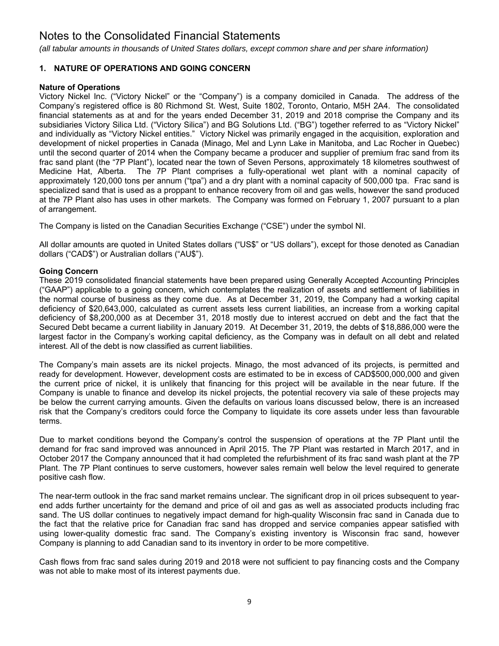*(all tabular amounts in thousands of United States dollars, except common share and per share information)*

# **1. NATURE OF OPERATIONS AND GOING CONCERN**

# **Nature of Operations**

Victory Nickel Inc. ("Victory Nickel" or the "Company") is a company domiciled in Canada. The address of the Company's registered office is 80 Richmond St. West, Suite 1802, Toronto, Ontario, M5H 2A4. The consolidated financial statements as at and for the years ended December 31, 2019 and 2018 comprise the Company and its subsidiaries Victory Silica Ltd. ("Victory Silica") and BG Solutions Ltd. ("BG") together referred to as "Victory Nickel" and individually as "Victory Nickel entities." Victory Nickel was primarily engaged in the acquisition, exploration and development of nickel properties in Canada (Minago, Mel and Lynn Lake in Manitoba, and Lac Rocher in Quebec) until the second quarter of 2014 when the Company became a producer and supplier of premium frac sand from its frac sand plant (the "7P Plant"), located near the town of Seven Persons, approximately 18 kilometres southwest of Medicine Hat, Alberta. The 7P Plant comprises a fully-operational wet plant with a nominal capacity of approximately 120,000 tons per annum ("tpa") and a dry plant with a nominal capacity of 500,000 tpa. Frac sand is specialized sand that is used as a proppant to enhance recovery from oil and gas wells, however the sand produced at the 7P Plant also has uses in other markets. The Company was formed on February 1, 2007 pursuant to a plan of arrangement.

The Company is listed on the Canadian Securities Exchange ("CSE") under the symbol NI.

All dollar amounts are quoted in United States dollars ("US\$" or "US dollars"), except for those denoted as Canadian dollars ("CAD\$") or Australian dollars ("AU\$").

# **Going Concern**

These 2019 consolidated financial statements have been prepared using Generally Accepted Accounting Principles ("GAAP") applicable to a going concern, which contemplates the realization of assets and settlement of liabilities in the normal course of business as they come due. As at December 31, 2019, the Company had a working capital deficiency of \$20,643,000, calculated as current assets less current liabilities, an increase from a working capital deficiency of \$8,200,000 as at December 31, 2018 mostly due to interest accrued on debt and the fact that the Secured Debt became a current liability in January 2019. At December 31, 2019, the debts of \$18,886,000 were the largest factor in the Company's working capital deficiency, as the Company was in default on all debt and related interest. All of the debt is now classified as current liabilities.

The Company's main assets are its nickel projects. Minago, the most advanced of its projects, is permitted and ready for development. However, development costs are estimated to be in excess of CAD\$500,000,000 and given the current price of nickel, it is unlikely that financing for this project will be available in the near future. If the Company is unable to finance and develop its nickel projects, the potential recovery via sale of these projects may be below the current carrying amounts. Given the defaults on various loans discussed below, there is an increased risk that the Company's creditors could force the Company to liquidate its core assets under less than favourable terms.

Due to market conditions beyond the Company's control the suspension of operations at the 7P Plant until the demand for frac sand improved was announced in April 2015. The 7P Plant was restarted in March 2017, and in October 2017 the Company announced that it had completed the refurbishment of its frac sand wash plant at the 7P Plant. The 7P Plant continues to serve customers, however sales remain well below the level required to generate positive cash flow.

The near-term outlook in the frac sand market remains unclear. The significant drop in oil prices subsequent to yearend adds further uncertainty for the demand and price of oil and gas as well as associated products including frac sand. The US dollar continues to negatively impact demand for high-quality Wisconsin frac sand in Canada due to the fact that the relative price for Canadian frac sand has dropped and service companies appear satisfied with using lower-quality domestic frac sand. The Company's existing inventory is Wisconsin frac sand, however Company is planning to add Canadian sand to its inventory in order to be more competitive.

Cash flows from frac sand sales during 2019 and 2018 were not sufficient to pay financing costs and the Company was not able to make most of its interest payments due.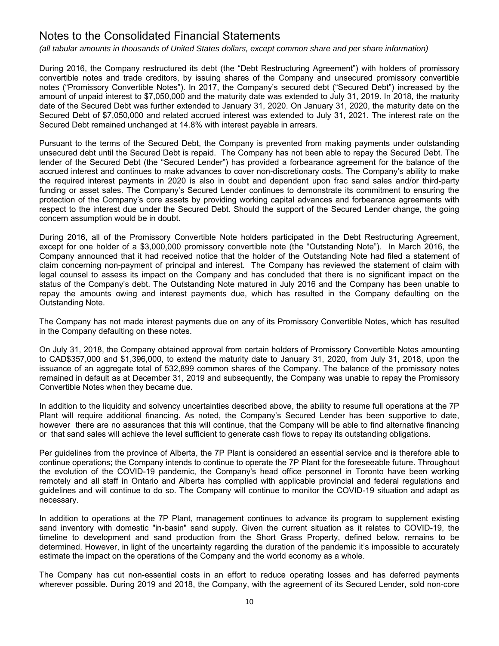*(all tabular amounts in thousands of United States dollars, except common share and per share information)*

During 2016, the Company restructured its debt (the "Debt Restructuring Agreement") with holders of promissory convertible notes and trade creditors, by issuing shares of the Company and unsecured promissory convertible notes ("Promissory Convertible Notes"). In 2017, the Company's secured debt ("Secured Debt") increased by the amount of unpaid interest to \$7,050,000 and the maturity date was extended to July 31, 2019. In 2018, the maturity date of the Secured Debt was further extended to January 31, 2020. On January 31, 2020, the maturity date on the Secured Debt of \$7,050,000 and related accrued interest was extended to July 31, 2021. The interest rate on the Secured Debt remained unchanged at 14.8% with interest payable in arrears.

Pursuant to the terms of the Secured Debt, the Company is prevented from making payments under outstanding unsecured debt until the Secured Debt is repaid. The Company has not been able to repay the Secured Debt. The lender of the Secured Debt (the "Secured Lender") has provided a forbearance agreement for the balance of the accrued interest and continues to make advances to cover non-discretionary costs. The Company's ability to make the required interest payments in 2020 is also in doubt and dependent upon frac sand sales and/or third-party funding or asset sales. The Company's Secured Lender continues to demonstrate its commitment to ensuring the protection of the Company's core assets by providing working capital advances and forbearance agreements with respect to the interest due under the Secured Debt. Should the support of the Secured Lender change, the going concern assumption would be in doubt.

During 2016, all of the Promissory Convertible Note holders participated in the Debt Restructuring Agreement, except for one holder of a \$3,000,000 promissory convertible note (the "Outstanding Note"). In March 2016, the Company announced that it had received notice that the holder of the Outstanding Note had filed a statement of claim concerning non-payment of principal and interest. The Company has reviewed the statement of claim with legal counsel to assess its impact on the Company and has concluded that there is no significant impact on the status of the Company's debt. The Outstanding Note matured in July 2016 and the Company has been unable to repay the amounts owing and interest payments due, which has resulted in the Company defaulting on the Outstanding Note.

The Company has not made interest payments due on any of its Promissory Convertible Notes, which has resulted in the Company defaulting on these notes.

On July 31, 2018, the Company obtained approval from certain holders of Promissory Convertible Notes amounting to CAD\$357,000 and \$1,396,000, to extend the maturity date to January 31, 2020, from July 31, 2018, upon the issuance of an aggregate total of 532,899 common shares of the Company. The balance of the promissory notes remained in default as at December 31, 2019 and subsequently, the Company was unable to repay the Promissory Convertible Notes when they became due.

In addition to the liquidity and solvency uncertainties described above, the ability to resume full operations at the 7P Plant will require additional financing. As noted, the Company's Secured Lender has been supportive to date, however there are no assurances that this will continue, that the Company will be able to find alternative financing or that sand sales will achieve the level sufficient to generate cash flows to repay its outstanding obligations.

Per guidelines from the province of Alberta, the 7P Plant is considered an essential service and is therefore able to continue operations; the Company intends to continue to operate the 7P Plant for the foreseeable future. Throughout the evolution of the COVID-19 pandemic, the Company's head office personnel in Toronto have been working remotely and all staff in Ontario and Alberta has complied with applicable provincial and federal regulations and guidelines and will continue to do so. The Company will continue to monitor the COVID-19 situation and adapt as necessary.

In addition to operations at the 7P Plant, management continues to advance its program to supplement existing sand inventory with domestic "in-basin" sand supply. Given the current situation as it relates to COVID-19, the timeline to development and sand production from the Short Grass Property, defined below, remains to be determined. However, in light of the uncertainty regarding the duration of the pandemic it's impossible to accurately estimate the impact on the operations of the Company and the world economy as a whole.

The Company has cut non-essential costs in an effort to reduce operating losses and has deferred payments wherever possible. During 2019 and 2018, the Company, with the agreement of its Secured Lender, sold non-core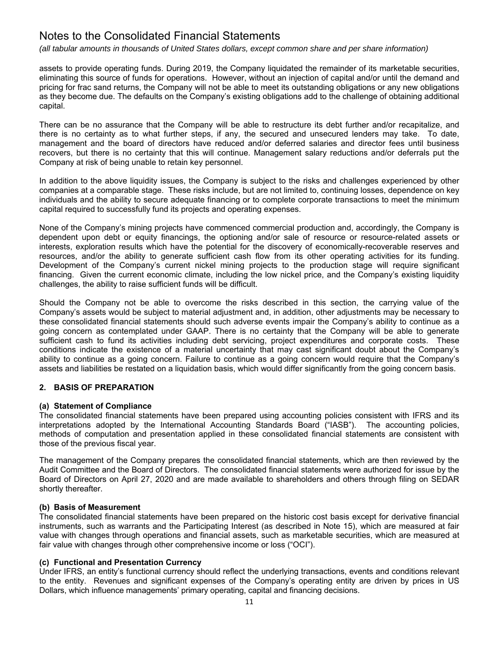*(all tabular amounts in thousands of United States dollars, except common share and per share information)*

assets to provide operating funds. During 2019, the Company liquidated the remainder of its marketable securities, eliminating this source of funds for operations. However, without an injection of capital and/or until the demand and pricing for frac sand returns, the Company will not be able to meet its outstanding obligations or any new obligations as they become due. The defaults on the Company's existing obligations add to the challenge of obtaining additional capital.

There can be no assurance that the Company will be able to restructure its debt further and/or recapitalize, and there is no certainty as to what further steps, if any, the secured and unsecured lenders may take. To date, management and the board of directors have reduced and/or deferred salaries and director fees until business recovers, but there is no certainty that this will continue. Management salary reductions and/or deferrals put the Company at risk of being unable to retain key personnel.

In addition to the above liquidity issues, the Company is subject to the risks and challenges experienced by other companies at a comparable stage. These risks include, but are not limited to, continuing losses, dependence on key individuals and the ability to secure adequate financing or to complete corporate transactions to meet the minimum capital required to successfully fund its projects and operating expenses.

None of the Company's mining projects have commenced commercial production and, accordingly, the Company is dependent upon debt or equity financings, the optioning and/or sale of resource or resource-related assets or interests, exploration results which have the potential for the discovery of economically-recoverable reserves and resources, and/or the ability to generate sufficient cash flow from its other operating activities for its funding. Development of the Company's current nickel mining projects to the production stage will require significant financing. Given the current economic climate, including the low nickel price, and the Company's existing liquidity challenges, the ability to raise sufficient funds will be difficult.

Should the Company not be able to overcome the risks described in this section, the carrying value of the Company's assets would be subject to material adjustment and, in addition, other adjustments may be necessary to these consolidated financial statements should such adverse events impair the Company's ability to continue as a going concern as contemplated under GAAP. There is no certainty that the Company will be able to generate sufficient cash to fund its activities including debt servicing, project expenditures and corporate costs. These conditions indicate the existence of a material uncertainty that may cast significant doubt about the Company's ability to continue as a going concern. Failure to continue as a going concern would require that the Company's assets and liabilities be restated on a liquidation basis, which would differ significantly from the going concern basis.

# **2. BASIS OF PREPARATION**

# **(a) Statement of Compliance**

The consolidated financial statements have been prepared using accounting policies consistent with IFRS and its interpretations adopted by the International Accounting Standards Board ("IASB"). The accounting policies, methods of computation and presentation applied in these consolidated financial statements are consistent with those of the previous fiscal year.

The management of the Company prepares the consolidated financial statements, which are then reviewed by the Audit Committee and the Board of Directors. The consolidated financial statements were authorized for issue by the Board of Directors on April 27, 2020 and are made available to shareholders and others through filing on SEDAR shortly thereafter.

# **(b) Basis of Measurement**

The consolidated financial statements have been prepared on the historic cost basis except for derivative financial instruments, such as warrants and the Participating Interest (as described in Note 15), which are measured at fair value with changes through operations and financial assets, such as marketable securities, which are measured at fair value with changes through other comprehensive income or loss ("OCI").

# **(c) Functional and Presentation Currency**

Under IFRS, an entity's functional currency should reflect the underlying transactions, events and conditions relevant to the entity. Revenues and significant expenses of the Company's operating entity are driven by prices in US Dollars, which influence managements' primary operating, capital and financing decisions.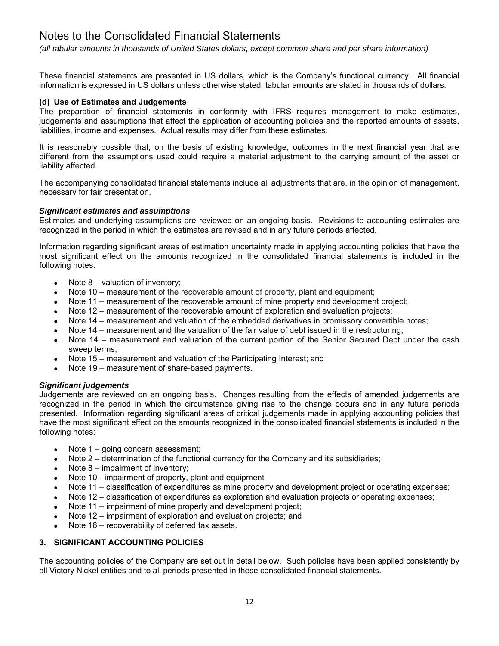*(all tabular amounts in thousands of United States dollars, except common share and per share information)*

These financial statements are presented in US dollars, which is the Company's functional currency. All financial information is expressed in US dollars unless otherwise stated; tabular amounts are stated in thousands of dollars.

# **(d) Use of Estimates and Judgements**

The preparation of financial statements in conformity with IFRS requires management to make estimates, judgements and assumptions that affect the application of accounting policies and the reported amounts of assets, liabilities, income and expenses. Actual results may differ from these estimates.

It is reasonably possible that, on the basis of existing knowledge, outcomes in the next financial year that are different from the assumptions used could require a material adjustment to the carrying amount of the asset or liability affected.

The accompanying consolidated financial statements include all adjustments that are, in the opinion of management, necessary for fair presentation.

# *Significant estimates and assumptions*

Estimates and underlying assumptions are reviewed on an ongoing basis. Revisions to accounting estimates are recognized in the period in which the estimates are revised and in any future periods affected.

Information regarding significant areas of estimation uncertainty made in applying accounting policies that have the most significant effect on the amounts recognized in the consolidated financial statements is included in the following notes:

- $\bullet$  Note 8 valuation of inventory;
- Note 10 measurement of the recoverable amount of property, plant and equipment;
- Note 11 measurement of the recoverable amount of mine property and development project;
- Note 12 measurement of the recoverable amount of exploration and evaluation projects;
- Note 14 measurement and valuation of the embedded derivatives in promissory convertible notes;
- Note 14 measurement and the valuation of the fair value of debt issued in the restructuring;
- Note 14 measurement and valuation of the current portion of the Senior Secured Debt under the cash sweep terms;
- Note 15 measurement and valuation of the Participating Interest; and
- Note 19 measurement of share-based payments.

# *Significant judgements*

Judgements are reviewed on an ongoing basis. Changes resulting from the effects of amended judgements are recognized in the period in which the circumstance giving rise to the change occurs and in any future periods presented. Information regarding significant areas of critical judgements made in applying accounting policies that have the most significant effect on the amounts recognized in the consolidated financial statements is included in the following notes:

- Note 1 going concern assessment;
- Note 2 determination of the functional currency for the Company and its subsidiaries;
- Note 8 impairment of inventory;
- Note 10 impairment of property, plant and equipment
- Note 11 classification of expenditures as mine property and development project or operating expenses;
- Note 12 classification of expenditures as exploration and evaluation projects or operating expenses;
- Note 11 impairment of mine property and development project;
- Note 12 impairment of exploration and evaluation projects; and
- Note 16 recoverability of deferred tax assets.

# **3. SIGNIFICANT ACCOUNTING POLICIES**

The accounting policies of the Company are set out in detail below. Such policies have been applied consistently by all Victory Nickel entities and to all periods presented in these consolidated financial statements.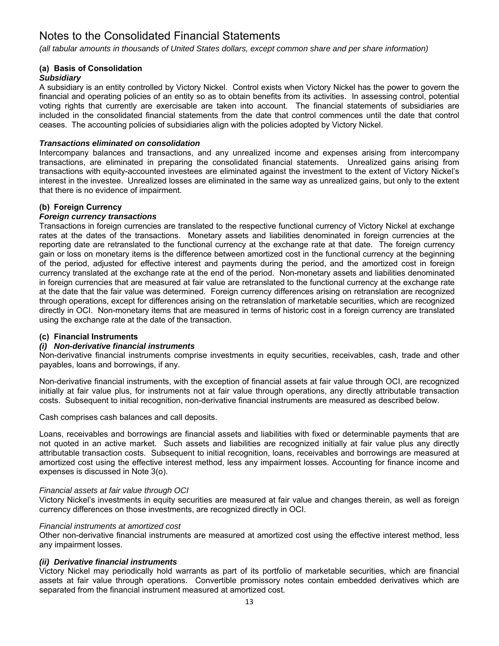*(all tabular amounts in thousands of United States dollars, except common share and per share information)*

# **(a) Basis of Consolidation**

# *Subsidiary*

A subsidiary is an entity controlled by Victory Nickel. Control exists when Victory Nickel has the power to govern the financial and operating policies of an entity so as to obtain benefits from its activities. In assessing control, potential voting rights that currently are exercisable are taken into account. The financial statements of subsidiaries are included in the consolidated financial statements from the date that control commences until the date that control ceases. The accounting policies of subsidiaries align with the policies adopted by Victory Nickel.

# *Transactions eliminated on consolidation*

Intercompany balances and transactions, and any unrealized income and expenses arising from intercompany transactions, are eliminated in preparing the consolidated financial statements. Unrealized gains arising from transactions with equity-accounted investees are eliminated against the investment to the extent of Victory Nickel's interest in the investee. Unrealized losses are eliminated in the same way as unrealized gains, but only to the extent that there is no evidence of impairment.

# **(b) Foreign Currency**

# *Foreign currency transactions*

Transactions in foreign currencies are translated to the respective functional currency of Victory Nickel at exchange rates at the dates of the transactions. Monetary assets and liabilities denominated in foreign currencies at the reporting date are retranslated to the functional currency at the exchange rate at that date. The foreign currency gain or loss on monetary items is the difference between amortized cost in the functional currency at the beginning of the period, adjusted for effective interest and payments during the period, and the amortized cost in foreign currency translated at the exchange rate at the end of the period. Non-monetary assets and liabilities denominated in foreign currencies that are measured at fair value are retranslated to the functional currency at the exchange rate at the date that the fair value was determined. Foreign currency differences arising on retranslation are recognized through operations, except for differences arising on the retranslation of marketable securities, which are recognized directly in OCI. Non-monetary items that are measured in terms of historic cost in a foreign currency are translated using the exchange rate at the date of the transaction.

# **(c) Financial Instruments**

# *(i) Non-derivative financial instruments*

Non-derivative financial instruments comprise investments in equity securities, receivables, cash, trade and other payables, loans and borrowings, if any.

Non-derivative financial instruments, with the exception of financial assets at fair value through OCI, are recognized initially at fair value plus, for instruments not at fair value through operations, any directly attributable transaction costs. Subsequent to initial recognition, non-derivative financial instruments are measured as described below.

Cash comprises cash balances and call deposits.

Loans, receivables and borrowings are financial assets and liabilities with fixed or determinable payments that are not quoted in an active market. Such assets and liabilities are recognized initially at fair value plus any directly attributable transaction costs. Subsequent to initial recognition, loans, receivables and borrowings are measured at amortized cost using the effective interest method, less any impairment losses. Accounting for finance income and expenses is discussed in Note 3(o).

# *Financial assets at fair value through OCI*

Victory Nickel's investments in equity securities are measured at fair value and changes therein, as well as foreign currency differences on those investments, are recognized directly in OCI.

# *Financial instruments at amortized cost*

Other non-derivative financial instruments are measured at amortized cost using the effective interest method, less any impairment losses.

# *(ii) Derivative financial instruments*

Victory Nickel may periodically hold warrants as part of its portfolio of marketable securities, which are financial assets at fair value through operations. Convertible promissory notes contain embedded derivatives which are separated from the financial instrument measured at amortized cost.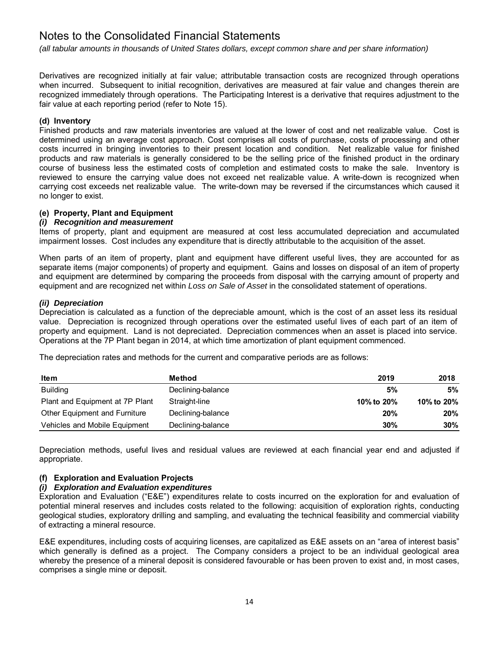*(all tabular amounts in thousands of United States dollars, except common share and per share information)*

Derivatives are recognized initially at fair value; attributable transaction costs are recognized through operations when incurred. Subsequent to initial recognition, derivatives are measured at fair value and changes therein are recognized immediately through operations. The Participating Interest is a derivative that requires adjustment to the fair value at each reporting period (refer to Note 15).

# **(d) Inventory**

Finished products and raw materials inventories are valued at the lower of cost and net realizable value. Cost is determined using an average cost approach. Cost comprises all costs of purchase, costs of processing and other costs incurred in bringing inventories to their present location and condition. Net realizable value for finished products and raw materials is generally considered to be the selling price of the finished product in the ordinary course of business less the estimated costs of completion and estimated costs to make the sale. Inventory is reviewed to ensure the carrying value does not exceed net realizable value. A write-down is recognized when carrying cost exceeds net realizable value. The write-down may be reversed if the circumstances which caused it no longer to exist.

# **(e) Property, Plant and Equipment**

# *(i) Recognition and measurement*

Items of property, plant and equipment are measured at cost less accumulated depreciation and accumulated impairment losses. Cost includes any expenditure that is directly attributable to the acquisition of the asset.

When parts of an item of property, plant and equipment have different useful lives, they are accounted for as separate items (major components) of property and equipment. Gains and losses on disposal of an item of property and equipment are determined by comparing the proceeds from disposal with the carrying amount of property and equipment and are recognized net within *Loss on Sale of Asset* in the consolidated statement of operations.

# *(ii) Depreciation*

Depreciation is calculated as a function of the depreciable amount, which is the cost of an asset less its residual value. Depreciation is recognized through operations over the estimated useful lives of each part of an item of property and equipment. Land is not depreciated. Depreciation commences when an asset is placed into service. Operations at the 7P Plant began in 2014, at which time amortization of plant equipment commenced.

The depreciation rates and methods for the current and comparative periods are as follows:

| <b>Item</b>                     | Method            | 2019       | 2018       |
|---------------------------------|-------------------|------------|------------|
| Building                        | Declining-balance | 5%         | 5%         |
| Plant and Equipment at 7P Plant | Straight-line     | 10% to 20% | 10% to 20% |
| Other Equipment and Furniture   | Declining-balance | 20%        | 20%        |
| Vehicles and Mobile Equipment   | Declining-balance | 30%        | 30%        |

Depreciation methods, useful lives and residual values are reviewed at each financial year end and adjusted if appropriate.

# **(f) Exploration and Evaluation Projects**

# *(i) Exploration and Evaluation expenditures*

Exploration and Evaluation ("E&E") expenditures relate to costs incurred on the exploration for and evaluation of potential mineral reserves and includes costs related to the following: acquisition of exploration rights, conducting geological studies, exploratory drilling and sampling, and evaluating the technical feasibility and commercial viability of extracting a mineral resource.

E&E expenditures, including costs of acquiring licenses, are capitalized as E&E assets on an "area of interest basis" which generally is defined as a project. The Company considers a project to be an individual geological area whereby the presence of a mineral deposit is considered favourable or has been proven to exist and, in most cases, comprises a single mine or deposit.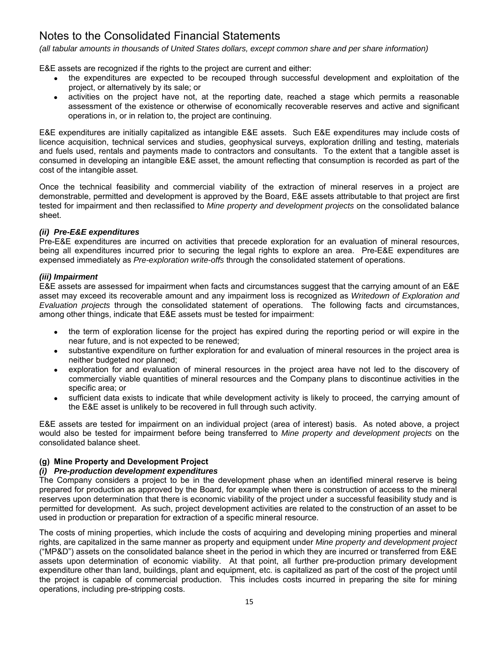*(all tabular amounts in thousands of United States dollars, except common share and per share information)*

E&E assets are recognized if the rights to the project are current and either:

- the expenditures are expected to be recouped through successful development and exploitation of the project, or alternatively by its sale; or
- activities on the project have not, at the reporting date, reached a stage which permits a reasonable assessment of the existence or otherwise of economically recoverable reserves and active and significant operations in, or in relation to, the project are continuing.

E&E expenditures are initially capitalized as intangible E&E assets. Such E&E expenditures may include costs of licence acquisition, technical services and studies, geophysical surveys, exploration drilling and testing, materials and fuels used, rentals and payments made to contractors and consultants. To the extent that a tangible asset is consumed in developing an intangible E&E asset, the amount reflecting that consumption is recorded as part of the cost of the intangible asset.

Once the technical feasibility and commercial viability of the extraction of mineral reserves in a project are demonstrable, permitted and development is approved by the Board, E&E assets attributable to that project are first tested for impairment and then reclassified to *Mine property and development projects* on the consolidated balance sheet.

# *(ii) Pre-E&E expenditures*

Pre-E&E expenditures are incurred on activities that precede exploration for an evaluation of mineral resources, being all expenditures incurred prior to securing the legal rights to explore an area. Pre-E&E expenditures are expensed immediately as *Pre-exploration write-offs* through the consolidated statement of operations.

# *(iii) Impairment*

E&E assets are assessed for impairment when facts and circumstances suggest that the carrying amount of an E&E asset may exceed its recoverable amount and any impairment loss is recognized as *Writedown of Exploration and Evaluation projects* through the consolidated statement of operations. The following facts and circumstances, among other things, indicate that E&E assets must be tested for impairment:

- the term of exploration license for the project has expired during the reporting period or will expire in the near future, and is not expected to be renewed;
- substantive expenditure on further exploration for and evaluation of mineral resources in the project area is neither budgeted nor planned;
- exploration for and evaluation of mineral resources in the project area have not led to the discovery of commercially viable quantities of mineral resources and the Company plans to discontinue activities in the specific area; or
- sufficient data exists to indicate that while development activity is likely to proceed, the carrying amount of the E&E asset is unlikely to be recovered in full through such activity.

E&E assets are tested for impairment on an individual project (area of interest) basis. As noted above, a project would also be tested for impairment before being transferred to *Mine property and development projects* on the consolidated balance sheet.

# **(g) Mine Property and Development Project**

# *(i) Pre-production development expenditures*

The Company considers a project to be in the development phase when an identified mineral reserve is being prepared for production as approved by the Board, for example when there is construction of access to the mineral reserves upon determination that there is economic viability of the project under a successful feasibility study and is permitted for development. As such, project development activities are related to the construction of an asset to be used in production or preparation for extraction of a specific mineral resource.

The costs of mining properties, which include the costs of acquiring and developing mining properties and mineral rights, are capitalized in the same manner as property and equipment under *Mine property and development project* ("MP&D") assets on the consolidated balance sheet in the period in which they are incurred or transferred from E&E assets upon determination of economic viability. At that point, all further pre-production primary development expenditure other than land, buildings, plant and equipment, etc. is capitalized as part of the cost of the project until the project is capable of commercial production. This includes costs incurred in preparing the site for mining operations, including pre-stripping costs.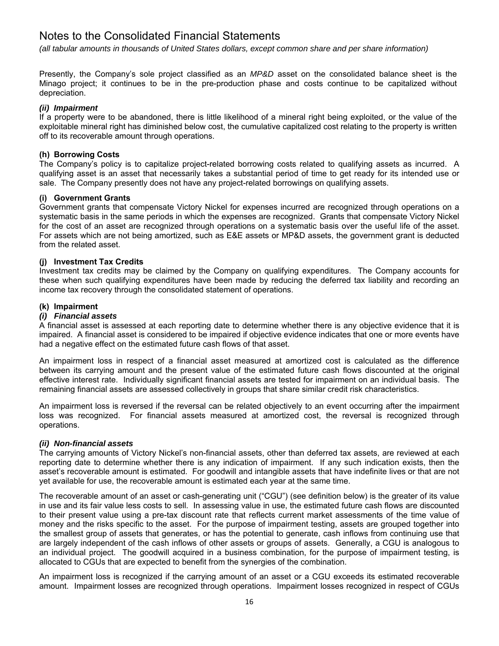*(all tabular amounts in thousands of United States dollars, except common share and per share information)*

Presently, the Company's sole project classified as an *MP&D* asset on the consolidated balance sheet is the Minago project; it continues to be in the pre-production phase and costs continue to be capitalized without depreciation.

# *(ii) Impairment*

If a property were to be abandoned, there is little likelihood of a mineral right being exploited, or the value of the exploitable mineral right has diminished below cost, the cumulative capitalized cost relating to the property is written off to its recoverable amount through operations.

# **(h) Borrowing Costs**

The Company's policy is to capitalize project-related borrowing costs related to qualifying assets as incurred. A qualifying asset is an asset that necessarily takes a substantial period of time to get ready for its intended use or sale. The Company presently does not have any project-related borrowings on qualifying assets.

# **(i) Government Grants**

Government grants that compensate Victory Nickel for expenses incurred are recognized through operations on a systematic basis in the same periods in which the expenses are recognized. Grants that compensate Victory Nickel for the cost of an asset are recognized through operations on a systematic basis over the useful life of the asset. For assets which are not being amortized, such as E&E assets or MP&D assets, the government grant is deducted from the related asset.

# **(j) Investment Tax Credits**

Investment tax credits may be claimed by the Company on qualifying expenditures. The Company accounts for these when such qualifying expenditures have been made by reducing the deferred tax liability and recording an income tax recovery through the consolidated statement of operations.

# **(k) Impairment**

# *(i) Financial assets*

A financial asset is assessed at each reporting date to determine whether there is any objective evidence that it is impaired. A financial asset is considered to be impaired if objective evidence indicates that one or more events have had a negative effect on the estimated future cash flows of that asset.

An impairment loss in respect of a financial asset measured at amortized cost is calculated as the difference between its carrying amount and the present value of the estimated future cash flows discounted at the original effective interest rate. Individually significant financial assets are tested for impairment on an individual basis. The remaining financial assets are assessed collectively in groups that share similar credit risk characteristics.

An impairment loss is reversed if the reversal can be related objectively to an event occurring after the impairment loss was recognized. For financial assets measured at amortized cost, the reversal is recognized through operations.

# *(ii) Non-financial assets*

The carrying amounts of Victory Nickel's non-financial assets, other than deferred tax assets, are reviewed at each reporting date to determine whether there is any indication of impairment. If any such indication exists, then the asset's recoverable amount is estimated. For goodwill and intangible assets that have indefinite lives or that are not yet available for use, the recoverable amount is estimated each year at the same time.

The recoverable amount of an asset or cash-generating unit ("CGU") (see definition below) is the greater of its value in use and its fair value less costs to sell. In assessing value in use, the estimated future cash flows are discounted to their present value using a pre-tax discount rate that reflects current market assessments of the time value of money and the risks specific to the asset. For the purpose of impairment testing, assets are grouped together into the smallest group of assets that generates, or has the potential to generate, cash inflows from continuing use that are largely independent of the cash inflows of other assets or groups of assets. Generally, a CGU is analogous to an individual project. The goodwill acquired in a business combination, for the purpose of impairment testing, is allocated to CGUs that are expected to benefit from the synergies of the combination.

An impairment loss is recognized if the carrying amount of an asset or a CGU exceeds its estimated recoverable amount. Impairment losses are recognized through operations. Impairment losses recognized in respect of CGUs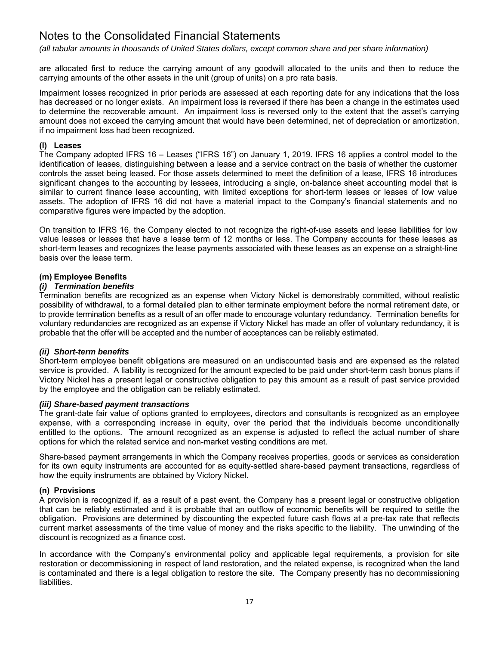*(all tabular amounts in thousands of United States dollars, except common share and per share information)*

are allocated first to reduce the carrying amount of any goodwill allocated to the units and then to reduce the carrying amounts of the other assets in the unit (group of units) on a pro rata basis.

Impairment losses recognized in prior periods are assessed at each reporting date for any indications that the loss has decreased or no longer exists. An impairment loss is reversed if there has been a change in the estimates used to determine the recoverable amount. An impairment loss is reversed only to the extent that the asset's carrying amount does not exceed the carrying amount that would have been determined, net of depreciation or amortization, if no impairment loss had been recognized.

# **(l) Leases**

The Company adopted IFRS 16 – Leases ("IFRS 16") on January 1, 2019. IFRS 16 applies a control model to the identification of leases, distinguishing between a lease and a service contract on the basis of whether the customer controls the asset being leased. For those assets determined to meet the definition of a lease, IFRS 16 introduces significant changes to the accounting by lessees, introducing a single, on-balance sheet accounting model that is similar to current finance lease accounting, with limited exceptions for short-term leases or leases of low value assets. The adoption of IFRS 16 did not have a material impact to the Company's financial statements and no comparative figures were impacted by the adoption.

On transition to IFRS 16, the Company elected to not recognize the right-of-use assets and lease liabilities for low value leases or leases that have a lease term of 12 months or less. The Company accounts for these leases as short-term leases and recognizes the lease payments associated with these leases as an expense on a straight-line basis over the lease term.

# **(m) Employee Benefits**

# *(i) Termination benefits*

Termination benefits are recognized as an expense when Victory Nickel is demonstrably committed, without realistic possibility of withdrawal, to a formal detailed plan to either terminate employment before the normal retirement date, or to provide termination benefits as a result of an offer made to encourage voluntary redundancy. Termination benefits for voluntary redundancies are recognized as an expense if Victory Nickel has made an offer of voluntary redundancy, it is probable that the offer will be accepted and the number of acceptances can be reliably estimated.

# *(ii) Short-term benefits*

Short-term employee benefit obligations are measured on an undiscounted basis and are expensed as the related service is provided. A liability is recognized for the amount expected to be paid under short-term cash bonus plans if Victory Nickel has a present legal or constructive obligation to pay this amount as a result of past service provided by the employee and the obligation can be reliably estimated.

# *(iii) Share-based payment transactions*

The grant-date fair value of options granted to employees, directors and consultants is recognized as an employee expense, with a corresponding increase in equity, over the period that the individuals become unconditionally entitled to the options. The amount recognized as an expense is adjusted to reflect the actual number of share options for which the related service and non-market vesting conditions are met.

Share-based payment arrangements in which the Company receives properties, goods or services as consideration for its own equity instruments are accounted for as equity-settled share-based payment transactions, regardless of how the equity instruments are obtained by Victory Nickel.

# **(n) Provisions**

A provision is recognized if, as a result of a past event, the Company has a present legal or constructive obligation that can be reliably estimated and it is probable that an outflow of economic benefits will be required to settle the obligation. Provisions are determined by discounting the expected future cash flows at a pre-tax rate that reflects current market assessments of the time value of money and the risks specific to the liability. The unwinding of the discount is recognized as a finance cost.

In accordance with the Company's environmental policy and applicable legal requirements, a provision for site restoration or decommissioning in respect of land restoration, and the related expense, is recognized when the land is contaminated and there is a legal obligation to restore the site. The Company presently has no decommissioning liabilities.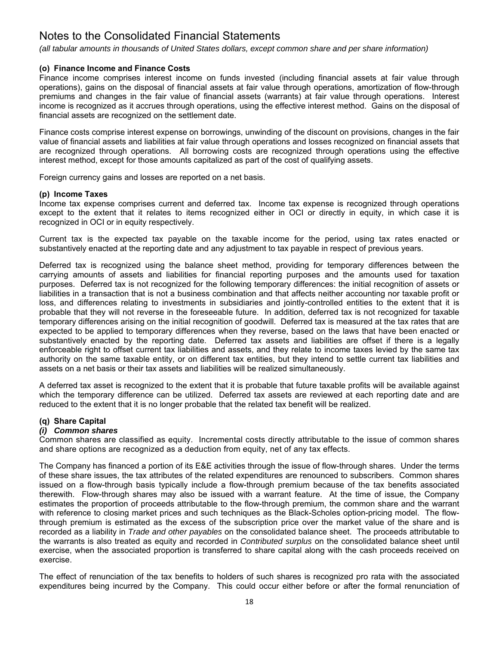*(all tabular amounts in thousands of United States dollars, except common share and per share information)*

# **(o) Finance Income and Finance Costs**

Finance income comprises interest income on funds invested (including financial assets at fair value through operations), gains on the disposal of financial assets at fair value through operations, amortization of flow-through premiums and changes in the fair value of financial assets (warrants) at fair value through operations. Interest income is recognized as it accrues through operations, using the effective interest method. Gains on the disposal of financial assets are recognized on the settlement date.

Finance costs comprise interest expense on borrowings, unwinding of the discount on provisions, changes in the fair value of financial assets and liabilities at fair value through operations and losses recognized on financial assets that are recognized through operations. All borrowing costs are recognized through operations using the effective interest method, except for those amounts capitalized as part of the cost of qualifying assets.

Foreign currency gains and losses are reported on a net basis.

# **(p) Income Taxes**

Income tax expense comprises current and deferred tax. Income tax expense is recognized through operations except to the extent that it relates to items recognized either in OCI or directly in equity, in which case it is recognized in OCI or in equity respectively.

Current tax is the expected tax payable on the taxable income for the period, using tax rates enacted or substantively enacted at the reporting date and any adjustment to tax payable in respect of previous years.

Deferred tax is recognized using the balance sheet method, providing for temporary differences between the carrying amounts of assets and liabilities for financial reporting purposes and the amounts used for taxation purposes. Deferred tax is not recognized for the following temporary differences: the initial recognition of assets or liabilities in a transaction that is not a business combination and that affects neither accounting nor taxable profit or loss, and differences relating to investments in subsidiaries and jointly-controlled entities to the extent that it is probable that they will not reverse in the foreseeable future. In addition, deferred tax is not recognized for taxable temporary differences arising on the initial recognition of goodwill. Deferred tax is measured at the tax rates that are expected to be applied to temporary differences when they reverse, based on the laws that have been enacted or substantively enacted by the reporting date. Deferred tax assets and liabilities are offset if there is a legally enforceable right to offset current tax liabilities and assets, and they relate to income taxes levied by the same tax authority on the same taxable entity, or on different tax entities, but they intend to settle current tax liabilities and assets on a net basis or their tax assets and liabilities will be realized simultaneously.

A deferred tax asset is recognized to the extent that it is probable that future taxable profits will be available against which the temporary difference can be utilized. Deferred tax assets are reviewed at each reporting date and are reduced to the extent that it is no longer probable that the related tax benefit will be realized.

# **(q) Share Capital**

# *(i) Common shares*

Common shares are classified as equity. Incremental costs directly attributable to the issue of common shares and share options are recognized as a deduction from equity, net of any tax effects.

The Company has financed a portion of its E&E activities through the issue of flow-through shares. Under the terms of these share issues, the tax attributes of the related expenditures are renounced to subscribers. Common shares issued on a flow-through basis typically include a flow-through premium because of the tax benefits associated therewith. Flow-through shares may also be issued with a warrant feature. At the time of issue, the Company estimates the proportion of proceeds attributable to the flow-through premium, the common share and the warrant with reference to closing market prices and such techniques as the Black-Scholes option-pricing model. The flowthrough premium is estimated as the excess of the subscription price over the market value of the share and is recorded as a liability in *Trade and other payables* on the consolidated balance sheet. The proceeds attributable to the warrants is also treated as equity and recorded in *Contributed surplus* on the consolidated balance sheet until exercise, when the associated proportion is transferred to share capital along with the cash proceeds received on exercise.

The effect of renunciation of the tax benefits to holders of such shares is recognized pro rata with the associated expenditures being incurred by the Company. This could occur either before or after the formal renunciation of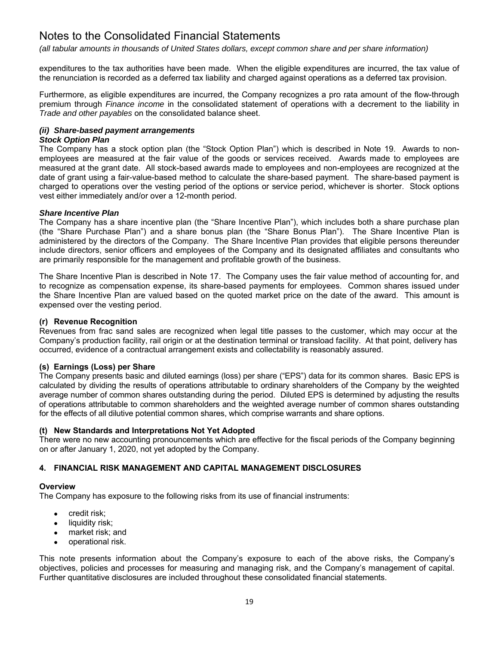*(all tabular amounts in thousands of United States dollars, except common share and per share information)*

expenditures to the tax authorities have been made. When the eligible expenditures are incurred, the tax value of the renunciation is recorded as a deferred tax liability and charged against operations as a deferred tax provision.

Furthermore, as eligible expenditures are incurred, the Company recognizes a pro rata amount of the flow-through premium through *Finance income* in the consolidated statement of operations with a decrement to the liability in *Trade and other payables* on the consolidated balance sheet.

# *(ii) Share-based payment arrangements*

# *Stock Option Plan*

The Company has a stock option plan (the "Stock Option Plan") which is described in Note 19. Awards to nonemployees are measured at the fair value of the goods or services received. Awards made to employees are measured at the grant date. All stock-based awards made to employees and non-employees are recognized at the date of grant using a fair-value-based method to calculate the share-based payment. The share-based payment is charged to operations over the vesting period of the options or service period, whichever is shorter. Stock options vest either immediately and/or over a 12-month period.

# *Share Incentive Plan*

The Company has a share incentive plan (the "Share Incentive Plan"), which includes both a share purchase plan (the "Share Purchase Plan") and a share bonus plan (the "Share Bonus Plan"). The Share Incentive Plan is administered by the directors of the Company. The Share Incentive Plan provides that eligible persons thereunder include directors, senior officers and employees of the Company and its designated affiliates and consultants who are primarily responsible for the management and profitable growth of the business.

The Share Incentive Plan is described in Note 17. The Company uses the fair value method of accounting for, and to recognize as compensation expense, its share-based payments for employees. Common shares issued under the Share Incentive Plan are valued based on the quoted market price on the date of the award. This amount is expensed over the vesting period.

#### **(r) Revenue Recognition**

Revenues from frac sand sales are recognized when legal title passes to the customer, which may occur at the Company's production facility, rail origin or at the destination terminal or transload facility. At that point, delivery has occurred, evidence of a contractual arrangement exists and collectability is reasonably assured.

# **(s) Earnings (Loss) per Share**

The Company presents basic and diluted earnings (loss) per share ("EPS") data for its common shares. Basic EPS is calculated by dividing the results of operations attributable to ordinary shareholders of the Company by the weighted average number of common shares outstanding during the period. Diluted EPS is determined by adjusting the results of operations attributable to common shareholders and the weighted average number of common shares outstanding for the effects of all dilutive potential common shares, which comprise warrants and share options.

# **(t) New Standards and Interpretations Not Yet Adopted**

There were no new accounting pronouncements which are effective for the fiscal periods of the Company beginning on or after January 1, 2020, not yet adopted by the Company.

# **4. FINANCIAL RISK MANAGEMENT AND CAPITAL MANAGEMENT DISCLOSURES**

# **Overview**

The Company has exposure to the following risks from its use of financial instruments:

- credit risk;
- liquidity risk;
- market risk; and
- operational risk.

This note presents information about the Company's exposure to each of the above risks, the Company's objectives, policies and processes for measuring and managing risk, and the Company's management of capital. Further quantitative disclosures are included throughout these consolidated financial statements.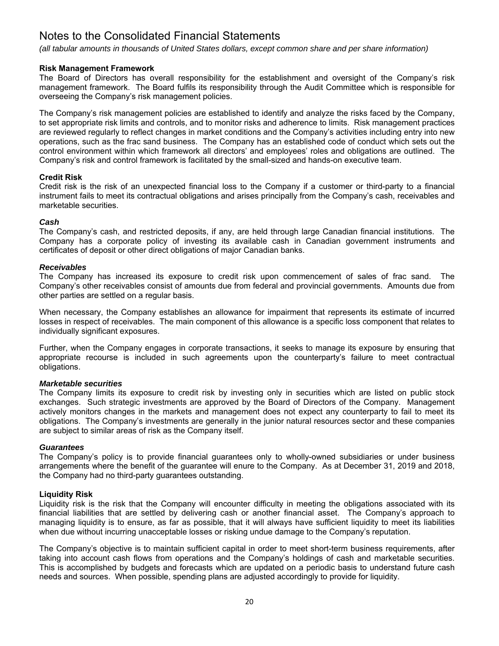*(all tabular amounts in thousands of United States dollars, except common share and per share information)*

# **Risk Management Framework**

The Board of Directors has overall responsibility for the establishment and oversight of the Company's risk management framework. The Board fulfils its responsibility through the Audit Committee which is responsible for overseeing the Company's risk management policies.

The Company's risk management policies are established to identify and analyze the risks faced by the Company, to set appropriate risk limits and controls, and to monitor risks and adherence to limits. Risk management practices are reviewed regularly to reflect changes in market conditions and the Company's activities including entry into new operations, such as the frac sand business. The Company has an established code of conduct which sets out the control environment within which framework all directors' and employees' roles and obligations are outlined. The Company's risk and control framework is facilitated by the small-sized and hands-on executive team.

# **Credit Risk**

Credit risk is the risk of an unexpected financial loss to the Company if a customer or third-party to a financial instrument fails to meet its contractual obligations and arises principally from the Company's cash, receivables and marketable securities.

# *Cash*

The Company's cash, and restricted deposits, if any, are held through large Canadian financial institutions. The Company has a corporate policy of investing its available cash in Canadian government instruments and certificates of deposit or other direct obligations of major Canadian banks.

# *Receivables*

The Company has increased its exposure to credit risk upon commencement of sales of frac sand. The Company's other receivables consist of amounts due from federal and provincial governments. Amounts due from other parties are settled on a regular basis.

When necessary, the Company establishes an allowance for impairment that represents its estimate of incurred losses in respect of receivables. The main component of this allowance is a specific loss component that relates to individually significant exposures.

Further, when the Company engages in corporate transactions, it seeks to manage its exposure by ensuring that appropriate recourse is included in such agreements upon the counterparty's failure to meet contractual obligations.

# *Marketable securities*

The Company limits its exposure to credit risk by investing only in securities which are listed on public stock exchanges. Such strategic investments are approved by the Board of Directors of the Company. Management actively monitors changes in the markets and management does not expect any counterparty to fail to meet its obligations. The Company's investments are generally in the junior natural resources sector and these companies are subject to similar areas of risk as the Company itself.

# *Guarantees*

The Company's policy is to provide financial guarantees only to wholly-owned subsidiaries or under business arrangements where the benefit of the guarantee will enure to the Company. As at December 31, 2019 and 2018, the Company had no third-party guarantees outstanding.

# **Liquidity Risk**

Liquidity risk is the risk that the Company will encounter difficulty in meeting the obligations associated with its financial liabilities that are settled by delivering cash or another financial asset. The Company's approach to managing liquidity is to ensure, as far as possible, that it will always have sufficient liquidity to meet its liabilities when due without incurring unacceptable losses or risking undue damage to the Company's reputation.

The Company's objective is to maintain sufficient capital in order to meet short-term business requirements, after taking into account cash flows from operations and the Company's holdings of cash and marketable securities. This is accomplished by budgets and forecasts which are updated on a periodic basis to understand future cash needs and sources. When possible, spending plans are adjusted accordingly to provide for liquidity.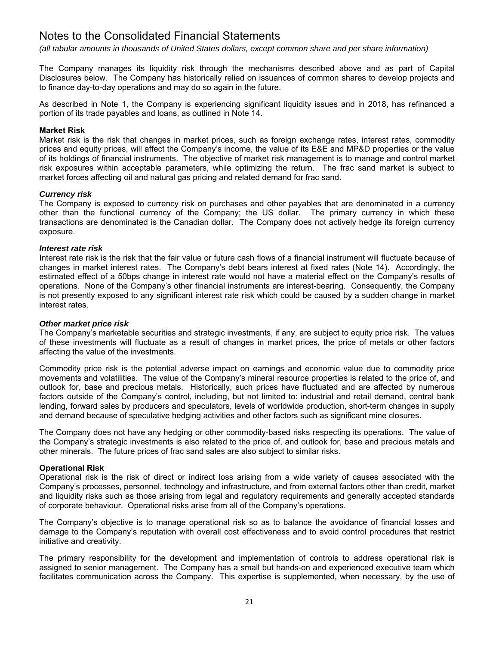*(all tabular amounts in thousands of United States dollars, except common share and per share information)*

The Company manages its liquidity risk through the mechanisms described above and as part of Capital Disclosures below. The Company has historically relied on issuances of common shares to develop projects and to finance day-to-day operations and may do so again in the future.

As described in Note 1, the Company is experiencing significant liquidity issues and in 2018, has refinanced a portion of its trade payables and loans, as outlined in Note 14.

#### **Market Risk**

Market risk is the risk that changes in market prices, such as foreign exchange rates, interest rates, commodity prices and equity prices, will affect the Company's income, the value of its E&E and MP&D properties or the value of its holdings of financial instruments. The objective of market risk management is to manage and control market risk exposures within acceptable parameters, while optimizing the return. The frac sand market is subject to market forces affecting oil and natural gas pricing and related demand for frac sand.

#### *Currency risk*

The Company is exposed to currency risk on purchases and other payables that are denominated in a currency other than the functional currency of the Company; the US dollar. The primary currency in which these transactions are denominated is the Canadian dollar. The Company does not actively hedge its foreign currency exposure.

#### *Interest rate risk*

Interest rate risk is the risk that the fair value or future cash flows of a financial instrument will fluctuate because of changes in market interest rates. The Company's debt bears interest at fixed rates (Note 14). Accordingly, the estimated effect of a 50bps change in interest rate would not have a material effect on the Company's results of operations. None of the Company's other financial instruments are interest-bearing. Consequently, the Company is not presently exposed to any significant interest rate risk which could be caused by a sudden change in market interest rates.

#### *Other market price risk*

The Company's marketable securities and strategic investments, if any, are subject to equity price risk. The values of these investments will fluctuate as a result of changes in market prices, the price of metals or other factors affecting the value of the investments.

Commodity price risk is the potential adverse impact on earnings and economic value due to commodity price movements and volatilities. The value of the Company's mineral resource properties is related to the price of, and outlook for, base and precious metals. Historically, such prices have fluctuated and are affected by numerous factors outside of the Company's control, including, but not limited to: industrial and retail demand, central bank lending, forward sales by producers and speculators, levels of worldwide production, short-term changes in supply and demand because of speculative hedging activities and other factors such as significant mine closures.

The Company does not have any hedging or other commodity-based risks respecting its operations. The value of the Company's strategic investments is also related to the price of, and outlook for, base and precious metals and other minerals. The future prices of frac sand sales are also subject to similar risks.

# **Operational Risk**

Operational risk is the risk of direct or indirect loss arising from a wide variety of causes associated with the Company's processes, personnel, technology and infrastructure, and from external factors other than credit, market and liquidity risks such as those arising from legal and regulatory requirements and generally accepted standards of corporate behaviour. Operational risks arise from all of the Company's operations.

The Company's objective is to manage operational risk so as to balance the avoidance of financial losses and damage to the Company's reputation with overall cost effectiveness and to avoid control procedures that restrict initiative and creativity.

The primary responsibility for the development and implementation of controls to address operational risk is assigned to senior management. The Company has a small but hands-on and experienced executive team which facilitates communication across the Company. This expertise is supplemented, when necessary, by the use of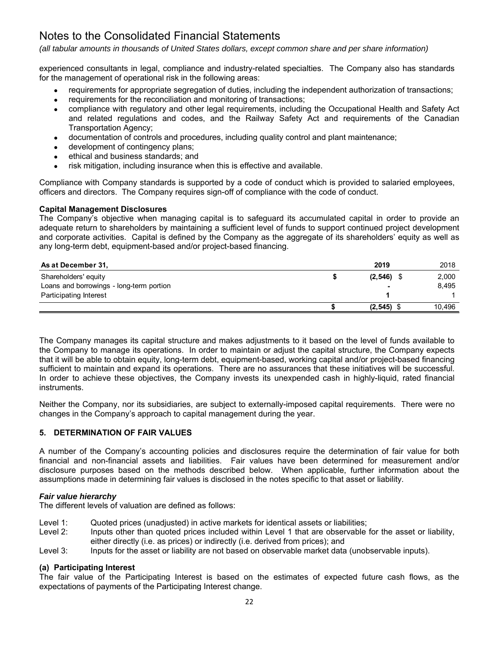*(all tabular amounts in thousands of United States dollars, except common share and per share information)*

experienced consultants in legal, compliance and industry-related specialties. The Company also has standards for the management of operational risk in the following areas:

- requirements for appropriate segregation of duties, including the independent authorization of transactions;
- requirements for the reconciliation and monitoring of transactions;
- compliance with regulatory and other legal requirements, including the Occupational Health and Safety Act and related regulations and codes, and the Railway Safety Act and requirements of the Canadian Transportation Agency;
- documentation of controls and procedures, including quality control and plant maintenance;
- development of contingency plans;
- ethical and business standards; and
- risk mitigation, including insurance when this is effective and available.

Compliance with Company standards is supported by a code of conduct which is provided to salaried employees, officers and directors. The Company requires sign-off of compliance with the code of conduct.

# **Capital Management Disclosures**

The Company's objective when managing capital is to safeguard its accumulated capital in order to provide an adequate return to shareholders by maintaining a sufficient level of funds to support continued project development and corporate activities. Capital is defined by the Company as the aggregate of its shareholders' equity as well as any long-term debt, equipment-based and/or project-based financing.

| As at December 31,                       | 2019           | 2018   |
|------------------------------------------|----------------|--------|
| Shareholders' equity                     | (2, 546)       | 2,000  |
| Loans and borrowings - long-term portion | $\blacksquare$ | 8.495  |
| Participating Interest                   |                |        |
|                                          | (2, 545)       | 10.496 |

The Company manages its capital structure and makes adjustments to it based on the level of funds available to the Company to manage its operations. In order to maintain or adjust the capital structure, the Company expects that it will be able to obtain equity, long-term debt, equipment-based, working capital and/or project-based financing sufficient to maintain and expand its operations. There are no assurances that these initiatives will be successful. In order to achieve these objectives, the Company invests its unexpended cash in highly-liquid, rated financial instruments.

Neither the Company, nor its subsidiaries, are subject to externally-imposed capital requirements. There were no changes in the Company's approach to capital management during the year.

# **5. DETERMINATION OF FAIR VALUES**

A number of the Company's accounting policies and disclosures require the determination of fair value for both financial and non-financial assets and liabilities. Fair values have been determined for measurement and/or disclosure purposes based on the methods described below. When applicable, further information about the assumptions made in determining fair values is disclosed in the notes specific to that asset or liability.

# *Fair value hierarchy*

The different levels of valuation are defined as follows:

- Level 1: Quoted prices (unadjusted) in active markets for identical assets or liabilities;
- Level 2: Inputs other than quoted prices included within Level 1 that are observable for the asset or liability, either directly (i.e. as prices) or indirectly (i.e. derived from prices); and
- Level 3: Inputs for the asset or liability are not based on observable market data (unobservable inputs).

# **(a) Participating Interest**

The fair value of the Participating Interest is based on the estimates of expected future cash flows, as the expectations of payments of the Participating Interest change.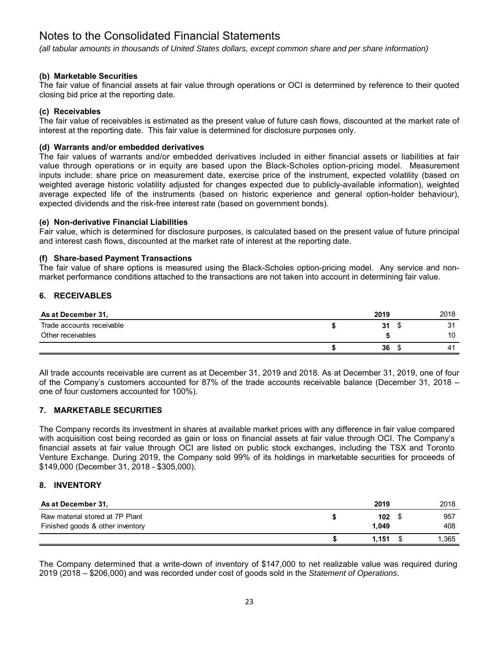*(all tabular amounts in thousands of United States dollars, except common share and per share information)*

# **(b) Marketable Securities**

The fair value of financial assets at fair value through operations or OCI is determined by reference to their quoted closing bid price at the reporting date.

# **(c) Receivables**

The fair value of receivables is estimated as the present value of future cash flows, discounted at the market rate of interest at the reporting date. This fair value is determined for disclosure purposes only.

# **(d) Warrants and/or embedded derivatives**

The fair values of warrants and/or embedded derivatives included in either financial assets or liabilities at fair value through operations or in equity are based upon the Black-Scholes option-pricing model. Measurement inputs include: share price on measurement date, exercise price of the instrument, expected volatility (based on weighted average historic volatility adjusted for changes expected due to publicly-available information), weighted average expected life of the instruments (based on historic experience and general option-holder behaviour), expected dividends and the risk-free interest rate (based on government bonds).

# **(e) Non-derivative Financial Liabilities**

Fair value, which is determined for disclosure purposes, is calculated based on the present value of future principal and interest cash flows, discounted at the market rate of interest at the reporting date.

# **(f) Share-based Payment Transactions**

The fair value of share options is measured using the Black-Scholes option-pricing model. Any service and nonmarket performance conditions attached to the transactions are not taken into account in determining fair value.

# **6. RECEIVABLES**

| As at December 31,        | 2019 | 2018 |
|---------------------------|------|------|
| Trade accounts receivable | 31   | 31   |
| Other receivables         |      | 10   |
|                           | 36   | 41   |

All trade accounts receivable are current as at December 31, 2019 and 2018. As at December 31, 2019, one of four of the Company's customers accounted for 87% of the trade accounts receivable balance (December 31, 2018 – one of four customers accounted for 100%).

# **7. MARKETABLE SECURITIES**

The Company records its investment in shares at available market prices with any difference in fair value compared with acquisition cost being recorded as gain or loss on financial assets at fair value through OCI. The Company's financial assets at fair value through OCI are listed on public stock exchanges, including the TSX and Toronto Venture Exchange. During 2019, the Company sold 99% of its holdings in marketable securities for proceeds of \$149,000 (December 31, 2018 - \$305,000).

# **8. INVENTORY**

| As at December 31,                                                  | 2019         | 2018       |
|---------------------------------------------------------------------|--------------|------------|
| Raw material stored at 7P Plant<br>Finished goods & other inventory | 102<br>1.049 | 957<br>408 |
|                                                                     | 1.151        | 1,365      |

The Company determined that a write-down of inventory of \$147,000 to net realizable value was required during 2019 (2018 – \$206,000) and was recorded under cost of goods sold in the *Statement of Operations*.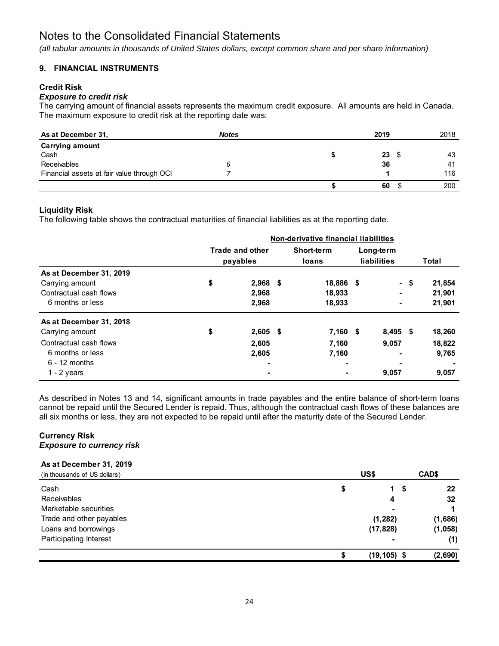*(all tabular amounts in thousands of United States dollars, except common share and per share information)*

# **9. FINANCIAL INSTRUMENTS**

# **Credit Risk**

# *Exposure to credit risk*

The carrying amount of financial assets represents the maximum credit exposure. All amounts are held in Canada. The maximum exposure to credit risk at the reporting date was:

| As at December 31,                         | <b>Notes</b> | 2019 |    | 2018 |
|--------------------------------------------|--------------|------|----|------|
| <b>Carrying amount</b>                     |              |      |    |      |
| Cash                                       |              |      | 23 | 43   |
| Receivables                                |              |      | 36 | 41   |
| Financial assets at fair value through OCI |              |      |    | 116  |
|                                            |              |      | 60 | 200  |

# **Liquidity Risk**

The following table shows the contractual maturities of financial liabilities as at the reporting date.

|                                                                                          | Non-derivative financial liabilities |                                    |  |                               |  |                          |      |                            |
|------------------------------------------------------------------------------------------|--------------------------------------|------------------------------------|--|-------------------------------|--|--------------------------|------|----------------------------|
|                                                                                          |                                      | <b>Trade and other</b><br>payables |  | Short-term<br>loans           |  | Long-term<br>liabilities |      | Total                      |
| As at December 31, 2019<br>Carrying amount<br>Contractual cash flows<br>6 months or less | \$                                   | $2,968$ \$<br>2,968<br>2,968       |  | 18,886 \$<br>18,933<br>18,933 |  | ۰<br>٠                   | - \$ | 21,854<br>21,901<br>21,901 |
| As at December 31, 2018<br>Carrying amount                                               | \$                                   | $2,605$ \$                         |  | $7,160$ \$                    |  | $8,495$ \$               |      | 18,260                     |
| Contractual cash flows<br>6 months or less<br>$6 - 12$ months<br>1 - $2$ years           |                                      | 2,605<br>2,605                     |  | 7,160<br>7,160                |  | 9,057<br>۰<br>٠<br>9,057 |      | 18,822<br>9,765<br>9,057   |

As described in Notes 13 and 14, significant amounts in trade payables and the entire balance of short-term loans cannot be repaid until the Secured Lender is repaid. Thus, although the contractual cash flows of these balances are all six months or less, they are not expected to be repaid until after the maturity date of the Secured Lender.

# **Currency Risk**  *Exposure to currency risk*

# **As at December 31, 2019**

| (in thousands of US dollars)  | US\$      |                     | CAD\$   |
|-------------------------------|-----------|---------------------|---------|
| Cash                          | Φ         | - \$<br>$\mathbf 1$ | 22      |
| Receivables                   |           | 4                   | 32      |
| Marketable securities         |           |                     |         |
| Trade and other payables      | (1, 282)  |                     | (1,686) |
| Loans and borrowings          | (17, 828) |                     | (1,058) |
| <b>Participating Interest</b> |           | -                   | (1)     |
|                               |           | $(19, 105)$ \$      | (2,690) |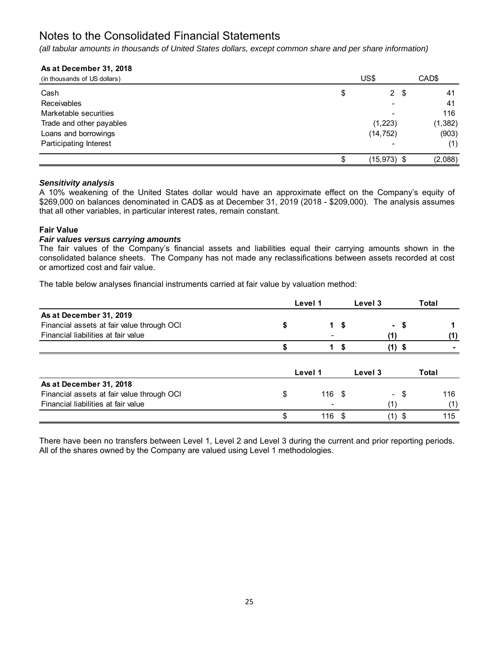*(all tabular amounts in thousands of United States dollars, except common share and per share information)*

# **As at December 31, 2018**

| (in thousands of US dollars) | US\$ |                |      | CAD\$    |
|------------------------------|------|----------------|------|----------|
| Cash                         | \$   |                | 2 \$ | 41       |
| Receivables                  |      |                |      | 41       |
| Marketable securities        |      |                |      | 116      |
| Trade and other payables     |      | (1, 223)       |      | (1, 382) |
| Loans and borrowings         |      | (14, 752)      |      | (903)    |
| Participating Interest       |      |                |      | (1)      |
|                              | \$   | $(15, 973)$ \$ |      | (2,088)  |

# *Sensitivity analysis*

A 10% weakening of the United States dollar would have an approximate effect on the Company's equity of \$269,000 on balances denominated in CAD\$ as at December 31, 2019 (2018 - \$209,000). The analysis assumes that all other variables, in particular interest rates, remain constant.

# **Fair Value**

# *Fair values versus carrying amounts*

The fair values of the Company's financial assets and liabilities equal their carrying amounts shown in the consolidated balance sheets. The Company has not made any reclassifications between assets recorded at cost or amortized cost and fair value.

The table below analyses financial instruments carried at fair value by valuation method:

|                                            | Level 1        |     | Level 3 |                          |   | Total |     |
|--------------------------------------------|----------------|-----|---------|--------------------------|---|-------|-----|
| As at December 31, 2019                    |                |     |         |                          |   |       |     |
| Financial assets at fair value through OCI | 1              | \$  |         | $\sim$                   | S |       |     |
| Financial liabilities at fair value        |                |     |         | (1)                      |   |       | (1) |
|                                            |                | S   |         | (1)                      | S |       |     |
|                                            |                |     |         |                          |   |       |     |
|                                            | Level 1        |     | Level 3 |                          |   | Total |     |
| As at December 31, 2018                    |                |     |         |                          |   |       |     |
| Financial assets at fair value through OCI | \$<br>$116$ \$ |     |         | $\overline{\phantom{0}}$ | S |       | 116 |
| Financial liabilities at fair value        |                |     |         |                          |   |       | (1) |
|                                            | \$<br>116      | -\$ |         |                          | S |       | 115 |

There have been no transfers between Level 1, Level 2 and Level 3 during the current and prior reporting periods. All of the shares owned by the Company are valued using Level 1 methodologies.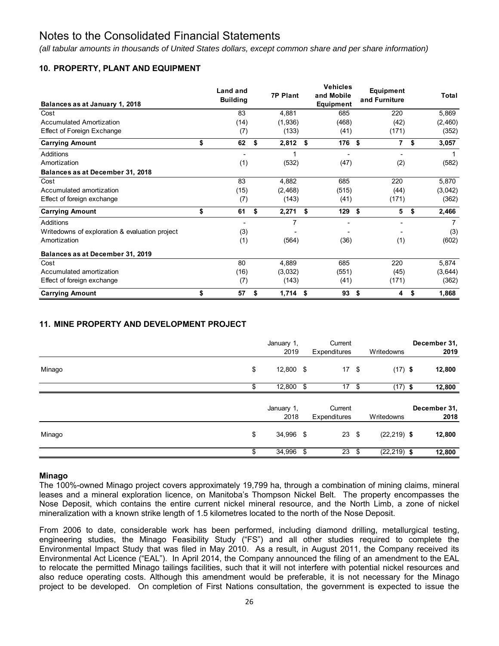*(all tabular amounts in thousands of United States dollars, except common share and per share information)*

# **10. PROPERTY, PLANT AND EQUIPMENT**

| Balances as at January 1, 2018                 | Land and<br><b>Building</b> |    | <b>7P Plant</b> | <b>Vehicles</b><br>and Mobile<br>Equipment |     | Equipment<br>and Furniture |    | Total          |
|------------------------------------------------|-----------------------------|----|-----------------|--------------------------------------------|-----|----------------------------|----|----------------|
| Cost                                           | 83                          |    | 4,881           | 685                                        |     | 220                        |    | 5,869          |
| <b>Accumulated Amortization</b>                | (14)                        |    | (1,936)         | (468)                                      |     | (42)                       |    | (2,460)        |
| Effect of Foreign Exchange                     | (7)                         |    | (133)           | (41)                                       |     | (171)                      |    | (352)          |
| <b>Carrying Amount</b>                         | \$<br>62                    | \$ | 2,812           | \$<br>176                                  | -\$ | $\overline{7}$             | \$ | 3,057          |
| Additions                                      | $\overline{\phantom{a}}$    |    |                 |                                            |     | ٠                          |    |                |
| Amortization                                   | (1)                         |    | (532)           | (47)                                       |     | (2)                        |    | (582)          |
| Balances as at December 31, 2018               |                             |    |                 |                                            |     |                            |    |                |
| Cost                                           | 83                          |    | 4,882           | 685                                        |     | 220                        |    | 5,870          |
| Accumulated amortization                       | (15)                        |    | (2, 468)        | (515)                                      |     | (44)                       |    | (3,042)        |
| Effect of foreign exchange                     | (7)                         |    | (143)           | (41)                                       |     | (171)                      |    | (362)          |
| <b>Carrying Amount</b>                         | \$<br>61                    | \$ | 2,271           | \$<br>129                                  | \$  | 5                          | \$ | 2,466          |
| Additions                                      | ٠                           |    | 7               | ۰                                          |     |                            |    | $\overline{7}$ |
| Writedowns of exploration & evaluation project | (3)                         |    |                 |                                            |     |                            |    | (3)            |
| Amortization                                   | (1)                         |    | (564)           | (36)                                       |     | (1)                        |    | (602)          |
| Balances as at December 31, 2019               |                             |    |                 |                                            |     |                            |    |                |
| Cost                                           | 80                          |    | 4,889           | 685                                        |     | 220                        |    | 5,874          |
| Accumulated amortization                       | (16)                        |    | (3,032)         | (551)                                      |     | (45)                       |    | (3,644)        |
| Effect of foreign exchange                     | (7)                         |    | (143)           | (41)                                       |     | (171)                      |    | (362)          |
| <b>Carrying Amount</b>                         | \$<br>57                    | S  | 1,714           | \$<br>93                                   | -\$ | 4                          | S  | 1,868          |

# **11. MINE PROPERTY AND DEVELOPMENT PROJECT**

|        | January 1,<br>2019 |     | Current<br>Expenditures |      | Writedowns     | December 31,<br>2019 |
|--------|--------------------|-----|-------------------------|------|----------------|----------------------|
| Minago | \$<br>12,800 \$    |     | $17 \quad$              |      | $(17)$ \$      | 12,800               |
|        | \$<br>12,800       | \$  | 17                      | - \$ | $(17)$ \$      | 12,800               |
|        | January 1,<br>2018 |     | Current<br>Expenditures |      | Writedowns     | December 31,<br>2018 |
| Minago | \$<br>34,996 \$    |     | $23 \quad $$            |      | $(22, 219)$ \$ | 12,800               |
|        | \$<br>34,996       | -\$ | 23                      | - \$ | $(22, 219)$ \$ | 12,800               |

# **Minago**

The 100%-owned Minago project covers approximately 19,799 ha, through a combination of mining claims, mineral leases and a mineral exploration licence, on Manitoba's Thompson Nickel Belt. The property encompasses the Nose Deposit, which contains the entire current nickel mineral resource, and the North Limb, a zone of nickel mineralization with a known strike length of 1.5 kilometres located to the north of the Nose Deposit.

From 2006 to date, considerable work has been performed, including diamond drilling, metallurgical testing, engineering studies, the Minago Feasibility Study ("FS") and all other studies required to complete the Environmental Impact Study that was filed in May 2010. As a result, in August 2011, the Company received its Environmental Act Licence ("EAL"). In April 2014, the Company announced the filing of an amendment to the EAL to relocate the permitted Minago tailings facilities, such that it will not interfere with potential nickel resources and also reduce operating costs. Although this amendment would be preferable, it is not necessary for the Minago project to be developed. On completion of First Nations consultation, the government is expected to issue the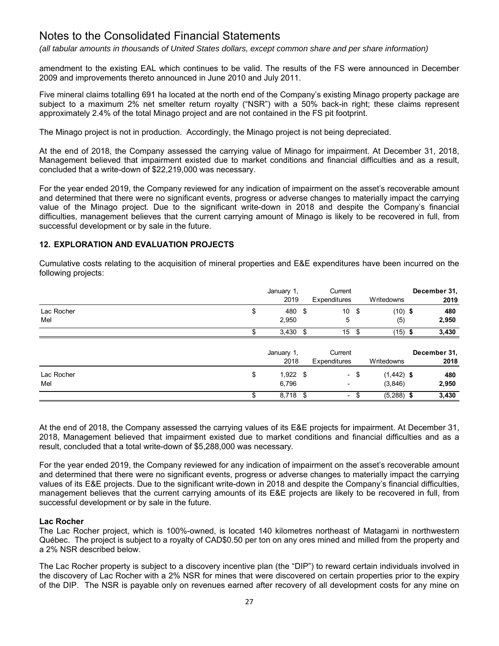*(all tabular amounts in thousands of United States dollars, except common share and per share information)*

amendment to the existing EAL which continues to be valid. The results of the FS were announced in December 2009 and improvements thereto announced in June 2010 and July 2011.

Five mineral claims totalling 691 ha located at the north end of the Company's existing Minago property package are subject to a maximum 2% net smelter return royalty ("NSR") with a 50% back-in right; these claims represent approximately 2.4% of the total Minago project and are not contained in the FS pit footprint.

The Minago project is not in production. Accordingly, the Minago project is not being depreciated.

At the end of 2018, the Company assessed the carrying value of Minago for impairment. At December 31, 2018, Management believed that impairment existed due to market conditions and financial difficulties and as a result, concluded that a write-down of \$22,219,000 was necessary.

For the year ended 2019, the Company reviewed for any indication of impairment on the asset's recoverable amount and determined that there were no significant events, progress or adverse changes to materially impact the carrying value of the Minago project. Due to the significant write-down in 2018 and despite the Company's financial difficulties, management believes that the current carrying amount of Minago is likely to be recovered in full, from successful development or by sale in the future.

# **12. EXPLORATION AND EVALUATION PROJECTS**

Cumulative costs relating to the acquisition of mineral properties and E&E expenditures have been incurred on the following projects:

|                   | January 1,<br>2019        |          | Current<br>Expenditures  |      | Writedowns               | December 31,<br>2019 |
|-------------------|---------------------------|----------|--------------------------|------|--------------------------|----------------------|
| Lac Rocher<br>Mel | \$<br>480<br>2,950        | \$       | 10<br>5                  | - \$ | $(10)$ \$<br>(5)         | 480<br>2,950         |
|                   | 3,430                     | <b>S</b> | 15S                      |      | $(15)$ \$                | 3,430                |
|                   | January 1,<br>2018        |          | Current<br>Expenditures  |      | Writedowns               | December 31,<br>2018 |
| Lac Rocher<br>Mel | \$<br>$1,922$ \$<br>6,796 |          | ٠                        | - \$ | $(1, 442)$ \$<br>(3,846) | 480<br>2,950         |
|                   | \$<br>$8,718$ \$          |          | $\overline{\phantom{0}}$ | \$   | $(5,288)$ \$             | 3,430                |

At the end of 2018, the Company assessed the carrying values of its E&E projects for impairment. At December 31, 2018, Management believed that impairment existed due to market conditions and financial difficulties and as a result, concluded that a total write-down of \$5,288,000 was necessary.

For the year ended 2019, the Company reviewed for any indication of impairment on the asset's recoverable amount and determined that there were no significant events, progress or adverse changes to materially impact the carrying values of its E&E projects. Due to the significant write-down in 2018 and despite the Company's financial difficulties, management believes that the current carrying amounts of its E&E projects are likely to be recovered in full, from successful development or by sale in the future.

# **Lac Rocher**

The Lac Rocher project, which is 100%-owned, is located 140 kilometres northeast of Matagami in northwestern Québec. The project is subject to a royalty of CAD\$0.50 per ton on any ores mined and milled from the property and a 2% NSR described below.

The Lac Rocher property is subject to a discovery incentive plan (the "DIP") to reward certain individuals involved in the discovery of Lac Rocher with a 2% NSR for mines that were discovered on certain properties prior to the expiry of the DIP. The NSR is payable only on revenues earned after recovery of all development costs for any mine on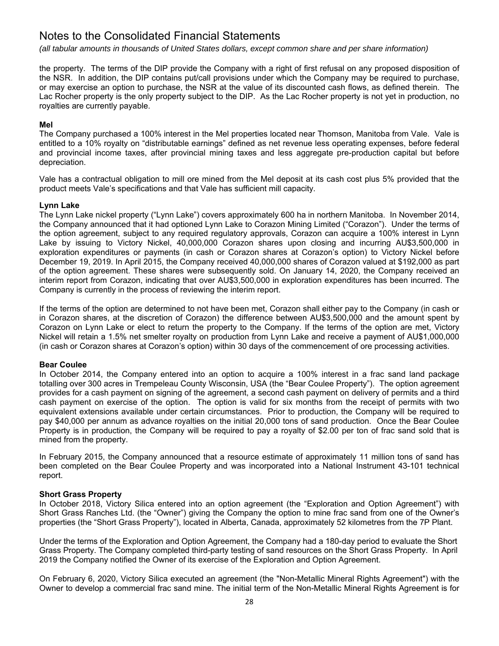*(all tabular amounts in thousands of United States dollars, except common share and per share information)*

the property. The terms of the DIP provide the Company with a right of first refusal on any proposed disposition of the NSR. In addition, the DIP contains put/call provisions under which the Company may be required to purchase, or may exercise an option to purchase, the NSR at the value of its discounted cash flows, as defined therein. The Lac Rocher property is the only property subject to the DIP. As the Lac Rocher property is not yet in production, no royalties are currently payable.

# **Mel**

The Company purchased a 100% interest in the Mel properties located near Thomson, Manitoba from Vale. Vale is entitled to a 10% royalty on "distributable earnings" defined as net revenue less operating expenses, before federal and provincial income taxes, after provincial mining taxes and less aggregate pre-production capital but before depreciation.

Vale has a contractual obligation to mill ore mined from the Mel deposit at its cash cost plus 5% provided that the product meets Vale's specifications and that Vale has sufficient mill capacity.

# **Lynn Lake**

The Lynn Lake nickel property ("Lynn Lake") covers approximately 600 ha in northern Manitoba. In November 2014, the Company announced that it had optioned Lynn Lake to Corazon Mining Limited ("Corazon"). Under the terms of the option agreement, subject to any required regulatory approvals, Corazon can acquire a 100% interest in Lynn Lake by issuing to Victory Nickel, 40,000,000 Corazon shares upon closing and incurring AU\$3,500,000 in exploration expenditures or payments (in cash or Corazon shares at Corazon's option) to Victory Nickel before December 19, 2019. In April 2015, the Company received 40,000,000 shares of Corazon valued at \$192,000 as part of the option agreement. These shares were subsequently sold. On January 14, 2020, the Company received an interim report from Corazon, indicating that over AU\$3,500,000 in exploration expenditures has been incurred. The Company is currently in the process of reviewing the interim report.

If the terms of the option are determined to not have been met, Corazon shall either pay to the Company (in cash or in Corazon shares, at the discretion of Corazon) the difference between AU\$3,500,000 and the amount spent by Corazon on Lynn Lake or elect to return the property to the Company. If the terms of the option are met, Victory Nickel will retain a 1.5% net smelter royalty on production from Lynn Lake and receive a payment of AU\$1,000,000 (in cash or Corazon shares at Corazon's option) within 30 days of the commencement of ore processing activities.

# **Bear Coulee**

In October 2014, the Company entered into an option to acquire a 100% interest in a frac sand land package totalling over 300 acres in Trempeleau County Wisconsin, USA (the "Bear Coulee Property"). The option agreement provides for a cash payment on signing of the agreement, a second cash payment on delivery of permits and a third cash payment on exercise of the option. The option is valid for six months from the receipt of permits with two equivalent extensions available under certain circumstances. Prior to production, the Company will be required to pay \$40,000 per annum as advance royalties on the initial 20,000 tons of sand production. Once the Bear Coulee Property is in production, the Company will be required to pay a royalty of \$2.00 per ton of frac sand sold that is mined from the property.

In February 2015, the Company announced that a resource estimate of approximately 11 million tons of sand has been completed on the Bear Coulee Property and was incorporated into a National Instrument 43-101 technical report.

# **Short Grass Property**

In October 2018, Victory Silica entered into an option agreement (the "Exploration and Option Agreement") with Short Grass Ranches Ltd. (the "Owner") giving the Company the option to mine frac sand from one of the Owner's properties (the "Short Grass Property"), located in Alberta, Canada, approximately 52 kilometres from the 7P Plant.

Under the terms of the Exploration and Option Agreement, the Company had a 180-day period to evaluate the Short Grass Property. The Company completed third-party testing of sand resources on the Short Grass Property. In April 2019 the Company notified the Owner of its exercise of the Exploration and Option Agreement.

On February 6, 2020, Victory Silica executed an agreement (the "Non-Metallic Mineral Rights Agreement") with the Owner to develop a commercial frac sand mine. The initial term of the Non-Metallic Mineral Rights Agreement is for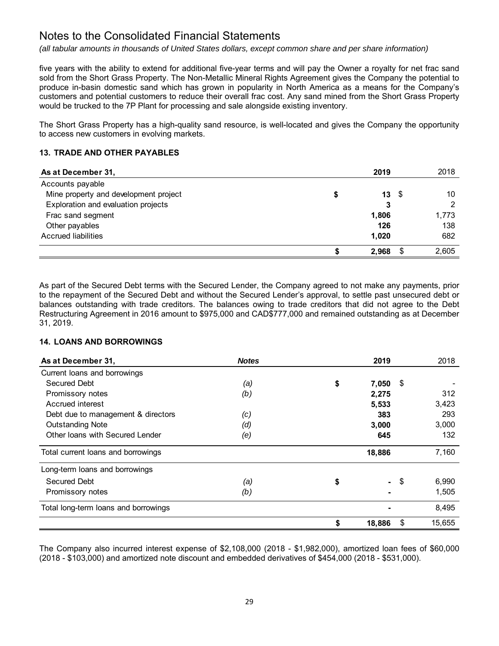*(all tabular amounts in thousands of United States dollars, except common share and per share information)*

five years with the ability to extend for additional five-year terms and will pay the Owner a royalty for net frac sand sold from the Short Grass Property. The Non-Metallic Mineral Rights Agreement gives the Company the potential to produce in-basin domestic sand which has grown in popularity in North America as a means for the Company's customers and potential customers to reduce their overall frac cost. Any sand mined from the Short Grass Property would be trucked to the 7P Plant for processing and sale alongside existing inventory.

The Short Grass Property has a high-quality sand resource, is well-located and gives the Company the opportunity to access new customers in evolving markets.

# **13. TRADE AND OTHER PAYABLES**

| As at December 31,                    | 2019                  | 2018  |
|---------------------------------------|-----------------------|-------|
| Accounts payable                      |                       |       |
| Mine property and development project | $13 \quad$ $\sqrt{3}$ | 10    |
| Exploration and evaluation projects   | 3                     | っ     |
| Frac sand segment                     | 1,806                 | 1,773 |
| Other payables                        | 126                   | 138   |
| <b>Accrued liabilities</b>            | 1.020                 | 682   |
|                                       | 2.968                 | 2,605 |

As part of the Secured Debt terms with the Secured Lender, the Company agreed to not make any payments, prior to the repayment of the Secured Debt and without the Secured Lender's approval, to settle past unsecured debt or balances outstanding with trade creditors. The balances owing to trade creditors that did not agree to the Debt Restructuring Agreement in 2016 amount to \$975,000 and CAD\$777,000 and remained outstanding as at December 31, 2019.

# **14. LOANS AND BORROWINGS**

| As at December 31,                   | <b>Notes</b> |    | 2019            | 2018         |
|--------------------------------------|--------------|----|-----------------|--------------|
| Current loans and borrowings         |              |    |                 |              |
| Secured Debt                         | (a)          | \$ | 7,050           | \$           |
| Promissory notes                     | (b)          |    | 2,275           | 312          |
| Accrued interest                     |              |    | 5,533           | 3,423        |
| Debt due to management & directors   | (c)          |    | 383             | 293          |
| <b>Outstanding Note</b>              | (d)          |    | 3,000           | 3,000        |
| Other Ioans with Secured Lender      | (e)          |    | 645             | 132          |
| Total current loans and borrowings   |              |    | 18,886          | 7,160        |
| Long-term loans and borrowings       |              |    |                 |              |
| <b>Secured Debt</b>                  | (a)          | \$ | $\sim$ 10 $\pm$ | \$<br>6,990  |
| Promissory notes                     | (b)          |    |                 | 1,505        |
| Total long-term loans and borrowings |              |    |                 | 8,495        |
|                                      |              | S  | 18,886          | \$<br>15,655 |

The Company also incurred interest expense of \$2,108,000 (2018 - \$1,982,000), amortized loan fees of \$60,000 (2018 - \$103,000) and amortized note discount and embedded derivatives of \$454,000 (2018 - \$531,000).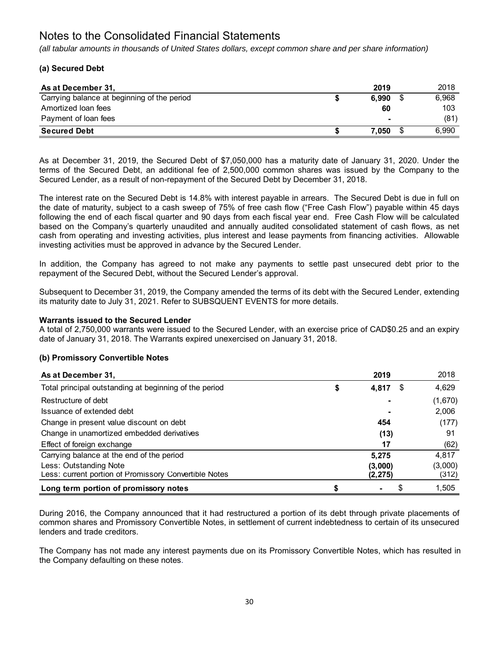*(all tabular amounts in thousands of United States dollars, except common share and per share information)*

# **(a) Secured Debt**

| As at December 31,                          | 2019           | 2018  |
|---------------------------------------------|----------------|-------|
| Carrying balance at beginning of the period | 6.990          | 6.968 |
| Amortized loan fees                         | 60             | 103   |
| Payment of loan fees                        | $\blacksquare$ | (81)  |
| <b>Secured Debt</b>                         | 7.050          | 6.990 |

As at December 31, 2019, the Secured Debt of \$7,050,000 has a maturity date of January 31, 2020. Under the terms of the Secured Debt, an additional fee of 2,500,000 common shares was issued by the Company to the Secured Lender, as a result of non-repayment of the Secured Debt by December 31, 2018.

The interest rate on the Secured Debt is 14.8% with interest payable in arrears. The Secured Debt is due in full on the date of maturity, subject to a cash sweep of 75% of free cash flow ("Free Cash Flow") payable within 45 days following the end of each fiscal quarter and 90 days from each fiscal year end. Free Cash Flow will be calculated based on the Company's quarterly unaudited and annually audited consolidated statement of cash flows, as net cash from operating and investing activities, plus interest and lease payments from financing activities. Allowable investing activities must be approved in advance by the Secured Lender.

In addition, the Company has agreed to not make any payments to settle past unsecured debt prior to the repayment of the Secured Debt, without the Secured Lender's approval.

Subsequent to December 31, 2019, the Company amended the terms of its debt with the Secured Lender, extending its maturity date to July 31, 2021. Refer to SUBSQUENT EVENTS for more details.

# **Warrants issued to the Secured Lender**

A total of 2,750,000 warrants were issued to the Secured Lender, with an exercise price of CAD\$0.25 and an expiry date of January 31, 2018. The Warrants expired unexercised on January 31, 2018.

# **(b) Promissory Convertible Notes**

| As at December 31,                                     | 2019                 | 2018    |
|--------------------------------------------------------|----------------------|---------|
| Total principal outstanding at beginning of the period | \$<br>4,817<br>\$    | 4,629   |
| Restructure of debt                                    |                      | (1,670) |
| Issuance of extended debt                              |                      | 2,006   |
| Change in present value discount on debt               | 454                  | (177)   |
| Change in unamortized embedded derivatives             | (13)                 | 91      |
| Effect of foreign exchange                             | 17                   | (62)    |
| Carrying balance at the end of the period              | 5,275                | 4,817   |
| Less: Outstanding Note                                 | (3,000)              | (3,000) |
| Less: current portion of Promissory Convertible Notes  | (2, 275)             | (312)   |
| Long term portion of promissory notes                  | \$<br>$\blacksquare$ | 1,505   |

During 2016, the Company announced that it had restructured a portion of its debt through private placements of common shares and Promissory Convertible Notes, in settlement of current indebtedness to certain of its unsecured lenders and trade creditors.

The Company has not made any interest payments due on its Promissory Convertible Notes, which has resulted in the Company defaulting on these notes.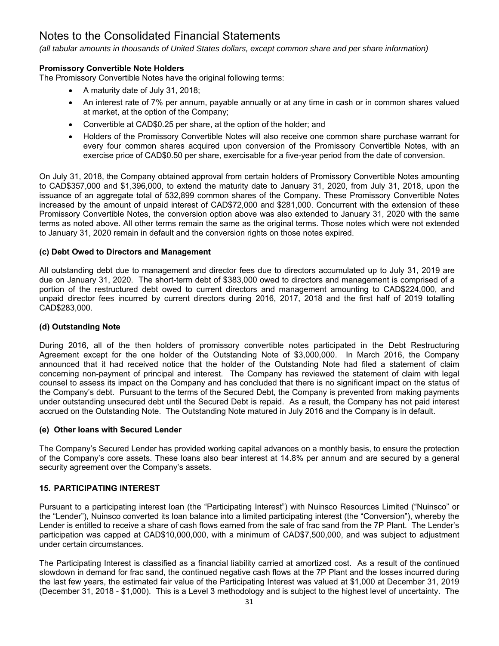*(all tabular amounts in thousands of United States dollars, except common share and per share information)*

# **Promissory Convertible Note Holders**

The Promissory Convertible Notes have the original following terms:

- A maturity date of July 31, 2018;
- An interest rate of 7% per annum, payable annually or at any time in cash or in common shares valued at market, at the option of the Company;
- Convertible at CAD\$0.25 per share, at the option of the holder; and
- Holders of the Promissory Convertible Notes will also receive one common share purchase warrant for every four common shares acquired upon conversion of the Promissory Convertible Notes, with an exercise price of CAD\$0.50 per share, exercisable for a five-year period from the date of conversion.

On July 31, 2018, the Company obtained approval from certain holders of Promissory Convertible Notes amounting to CAD\$357,000 and \$1,396,000, to extend the maturity date to January 31, 2020, from July 31, 2018, upon the issuance of an aggregate total of 532,899 common shares of the Company. These Promissory Convertible Notes increased by the amount of unpaid interest of CAD\$72,000 and \$281,000. Concurrent with the extension of these Promissory Convertible Notes, the conversion option above was also extended to January 31, 2020 with the same terms as noted above. All other terms remain the same as the original terms. Those notes which were not extended to January 31, 2020 remain in default and the conversion rights on those notes expired.

# **(c) Debt Owed to Directors and Management**

All outstanding debt due to management and director fees due to directors accumulated up to July 31, 2019 are due on January 31, 2020. The short-term debt of \$383,000 owed to directors and management is comprised of a portion of the restructured debt owed to current directors and management amounting to CAD\$224,000, and unpaid director fees incurred by current directors during 2016, 2017, 2018 and the first half of 2019 totalling CAD\$283,000.

# **(d) Outstanding Note**

During 2016, all of the then holders of promissory convertible notes participated in the Debt Restructuring Agreement except for the one holder of the Outstanding Note of \$3,000,000. In March 2016, the Company announced that it had received notice that the holder of the Outstanding Note had filed a statement of claim concerning non-payment of principal and interest. The Company has reviewed the statement of claim with legal counsel to assess its impact on the Company and has concluded that there is no significant impact on the status of the Company's debt. Pursuant to the terms of the Secured Debt, the Company is prevented from making payments under outstanding unsecured debt until the Secured Debt is repaid. As a result, the Company has not paid interest accrued on the Outstanding Note. The Outstanding Note matured in July 2016 and the Company is in default.

# **(e) Other loans with Secured Lender**

The Company's Secured Lender has provided working capital advances on a monthly basis, to ensure the protection of the Company's core assets. These loans also bear interest at 14.8% per annum and are secured by a general security agreement over the Company's assets.

# **15. PARTICIPATING INTEREST**

Pursuant to a participating interest loan (the "Participating Interest") with Nuinsco Resources Limited ("Nuinsco" or the "Lender"), Nuinsco converted its loan balance into a limited participating interest (the "Conversion"), whereby the Lender is entitled to receive a share of cash flows earned from the sale of frac sand from the 7P Plant. The Lender's participation was capped at CAD\$10,000,000, with a minimum of CAD\$7,500,000, and was subject to adjustment under certain circumstances.

The Participating Interest is classified as a financial liability carried at amortized cost. As a result of the continued slowdown in demand for frac sand, the continued negative cash flows at the 7P Plant and the losses incurred during the last few years, the estimated fair value of the Participating Interest was valued at \$1,000 at December 31, 2019 (December 31, 2018 - \$1,000). This is a Level 3 methodology and is subject to the highest level of uncertainty. The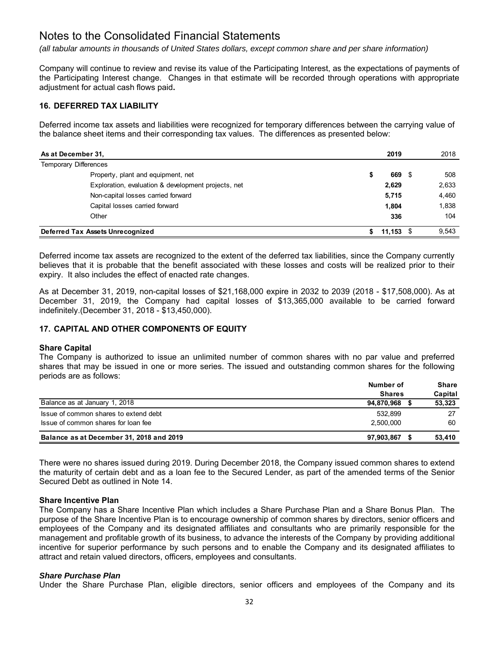*(all tabular amounts in thousands of United States dollars, except common share and per share information)*

Company will continue to review and revise its value of the Participating Interest, as the expectations of payments of the Participating Interest change. Changes in that estimate will be recorded through operations with appropriate adjustment for actual cash flows paid**.** 

# **16. DEFERRED TAX LIABILITY**

Deferred income tax assets and liabilities were recognized for temporary differences between the carrying value of the balance sheet items and their corresponding tax values. The differences as presented below:

| As at December 31,                                  | 2019        | 2018  |
|-----------------------------------------------------|-------------|-------|
| <b>Temporary Differences</b>                        |             |       |
| Property, plant and equipment, net                  | 669 \$      | 508   |
| Exploration, evaluation & development projects, net | 2.629       | 2,633 |
| Non-capital losses carried forward                  | 5,715       | 4,460 |
| Capital losses carried forward                      | 1.804       | 1,838 |
| Other                                               | 336         | 104   |
| Deferred Tax Assets Unrecognized                    | $11,153$ \$ | 9,543 |

Deferred income tax assets are recognized to the extent of the deferred tax liabilities, since the Company currently believes that it is probable that the benefit associated with these losses and costs will be realized prior to their expiry. It also includes the effect of enacted rate changes.

As at December 31, 2019, non-capital losses of \$21,168,000 expire in 2032 to 2039 (2018 - \$17,508,000). As at December 31, 2019, the Company had capital losses of \$13,365,000 available to be carried forward indefinitely.(December 31, 2018 - \$13,450,000).

# **17. CAPITAL AND OTHER COMPONENTS OF EQUITY**

# **Share Capital**

The Company is authorized to issue an unlimited number of common shares with no par value and preferred shares that may be issued in one or more series. The issued and outstanding common shares for the following periods are as follows:

|                                          | Number of<br><b>Shares</b> | <b>Share</b><br>Capital |
|------------------------------------------|----------------------------|-------------------------|
| Balance as at January 1, 2018            | 94,870,968                 | 53,323                  |
| Issue of common shares to extend debt    | 532.899                    | 27                      |
| Issue of common shares for loan fee      | 2.500.000                  | 60                      |
| Balance as at December 31, 2018 and 2019 | 97,903,867                 | 53,410                  |

There were no shares issued during 2019. During December 2018, the Company issued common shares to extend the maturity of certain debt and as a loan fee to the Secured Lender, as part of the amended terms of the Senior Secured Debt as outlined in Note 14.

# **Share Incentive Plan**

The Company has a Share Incentive Plan which includes a Share Purchase Plan and a Share Bonus Plan. The purpose of the Share Incentive Plan is to encourage ownership of common shares by directors, senior officers and employees of the Company and its designated affiliates and consultants who are primarily responsible for the management and profitable growth of its business, to advance the interests of the Company by providing additional incentive for superior performance by such persons and to enable the Company and its designated affiliates to attract and retain valued directors, officers, employees and consultants.

# *Share Purchase Plan*

Under the Share Purchase Plan, eligible directors, senior officers and employees of the Company and its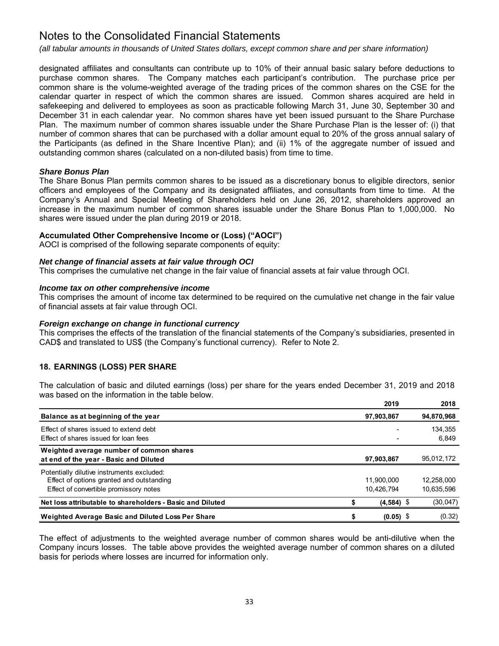*(all tabular amounts in thousands of United States dollars, except common share and per share information)*

designated affiliates and consultants can contribute up to 10% of their annual basic salary before deductions to purchase common shares. The Company matches each participant's contribution. The purchase price per common share is the volume-weighted average of the trading prices of the common shares on the CSE for the calendar quarter in respect of which the common shares are issued. Common shares acquired are held in safekeeping and delivered to employees as soon as practicable following March 31, June 30, September 30 and December 31 in each calendar year. No common shares have yet been issued pursuant to the Share Purchase Plan. The maximum number of common shares issuable under the Share Purchase Plan is the lesser of: (i) that number of common shares that can be purchased with a dollar amount equal to 20% of the gross annual salary of the Participants (as defined in the Share Incentive Plan); and (ii) 1% of the aggregate number of issued and outstanding common shares (calculated on a non-diluted basis) from time to time.

# *Share Bonus Plan*

The Share Bonus Plan permits common shares to be issued as a discretionary bonus to eligible directors, senior officers and employees of the Company and its designated affiliates, and consultants from time to time. At the Company's Annual and Special Meeting of Shareholders held on June 26, 2012, shareholders approved an increase in the maximum number of common shares issuable under the Share Bonus Plan to 1,000,000. No shares were issued under the plan during 2019 or 2018.

# **Accumulated Other Comprehensive Income or (Loss) ("AOCI")**

AOCI is comprised of the following separate components of equity:

# *Net change of financial assets at fair value through OCI*

This comprises the cumulative net change in the fair value of financial assets at fair value through OCI.

#### *Income tax on other comprehensive income*

This comprises the amount of income tax determined to be required on the cumulative net change in the fair value of financial assets at fair value through OCI.

#### *Foreign exchange on change in functional currency*

This comprises the effects of the translation of the financial statements of the Company's subsidiaries, presented in CAD\$ and translated to US\$ (the Company's functional currency). Refer to Note 2.

# **18. EARNINGS (LOSS) PER SHARE**

The calculation of basic and diluted earnings (loss) per share for the years ended December 31, 2019 and 2018 was based on the information in the table below.

|                                                                                         | 2019         | 2018       |
|-----------------------------------------------------------------------------------------|--------------|------------|
| Balance as at beginning of the year                                                     | 97,903,867   | 94,870,968 |
| Effect of shares issued to extend debt                                                  |              | 134,355    |
| Effect of shares issued for loan fees                                                   |              | 6,849      |
| Weighted average number of common shares<br>at end of the year - Basic and Diluted      | 97,903,867   | 95,012,172 |
| Potentially dilutive instruments excluded:<br>Effect of options granted and outstanding | 11.900.000   | 12.258.000 |
| Effect of convertible promissory notes                                                  | 10,426,794   | 10,635,596 |
| Net loss attributable to shareholders - Basic and Diluted                               | $(4,584)$ \$ | (30, 047)  |
| Weighted Average Basic and Diluted Loss Per Share                                       | $(0.05)$ \$  | (0.32)     |

The effect of adjustments to the weighted average number of common shares would be anti-dilutive when the Company incurs losses. The table above provides the weighted average number of common shares on a diluted basis for periods where losses are incurred for information only.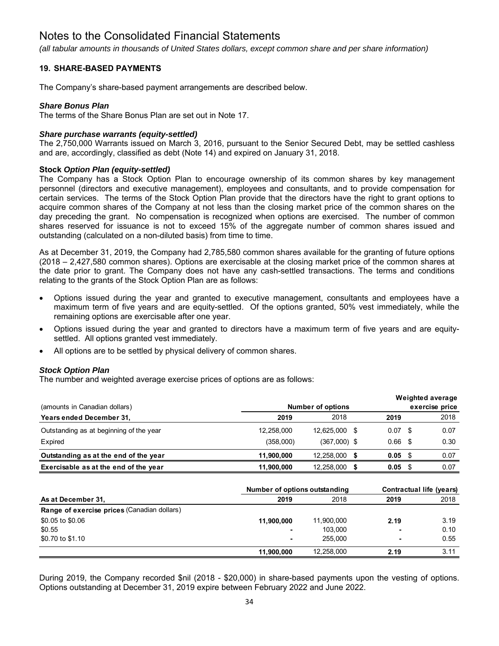*(all tabular amounts in thousands of United States dollars, except common share and per share information)*

# **19. SHARE-BASED PAYMENTS**

The Company's share-based payment arrangements are described below.

# *Share Bonus Plan*

The terms of the Share Bonus Plan are set out in Note 17.

# *Share purchase warrants (equity-settled)*

The 2,750,000 Warrants issued on March 3, 2016, pursuant to the Senior Secured Debt, may be settled cashless and are, accordingly, classified as debt (Note 14) and expired on January 31, 2018.

# **Stock** *Option Plan (equity-settled)*

The Company has a Stock Option Plan to encourage ownership of its common shares by key management personnel (directors and executive management), employees and consultants, and to provide compensation for certain services. The terms of the Stock Option Plan provide that the directors have the right to grant options to acquire common shares of the Company at not less than the closing market price of the common shares on the day preceding the grant. No compensation is recognized when options are exercised. The number of common shares reserved for issuance is not to exceed 15% of the aggregate number of common shares issued and outstanding (calculated on a non-diluted basis) from time to time.

As at December 31, 2019, the Company had 2,785,580 common shares available for the granting of future options (2018 – 2,427,580 common shares). Options are exercisable at the closing market price of the common shares at the date prior to grant. The Company does not have any cash-settled transactions. The terms and conditions relating to the grants of the Stock Option Plan are as follows:

- Options issued during the year and granted to executive management, consultants and employees have a maximum term of five years and are equity-settled. Of the options granted, 50% vest immediately, while the remaining options are exercisable after one year.
- Options issued during the year and granted to directors have a maximum term of five years and are equitysettled. All options granted vest immediately.
- All options are to be settled by physical delivery of common shares.

# *Stock Option Plan*

The number and weighted average exercise prices of options are as follows:

|                                         |            |                          |                    |     | Weighted average |
|-----------------------------------------|------------|--------------------------|--------------------|-----|------------------|
| (amounts in Canadian dollars)           |            | <b>Number of options</b> |                    |     | exercise price   |
| <b>Years ended December 31,</b>         | 2019       | 2018                     | 2019               |     | 2018             |
| Outstanding as at beginning of the year | 12,258,000 | 12.625.000               | $0.07 \text{ }$ \$ |     | 0.07             |
| Expired                                 | (358,000)  | $(367,000)$ \$           | 0.66               | \$. | 0.30             |
| Outstanding as at the end of the year   | 11,900,000 | 12.258.000               | 0.05               | S   | 0.07             |
| Exercisable as at the end of the year   | 11,900,000 | 12,258,000               | 0.05               |     | 0.07             |

|                                                    |            | Number of options outstanding |                |      |  |
|----------------------------------------------------|------------|-------------------------------|----------------|------|--|
| As at December 31.                                 | 2019       | 2018                          | 2019           | 2018 |  |
| <b>Range of exercise prices (Canadian dollars)</b> |            |                               |                |      |  |
| \$0.05 to \$0.06                                   | 11,900,000 | 11,900,000                    | 2.19           | 3.19 |  |
| \$0.55                                             |            | 103.000                       | $\blacksquare$ | 0.10 |  |
| \$0.70 to \$1.10                                   |            | 255,000                       |                | 0.55 |  |
|                                                    | 11,900,000 | 12.258.000                    | 2.19           | 3.11 |  |

During 2019, the Company recorded \$nil (2018 - \$20,000) in share-based payments upon the vesting of options. Options outstanding at December 31, 2019 expire between February 2022 and June 2022.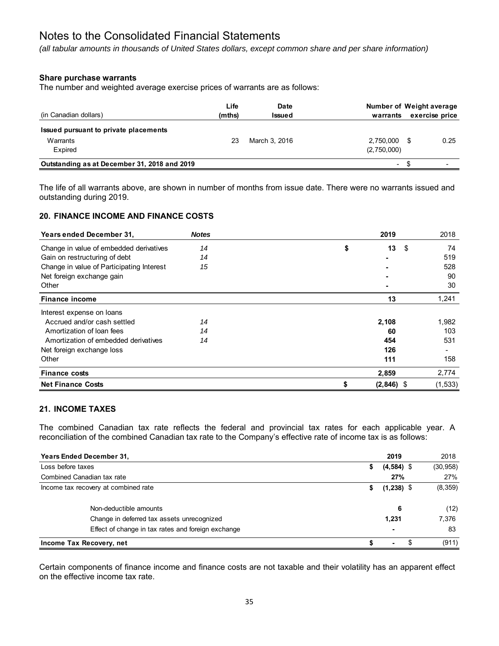*(all tabular amounts in thousands of United States dollars, except common share and per share information)*

# **Share purchase warrants**

The number and weighted average exercise prices of warrants are as follows:

| (in Canadian dollars)                        | Life<br>(mths) | Date<br>Issued | Number of Weight average<br>warrants | exercise price |      |
|----------------------------------------------|----------------|----------------|--------------------------------------|----------------|------|
| Issued pursuant to private placements        |                |                |                                      |                |      |
| Warrants<br>Expired                          | 23             | March 3, 2016  | 2.750.000 \$<br>(2,750,000)          |                | 0.25 |
| Outstanding as at December 31, 2018 and 2019 |                |                | $\sim$                               |                |      |

The life of all warrants above, are shown in number of months from issue date. There were no warrants issued and outstanding during 2019.

# **20. FINANCE INCOME AND FINANCE COSTS**

| <b>Years ended December 31,</b>           | <b>Notes</b> |       | 2019         | 2018     |
|-------------------------------------------|--------------|-------|--------------|----------|
| Change in value of embedded derivatives   | 14           | \$    | 13           | \$<br>74 |
| Gain on restructuring of debt             | 14           |       |              | 519      |
| Change in value of Participating Interest | 15           |       |              | 528      |
| Net foreign exchange gain                 |              |       |              | 90       |
| Other                                     |              |       |              | 30       |
| <b>Finance income</b>                     |              |       | 13           | 1,241    |
| Interest expense on loans                 |              |       |              |          |
| Accrued and/or cash settled               | 14           | 2,108 |              | 1,982    |
| Amortization of loan fees                 | 14           |       | 60           | 103      |
| Amortization of embedded derivatives      | 14           |       | 454          | 531      |
| Net foreign exchange loss                 |              |       | 126          |          |
| Other                                     |              |       | 111          | 158      |
| <b>Finance costs</b>                      |              | 2,859 |              | 2,774    |
| <b>Net Finance Costs</b>                  |              |       | $(2,846)$ \$ | (1, 533) |

# **21. INCOME TAXES**

The combined Canadian tax rate reflects the federal and provincial tax rates for each applicable year. A reconciliation of the combined Canadian tax rate to the Company's effective rate of income tax is as follows:

| <b>Years Ended December 31,</b>                    |    | 2019         |  | 2018      |
|----------------------------------------------------|----|--------------|--|-----------|
| Loss before taxes                                  | \$ | $(4,584)$ \$ |  | (30, 958) |
| Combined Canadian tax rate                         |    | 27%          |  | 27%       |
| Income tax recovery at combined rate               | S. | $(1,238)$ \$ |  | (8, 359)  |
| Non-deductible amounts                             |    | 6            |  | (12)      |
| Change in deferred tax assets unrecognized         |    | 1.231        |  | 7,376     |
| Effect of change in tax rates and foreign exchange |    |              |  | 83        |
| Income Tax Recovery, net                           |    | ۰            |  | (911)     |

Certain components of finance income and finance costs are not taxable and their volatility has an apparent effect on the effective income tax rate.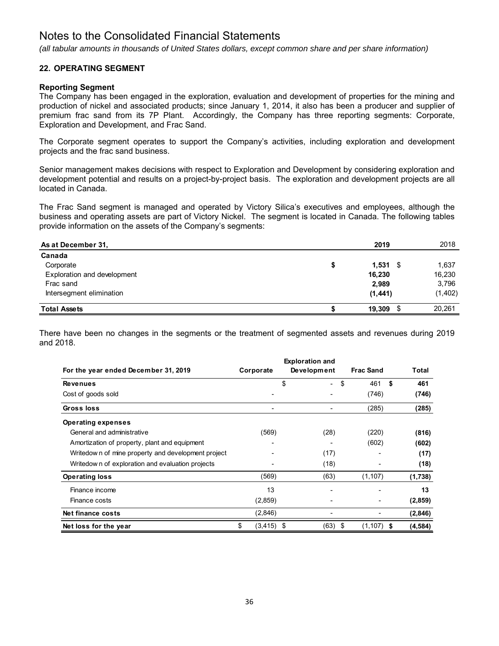*(all tabular amounts in thousands of United States dollars, except common share and per share information)*

# **22. OPERATING SEGMENT**

# **Reporting Segment**

The Company has been engaged in the exploration, evaluation and development of properties for the mining and production of nickel and associated products; since January 1, 2014, it also has been a producer and supplier of premium frac sand from its 7P Plant. Accordingly, the Company has three reporting segments: Corporate, Exploration and Development, and Frac Sand.

The Corporate segment operates to support the Company's activities, including exploration and development projects and the frac sand business.

Senior management makes decisions with respect to Exploration and Development by considering exploration and development potential and results on a project-by-project basis. The exploration and development projects are all located in Canada.

The Frac Sand segment is managed and operated by Victory Silica's executives and employees, although the business and operating assets are part of Victory Nickel. The segment is located in Canada. The following tables provide information on the assets of the Company's segments:

| As at December 31.          | 2019             | 2018     |
|-----------------------------|------------------|----------|
| Canada                      |                  |          |
| Corporate                   | \$<br>$1,531$ \$ | 1,637    |
| Exploration and development | 16,230           | 16,230   |
| Frac sand                   | 2,989            | 3,796    |
| Intersegment elimination    | (1, 441)         | (1, 402) |
| <b>Total Assets</b>         | 19,309<br>- \$   | 20,261   |

There have been no changes in the segments or the treatment of segmented assets and revenues during 2019 and 2018.

|                                                     |                     | <b>Exploration and</b> |                     |           |
|-----------------------------------------------------|---------------------|------------------------|---------------------|-----------|
| For the year ended December 31, 2019                | Corporate           | Development            | <b>Frac Sand</b>    | Total     |
| <b>Revenues</b>                                     |                     | \$                     | \$<br>461           | \$<br>461 |
| Cost of goods sold                                  |                     |                        | (746)               | (746)     |
| Gross loss                                          |                     |                        | (285)               | (285)     |
| <b>Operating expenses</b>                           |                     |                        |                     |           |
| General and administrative                          | (569)               | (28)                   | (220)               | (816)     |
| Amortization of property, plant and equipment       |                     |                        | (602)               | (602)     |
| Writedow n of mine property and development project |                     | (17)                   |                     | (17)      |
| Writedow n of exploration and evaluation projects   |                     | (18)                   |                     | (18)      |
| <b>Operating loss</b>                               | (569)               | (63)                   | (1, 107)            | (1,738)   |
| Finance income                                      | 13                  |                        |                     | 13        |
| Finance costs                                       | (2,859)             |                        |                     | (2,859)   |
| Net finance costs                                   | (2,846)             |                        |                     | (2, 846)  |
| Net loss for the year                               | \$<br>$(3, 415)$ \$ | (63)                   | \$<br>$(1, 107)$ \$ | (4, 584)  |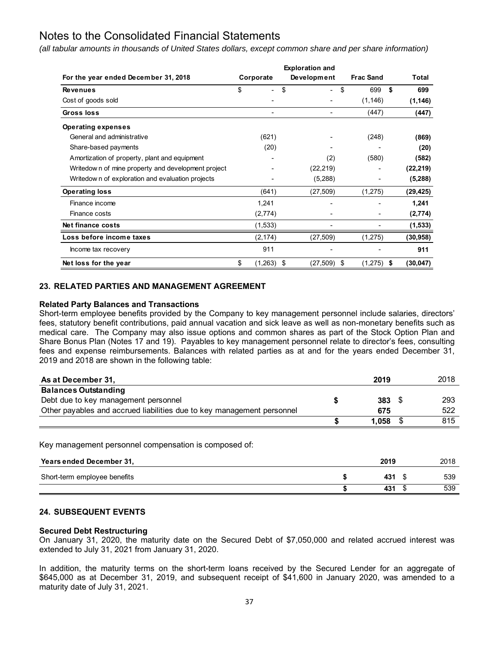*(all tabular amounts in thousands of United States dollars, except common share and per share information)*

|                                                    |               | <b>Exploration and</b> |                  |    |           |
|----------------------------------------------------|---------------|------------------------|------------------|----|-----------|
| For the year ended December 31, 2018               | Corporate     | Development            | <b>Frac Sand</b> |    | Total     |
| <b>Revenues</b>                                    | \$            | \$<br>Ξ.               | \$<br>699        | Ŝ. | 699       |
| Cost of goods sold                                 |               |                        | (1, 146)         |    | (1, 146)  |
| Gross loss                                         |               |                        | (447)            |    | (447)     |
| <b>Operating expenses</b>                          |               |                        |                  |    |           |
| General and administrative                         | (621)         |                        | (248)            |    | (869)     |
| Share-based payments                               | (20)          |                        |                  |    | (20)      |
| Amortization of property, plant and equipment      |               | (2)                    | (580)            |    | (582)     |
| Writedown of mine property and development project |               | (22, 219)              |                  |    | (22, 219) |
| Writedown of exploration and evaluation projects   |               | (5,288)                |                  |    | (5,288)   |
| <b>Operating loss</b>                              | (641)         | (27, 509)              | (1,275)          |    | (29, 425) |
| Finance income                                     | 1,241         | ۰                      |                  |    | 1,241     |
| Finance costs                                      | (2,774)       |                        |                  |    | (2,774)   |
| Net finance costs                                  | (1,533)       |                        |                  |    | (1, 533)  |
| Loss before income taxes                           | (2, 174)      | (27, 509)              | (1,275)          |    | (30, 958) |
| Income tax recovery                                | 911           |                        |                  |    | 911       |
| Net loss for the year                              | \$<br>(1,263) | \$<br>(27, 509)        | \$<br>(1,275)    | S  | (30, 047) |

# **23. RELATED PARTIES AND MANAGEMENT AGREEMENT**

# **Related Party Balances and Transactions**

Short-term employee benefits provided by the Company to key management personnel include salaries, directors' fees, statutory benefit contributions, paid annual vacation and sick leave as well as non-monetary benefits such as medical care. The Company may also issue options and common shares as part of the Stock Option Plan and Share Bonus Plan (Notes 17 and 19). Payables to key management personnel relate to director's fees, consulting fees and expense reimbursements. Balances with related parties as at and for the years ended December 31, 2019 and 2018 are shown in the following table:

| As at December 31,                                                     | 2019          | 2018 |
|------------------------------------------------------------------------|---------------|------|
| <b>Balances Outstanding</b>                                            |               |      |
| Debt due to key management personnel                                   | $383 \quad $$ | 293  |
| Other payables and accrued liabilities due to key management personnel | 675           | 522  |
|                                                                        | 1.058         | 815  |

Key management personnel compensation is composed of:

| Years ended December 31,     | 2019 | 2018 |
|------------------------------|------|------|
| Short-term employee benefits | 431  | 539  |
|                              | 431  | 539  |

# **24. SUBSEQUENT EVENTS**

#### **Secured Debt Restructuring**

On January 31, 2020, the maturity date on the Secured Debt of \$7,050,000 and related accrued interest was extended to July 31, 2021 from January 31, 2020.

In addition, the maturity terms on the short-term loans received by the Secured Lender for an aggregate of \$645,000 as at December 31, 2019, and subsequent receipt of \$41,600 in January 2020, was amended to a maturity date of July 31, 2021.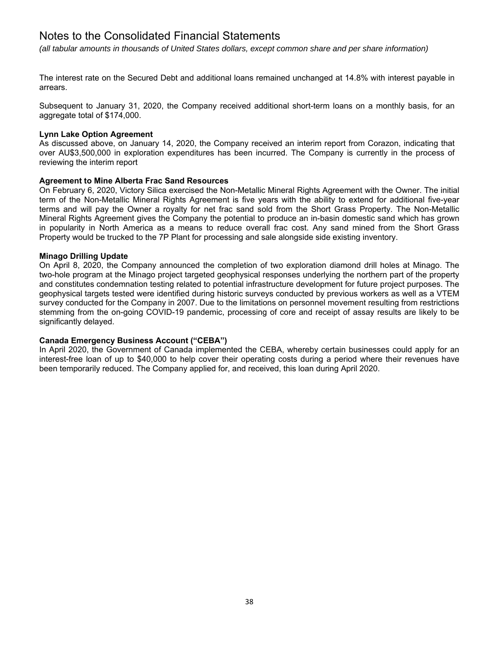*(all tabular amounts in thousands of United States dollars, except common share and per share information)*

The interest rate on the Secured Debt and additional loans remained unchanged at 14.8% with interest payable in arrears.

Subsequent to January 31, 2020, the Company received additional short-term loans on a monthly basis, for an aggregate total of \$174,000.

#### **Lynn Lake Option Agreement**

As discussed above, on January 14, 2020, the Company received an interim report from Corazon, indicating that over AU\$3,500,000 in exploration expenditures has been incurred. The Company is currently in the process of reviewing the interim report

# **Agreement to Mine Alberta Frac Sand Resources**

On February 6, 2020, Victory Silica exercised the Non-Metallic Mineral Rights Agreement with the Owner. The initial term of the Non-Metallic Mineral Rights Agreement is five years with the ability to extend for additional five-year terms and will pay the Owner a royalty for net frac sand sold from the Short Grass Property. The Non-Metallic Mineral Rights Agreement gives the Company the potential to produce an in-basin domestic sand which has grown in popularity in North America as a means to reduce overall frac cost. Any sand mined from the Short Grass Property would be trucked to the 7P Plant for processing and sale alongside side existing inventory.

#### **Minago Drilling Update**

On April 8, 2020, the Company announced the completion of two exploration diamond drill holes at Minago. The two-hole program at the Minago project targeted geophysical responses underlying the northern part of the property and constitutes condemnation testing related to potential infrastructure development for future project purposes. The geophysical targets tested were identified during historic surveys conducted by previous workers as well as a VTEM survey conducted for the Company in 2007. Due to the limitations on personnel movement resulting from restrictions stemming from the on-going COVID-19 pandemic, processing of core and receipt of assay results are likely to be significantly delayed.

# **Canada Emergency Business Account ("CEBA")**

In April 2020, the Government of Canada implemented the CEBA, whereby certain businesses could apply for an interest-free loan of up to \$40,000 to help cover their operating costs during a period where their revenues have been temporarily reduced. The Company applied for, and received, this loan during April 2020.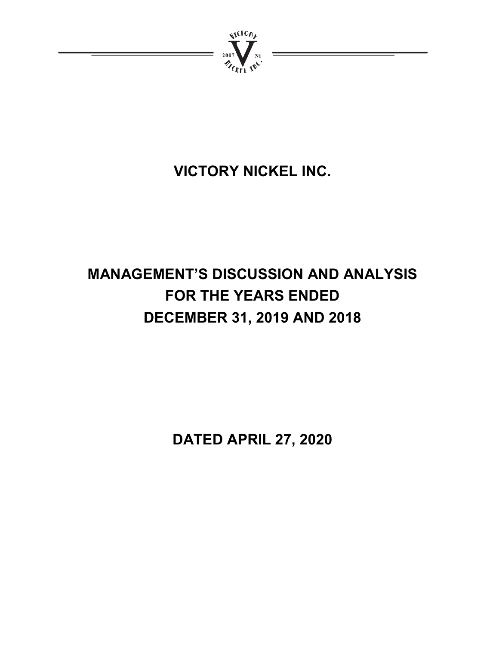

# **VICTORY NICKEL INC.**

# **MANAGEMENT'S DISCUSSION AND ANALYSIS FOR THE YEARS ENDED DECEMBER 31, 2019 AND 2018**

**DATED APRIL 27, 2020**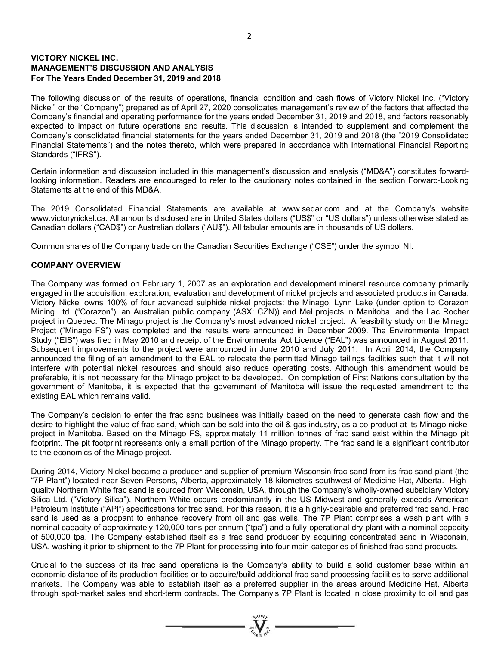# **VICTORY NICKEL INC. MANAGEMENT'S DISCUSSION AND ANALYSIS For The Years Ended December 31, 2019 and 2018**

The following discussion of the results of operations, financial condition and cash flows of Victory Nickel Inc. ("Victory Nickel" or the "Company") prepared as of April 27, 2020 consolidates management's review of the factors that affected the Company's financial and operating performance for the years ended December 31, 2019 and 2018, and factors reasonably expected to impact on future operations and results. This discussion is intended to supplement and complement the Company's consolidated financial statements for the years ended December 31, 2019 and 2018 (the "2019 Consolidated Financial Statements") and the notes thereto, which were prepared in accordance with International Financial Reporting Standards ("IFRS").

Certain information and discussion included in this management's discussion and analysis ("MD&A") constitutes forwardlooking information. Readers are encouraged to refer to the cautionary notes contained in the section Forward-Looking Statements at the end of this MD&A.

The 2019 Consolidated Financial Statements are available at www.sedar.com and at the Company's website www.victorynickel.ca. All amounts disclosed are in United States dollars ("US\$" or "US dollars") unless otherwise stated as Canadian dollars ("CAD\$") or Australian dollars ("AU\$"). All tabular amounts are in thousands of US dollars.

Common shares of the Company trade on the Canadian Securities Exchange ("CSE") under the symbol NI.

# **COMPANY OVERVIEW**

The Company was formed on February 1, 2007 as an exploration and development mineral resource company primarily engaged in the acquisition, exploration, evaluation and development of nickel projects and associated products in Canada. Victory Nickel owns 100% of four advanced sulphide nickel projects: the Minago, Lynn Lake (under option to Corazon Mining Ltd. ("Corazon"), an Australian public company (ASX: CZN)) and Mel projects in Manitoba, and the Lac Rocher project in Québec. The Minago project is the Company's most advanced nickel project. A feasibility study on the Minago Project ("Minago FS") was completed and the results were announced in December 2009. The Environmental Impact Study ("EIS") was filed in May 2010 and receipt of the Environmental Act Licence ("EAL") was announced in August 2011. Subsequent improvements to the project were announced in June 2010 and July 2011. In April 2014, the Company announced the filing of an amendment to the EAL to relocate the permitted Minago tailings facilities such that it will not interfere with potential nickel resources and should also reduce operating costs. Although this amendment would be preferable, it is not necessary for the Minago project to be developed. On completion of First Nations consultation by the government of Manitoba, it is expected that the government of Manitoba will issue the requested amendment to the existing EAL which remains valid.

The Company's decision to enter the frac sand business was initially based on the need to generate cash flow and the desire to highlight the value of frac sand, which can be sold into the oil & gas industry, as a co-product at its Minago nickel project in Manitoba. Based on the Minago FS, approximately 11 million tonnes of frac sand exist within the Minago pit footprint. The pit footprint represents only a small portion of the Minago property. The frac sand is a significant contributor to the economics of the Minago project.

During 2014, Victory Nickel became a producer and supplier of premium Wisconsin frac sand from its frac sand plant (the "7P Plant") located near Seven Persons, Alberta, approximately 18 kilometres southwest of Medicine Hat, Alberta. Highquality Northern White frac sand is sourced from Wisconsin, USA, through the Company's wholly-owned subsidiary Victory Silica Ltd. ("Victory Silica"). Northern White occurs predominantly in the US Midwest and generally exceeds American Petroleum Institute ("API") specifications for frac sand. For this reason, it is a highly-desirable and preferred frac sand. Frac sand is used as a proppant to enhance recovery from oil and gas wells. The 7P Plant comprises a wash plant with a nominal capacity of approximately 120,000 tons per annum ("tpa") and a fully-operational dry plant with a nominal capacity of 500,000 tpa. The Company established itself as a frac sand producer by acquiring concentrated sand in Wisconsin, USA, washing it prior to shipment to the 7P Plant for processing into four main categories of finished frac sand products.

Crucial to the success of its frac sand operations is the Company's ability to build a solid customer base within an economic distance of its production facilities or to acquire/build additional frac sand processing facilities to serve additional markets. The Company was able to establish itself as a preferred supplier in the areas around Medicine Hat, Alberta through spot-market sales and short-term contracts. The Company's 7P Plant is located in close proximity to oil and gas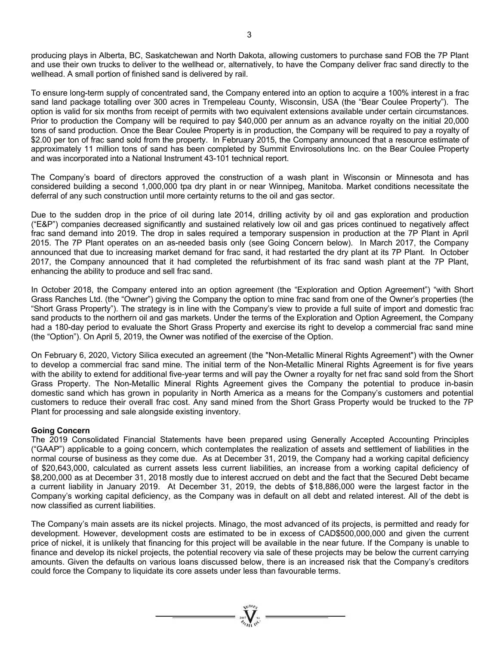producing plays in Alberta, BC, Saskatchewan and North Dakota, allowing customers to purchase sand FOB the 7P Plant and use their own trucks to deliver to the wellhead or, alternatively, to have the Company deliver frac sand directly to the wellhead. A small portion of finished sand is delivered by rail.

To ensure long-term supply of concentrated sand, the Company entered into an option to acquire a 100% interest in a frac sand land package totalling over 300 acres in Trempeleau County, Wisconsin, USA (the "Bear Coulee Property"). The option is valid for six months from receipt of permits with two equivalent extensions available under certain circumstances. Prior to production the Company will be required to pay \$40,000 per annum as an advance royalty on the initial 20,000 tons of sand production. Once the Bear Coulee Property is in production, the Company will be required to pay a royalty of \$2.00 per ton of frac sand sold from the property. In February 2015, the Company announced that a resource estimate of approximately 11 million tons of sand has been completed by Summit Envirosolutions Inc. on the Bear Coulee Property and was incorporated into a National Instrument 43-101 technical report.

The Company's board of directors approved the construction of a wash plant in Wisconsin or Minnesota and has considered building a second 1,000,000 tpa dry plant in or near Winnipeg, Manitoba. Market conditions necessitate the deferral of any such construction until more certainty returns to the oil and gas sector.

Due to the sudden drop in the price of oil during late 2014, drilling activity by oil and gas exploration and production ("E&P") companies decreased significantly and sustained relatively low oil and gas prices continued to negatively affect frac sand demand into 2019. The drop in sales required a temporary suspension in production at the 7P Plant in April 2015. The 7P Plant operates on an as-needed basis only (see Going Concern below). In March 2017, the Company announced that due to increasing market demand for frac sand, it had restarted the dry plant at its 7P Plant. In October 2017, the Company announced that it had completed the refurbishment of its frac sand wash plant at the 7P Plant, enhancing the ability to produce and sell frac sand.

In October 2018, the Company entered into an option agreement (the "Exploration and Option Agreement") "with Short Grass Ranches Ltd. (the "Owner") giving the Company the option to mine frac sand from one of the Owner's properties (the "Short Grass Property"). The strategy is in line with the Company's view to provide a full suite of import and domestic frac sand products to the northern oil and gas markets. Under the terms of the Exploration and Option Agreement, the Company had a 180-day period to evaluate the Short Grass Property and exercise its right to develop a commercial frac sand mine (the "Option"). On April 5, 2019, the Owner was notified of the exercise of the Option.

On February 6, 2020, Victory Silica executed an agreement (the "Non-Metallic Mineral Rights Agreement") with the Owner to develop a commercial frac sand mine. The initial term of the Non-Metallic Mineral Rights Agreement is for five years with the ability to extend for additional five-year terms and will pay the Owner a royalty for net frac sand sold from the Short Grass Property. The Non-Metallic Mineral Rights Agreement gives the Company the potential to produce in-basin domestic sand which has grown in popularity in North America as a means for the Company's customers and potential customers to reduce their overall frac cost. Any sand mined from the Short Grass Property would be trucked to the 7P Plant for processing and sale alongside existing inventory.

# **Going Concern**

The 2019 Consolidated Financial Statements have been prepared using Generally Accepted Accounting Principles ("GAAP") applicable to a going concern, which contemplates the realization of assets and settlement of liabilities in the normal course of business as they come due. As at December 31, 2019, the Company had a working capital deficiency of \$20,643,000, calculated as current assets less current liabilities, an increase from a working capital deficiency of \$8,200,000 as at December 31, 2018 mostly due to interest accrued on debt and the fact that the Secured Debt became a current liability in January 2019. At December 31, 2019, the debts of \$18,886,000 were the largest factor in the Company's working capital deficiency, as the Company was in default on all debt and related interest. All of the debt is now classified as current liabilities.

The Company's main assets are its nickel projects. Minago, the most advanced of its projects, is permitted and ready for development. However, development costs are estimated to be in excess of CAD\$500,000,000 and given the current price of nickel, it is unlikely that financing for this project will be available in the near future. If the Company is unable to finance and develop its nickel projects, the potential recovery via sale of these projects may be below the current carrying amounts. Given the defaults on various loans discussed below, there is an increased risk that the Company's creditors could force the Company to liquidate its core assets under less than favourable terms.

 $\sum_{n=1}^{\infty}$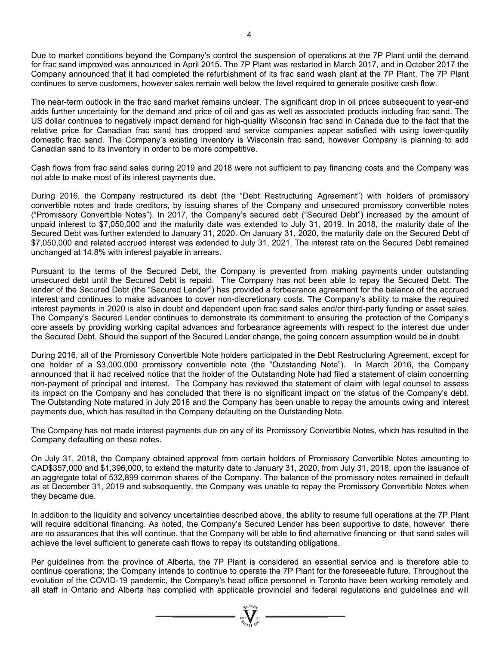Due to market conditions beyond the Company's control the suspension of operations at the 7P Plant until the demand for frac sand improved was announced in April 2015. The 7P Plant was restarted in March 2017, and in October 2017 the Company announced that it had completed the refurbishment of its frac sand wash plant at the 7P Plant. The 7P Plant continues to serve customers, however sales remain well below the level required to generate positive cash flow.

The near-term outlook in the frac sand market remains unclear. The significant drop in oil prices subsequent to year-end adds further uncertainty for the demand and price of oil and gas as well as associated products including frac sand. The US dollar continues to negatively impact demand for high-quality Wisconsin frac sand in Canada due to the fact that the relative price for Canadian frac sand has dropped and service companies appear satisfied with using lower-quality domestic frac sand. The Company's existing inventory is Wisconsin frac sand, however Company is planning to add Canadian sand to its inventory in order to be more competitive.

Cash flows from frac sand sales during 2019 and 2018 were not sufficient to pay financing costs and the Company was not able to make most of its interest payments due.

During 2016, the Company restructured its debt (the "Debt Restructuring Agreement") with holders of promissory convertible notes and trade creditors, by issuing shares of the Company and unsecured promissory convertible notes ("Promissory Convertible Notes"). In 2017, the Company's secured debt ("Secured Debt") increased by the amount of unpaid interest to \$7,050,000 and the maturity date was extended to July 31, 2019. In 2018, the maturity date of the Secured Debt was further extended to January 31, 2020. On January 31, 2020, the maturity date on the Secured Debt of \$7,050,000 and related accrued interest was extended to July 31, 2021. The interest rate on the Secured Debt remained unchanged at 14.8% with interest payable in arrears.

Pursuant to the terms of the Secured Debt, the Company is prevented from making payments under outstanding unsecured debt until the Secured Debt is repaid. The Company has not been able to repay the Secured Debt. The lender of the Secured Debt (the "Secured Lender") has provided a forbearance agreement for the balance of the accrued interest and continues to make advances to cover non-discretionary costs. The Company's ability to make the required interest payments in 2020 is also in doubt and dependent upon frac sand sales and/or third-party funding or asset sales. The Company's Secured Lender continues to demonstrate its commitment to ensuring the protection of the Company's core assets by providing working capital advances and forbearance agreements with respect to the interest due under the Secured Debt. Should the support of the Secured Lender change, the going concern assumption would be in doubt.

During 2016, all of the Promissory Convertible Note holders participated in the Debt Restructuring Agreement, except for one holder of a \$3,000,000 promissory convertible note (the "Outstanding Note"). In March 2016, the Company announced that it had received notice that the holder of the Outstanding Note had filed a statement of claim concerning non-payment of principal and interest. The Company has reviewed the statement of claim with legal counsel to assess its impact on the Company and has concluded that there is no significant impact on the status of the Company's debt. The Outstanding Note matured in July 2016 and the Company has been unable to repay the amounts owing and interest payments due, which has resulted in the Company defaulting on the Outstanding Note.

The Company has not made interest payments due on any of its Promissory Convertible Notes, which has resulted in the Company defaulting on these notes.

On July 31, 2018, the Company obtained approval from certain holders of Promissory Convertible Notes amounting to CAD\$357,000 and \$1,396,000, to extend the maturity date to January 31, 2020, from July 31, 2018, upon the issuance of an aggregate total of 532,899 common shares of the Company. The balance of the promissory notes remained in default as at December 31, 2019 and subsequently, the Company was unable to repay the Promissory Convertible Notes when they became due.

In addition to the liquidity and solvency uncertainties described above, the ability to resume full operations at the 7P Plant will require additional financing. As noted, the Company's Secured Lender has been supportive to date, however there are no assurances that this will continue, that the Company will be able to find alternative financing or that sand sales will achieve the level sufficient to generate cash flows to repay its outstanding obligations.

Per guidelines from the province of Alberta, the 7P Plant is considered an essential service and is therefore able to continue operations; the Company intends to continue to operate the 7P Plant for the foreseeable future. Throughout the evolution of the COVID-19 pandemic, the Company's head office personnel in Toronto have been working remotely and all staff in Ontario and Alberta has complied with applicable provincial and federal regulations and guidelines and will

 $=\prod_{\substack{i=1\\ \text{odd }i}}^{\text{qtd}(i)}$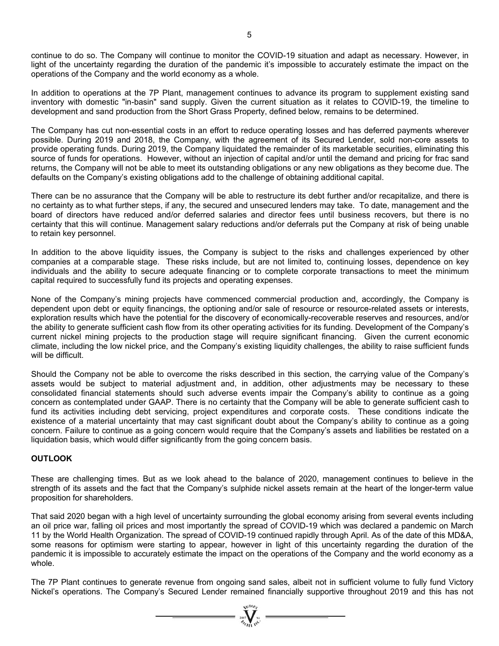continue to do so. The Company will continue to monitor the COVID-19 situation and adapt as necessary. However, in light of the uncertainty regarding the duration of the pandemic it's impossible to accurately estimate the impact on the operations of the Company and the world economy as a whole.

In addition to operations at the 7P Plant, management continues to advance its program to supplement existing sand inventory with domestic "in-basin" sand supply. Given the current situation as it relates to COVID-19, the timeline to development and sand production from the Short Grass Property, defined below, remains to be determined.

The Company has cut non-essential costs in an effort to reduce operating losses and has deferred payments wherever possible. During 2019 and 2018, the Company, with the agreement of its Secured Lender, sold non-core assets to provide operating funds. During 2019, the Company liquidated the remainder of its marketable securities, eliminating this source of funds for operations. However, without an injection of capital and/or until the demand and pricing for frac sand returns, the Company will not be able to meet its outstanding obligations or any new obligations as they become due. The defaults on the Company's existing obligations add to the challenge of obtaining additional capital.

There can be no assurance that the Company will be able to restructure its debt further and/or recapitalize, and there is no certainty as to what further steps, if any, the secured and unsecured lenders may take. To date, management and the board of directors have reduced and/or deferred salaries and director fees until business recovers, but there is no certainty that this will continue. Management salary reductions and/or deferrals put the Company at risk of being unable to retain key personnel.

In addition to the above liquidity issues, the Company is subject to the risks and challenges experienced by other companies at a comparable stage. These risks include, but are not limited to, continuing losses, dependence on key individuals and the ability to secure adequate financing or to complete corporate transactions to meet the minimum capital required to successfully fund its projects and operating expenses.

None of the Company's mining projects have commenced commercial production and, accordingly, the Company is dependent upon debt or equity financings, the optioning and/or sale of resource or resource-related assets or interests, exploration results which have the potential for the discovery of economically-recoverable reserves and resources, and/or the ability to generate sufficient cash flow from its other operating activities for its funding. Development of the Company's current nickel mining projects to the production stage will require significant financing. Given the current economic climate, including the low nickel price, and the Company's existing liquidity challenges, the ability to raise sufficient funds will be difficult.

Should the Company not be able to overcome the risks described in this section, the carrying value of the Company's assets would be subject to material adjustment and, in addition, other adjustments may be necessary to these consolidated financial statements should such adverse events impair the Company's ability to continue as a going concern as contemplated under GAAP. There is no certainty that the Company will be able to generate sufficient cash to fund its activities including debt servicing, project expenditures and corporate costs. These conditions indicate the existence of a material uncertainty that may cast significant doubt about the Company's ability to continue as a going concern. Failure to continue as a going concern would require that the Company's assets and liabilities be restated on a liquidation basis, which would differ significantly from the going concern basis.

# **OUTLOOK**

These are challenging times. But as we look ahead to the balance of 2020, management continues to believe in the strength of its assets and the fact that the Company's sulphide nickel assets remain at the heart of the longer-term value proposition for shareholders.

That said 2020 began with a high level of uncertainty surrounding the global economy arising from several events including an oil price war, falling oil prices and most importantly the spread of COVID-19 which was declared a pandemic on March 11 by the World Health Organization. The spread of COVID-19 continued rapidly through April. As of the date of this MD&A, some reasons for optimism were starting to appear, however in light of this uncertainty regarding the duration of the pandemic it is impossible to accurately estimate the impact on the operations of the Company and the world economy as a whole.

The 7P Plant continues to generate revenue from ongoing sand sales, albeit not in sufficient volume to fully fund Victory Nickel's operations. The Company's Secured Lender remained financially supportive throughout 2019 and this has not

 $=\prod_{\alpha}^{N(\alpha)}$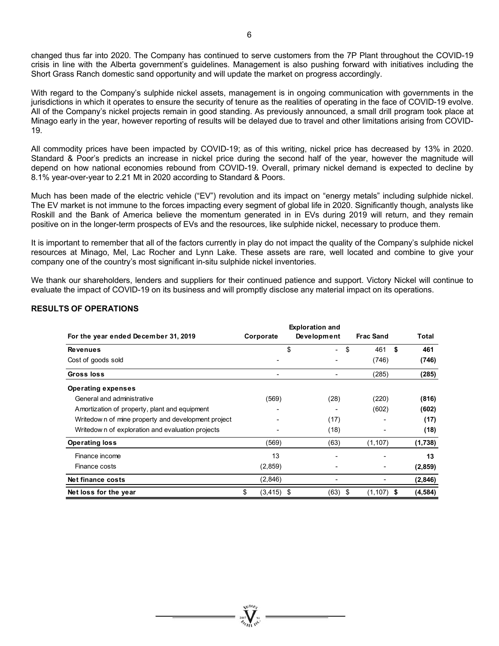changed thus far into 2020. The Company has continued to serve customers from the 7P Plant throughout the COVID-19 crisis in line with the Alberta government's guidelines. Management is also pushing forward with initiatives including the Short Grass Ranch domestic sand opportunity and will update the market on progress accordingly.

With regard to the Company's sulphide nickel assets, management is in ongoing communication with governments in the jurisdictions in which it operates to ensure the security of tenure as the realities of operating in the face of COVID-19 evolve. All of the Company's nickel projects remain in good standing. As previously announced, a small drill program took place at Minago early in the year, however reporting of results will be delayed due to travel and other limitations arising from COVID-19.

All commodity prices have been impacted by COVID-19; as of this writing, nickel price has decreased by 13% in 2020. Standard & Poor's predicts an increase in nickel price during the second half of the year, however the magnitude will depend on how national economies rebound from COVID-19. Overall, primary nickel demand is expected to decline by 8.1% year-over-year to 2.21 Mt in 2020 according to Standard & Poors.

Much has been made of the electric vehicle ("EV") revolution and its impact on "energy metals" including sulphide nickel. The EV market is not immune to the forces impacting every segment of global life in 2020. Significantly though, analysts like Roskill and the Bank of America believe the momentum generated in in EVs during 2019 will return, and they remain positive on in the longer-term prospects of EVs and the resources, like sulphide nickel, necessary to produce them.

It is important to remember that all of the factors currently in play do not impact the quality of the Company's sulphide nickel resources at Minago, Mel, Lac Rocher and Lynn Lake. These assets are rare, well located and combine to give your company one of the country's most significant in-situ sulphide nickel inventories.

We thank our shareholders, lenders and suppliers for their continued patience and support. Victory Nickel will continue to evaluate the impact of COVID-19 on its business and will promptly disclose any material impact on its operations.

# **RESULTS OF OPERATIONS**

| For the year ended December 31, 2019               | Corporate           | <b>Exploration and</b><br>Development | <b>Frac Sand</b>    | Total     |
|----------------------------------------------------|---------------------|---------------------------------------|---------------------|-----------|
| <b>Revenues</b>                                    |                     | \$<br>۰.                              | \$<br>461           | \$<br>461 |
| Cost of goods sold                                 |                     |                                       | (746)               | (746)     |
| Gross loss                                         | ٠                   |                                       | (285)               | (285)     |
| <b>Operating expenses</b>                          |                     |                                       |                     |           |
| General and administrative                         | (569)               | (28)                                  | (220)               | (816)     |
| Amortization of property, plant and equipment      |                     |                                       | (602)               | (602)     |
| Writedown of mine property and development project |                     | (17)                                  |                     | (17)      |
| Writedow n of exploration and evaluation projects  |                     | (18)                                  |                     | (18)      |
| <b>Operating loss</b>                              | (569)               | (63)                                  | (1, 107)            | (1,738)   |
| Finance income                                     | 13                  |                                       |                     | 13        |
| Finance costs                                      | (2,859)             |                                       |                     | (2,859)   |
| Net finance costs                                  | (2,846)             |                                       |                     | (2,846)   |
| Net loss for the year                              | \$<br>$(3, 415)$ \$ | (63)                                  | -\$<br>$(1,107)$ \$ | (4, 584)  |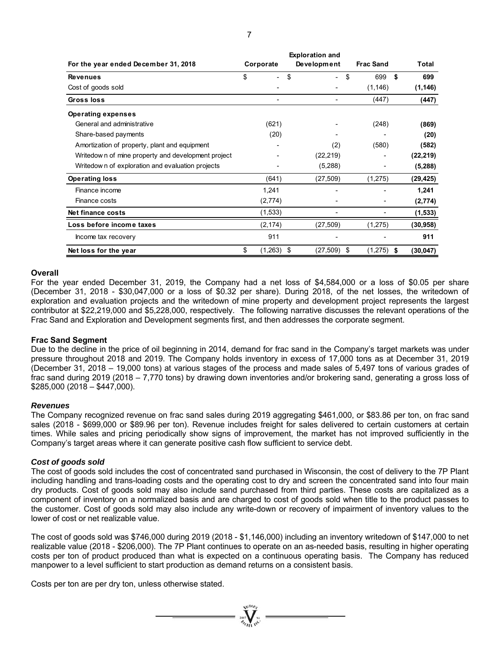| For the year ended December 31, 2018               | Corporate                      | Development  | <b>Frac Sand</b>   | <b>Total</b> |
|----------------------------------------------------|--------------------------------|--------------|--------------------|--------------|
| <b>Revenues</b>                                    | \$<br>$\overline{\phantom{0}}$ | \$<br>$\sim$ | \$<br>699          | \$<br>699    |
| Cost of goods sold                                 |                                |              | (1, 146)           | (1, 146)     |
| <b>Gross loss</b>                                  |                                |              | (447)              | (447)        |
| <b>Operating expenses</b>                          |                                |              |                    |              |
| General and administrative                         | (621)                          |              | (248)              | (869)        |
| Share-based payments                               | (20)                           |              |                    | (20)         |
| Amortization of property, plant and equipment      |                                | (2)          | (580)              | (582)        |
| Writedown of mine property and development project |                                | (22, 219)    |                    | (22, 219)    |
| Writedow n of exploration and evaluation projects  |                                | (5,288)      |                    | (5, 288)     |
| <b>Operating loss</b>                              | (641)                          | (27, 509)    | (1,275)            | (29,425)     |
| Finance income                                     | 1,241                          |              |                    | 1,241        |
| Finance costs                                      | (2,774)                        |              |                    | (2,774)      |
| Net finance costs                                  | (1,533)                        |              |                    | (1, 533)     |
| Loss before income taxes                           | (2, 174)                       | (27, 509)    | (1,275)            | (30,958)     |
| Income tax recovery                                | 911                            |              |                    | 911          |
| Net loss for the year                              | \$<br>$(1,263)$ \$             | (27,509)     | \$<br>$(1,275)$ \$ | (30, 047)    |

#### **Overall**

For the year ended December 31, 2019, the Company had a net loss of \$4,584,000 or a loss of \$0.05 per share (December 31, 2018 - \$30,047,000 or a loss of \$0.32 per share). During 2018, of the net losses, the writedown of exploration and evaluation projects and the writedown of mine property and development project represents the largest contributor at \$22,219,000 and \$5,228,000, respectively. The following narrative discusses the relevant operations of the Frac Sand and Exploration and Development segments first, and then addresses the corporate segment.

#### **Frac Sand Segment**

Due to the decline in the price of oil beginning in 2014, demand for frac sand in the Company's target markets was under pressure throughout 2018 and 2019. The Company holds inventory in excess of 17,000 tons as at December 31, 2019 (December 31, 2018 – 19,000 tons) at various stages of the process and made sales of 5,497 tons of various grades of frac sand during 2019 (2018 – 7,770 tons) by drawing down inventories and/or brokering sand, generating a gross loss of  $$285,000 (2018 - $447,000).$ 

#### *Revenues*

The Company recognized revenue on frac sand sales during 2019 aggregating \$461,000, or \$83.86 per ton, on frac sand sales (2018 - \$699,000 or \$89.96 per ton). Revenue includes freight for sales delivered to certain customers at certain times. While sales and pricing periodically show signs of improvement, the market has not improved sufficiently in the Company's target areas where it can generate positive cash flow sufficient to service debt.

# *Cost of goods sold*

The cost of goods sold includes the cost of concentrated sand purchased in Wisconsin, the cost of delivery to the 7P Plant including handling and trans-loading costs and the operating cost to dry and screen the concentrated sand into four main dry products. Cost of goods sold may also include sand purchased from third parties. These costs are capitalized as a component of inventory on a normalized basis and are charged to cost of goods sold when title to the product passes to the customer. Cost of goods sold may also include any write-down or recovery of impairment of inventory values to the lower of cost or net realizable value.

The cost of goods sold was \$746,000 during 2019 (2018 - \$1,146,000) including an inventory writedown of \$147,000 to net realizable value (2018 - \$206,000). The 7P Plant continues to operate on an as-needed basis, resulting in higher operating costs per ton of product produced than what is expected on a continuous operating basis. The Company has reduced manpower to a level sufficient to start production as demand returns on a consistent basis.

Costs per ton are per dry ton, unless otherwise stated.

**Exploration and**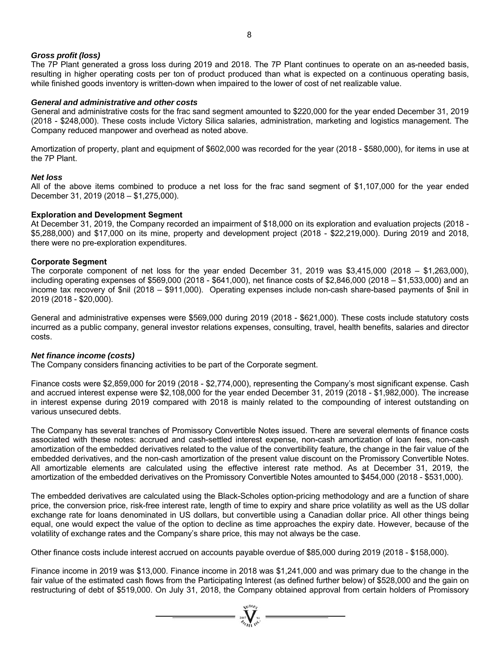# *Gross profit (loss)*

The 7P Plant generated a gross loss during 2019 and 2018. The 7P Plant continues to operate on an as-needed basis, resulting in higher operating costs per ton of product produced than what is expected on a continuous operating basis, while finished goods inventory is written-down when impaired to the lower of cost of net realizable value.

# *General and administrative and other costs*

General and administrative costs for the frac sand segment amounted to \$220,000 for the year ended December 31, 2019 (2018 - \$248,000). These costs include Victory Silica salaries, administration, marketing and logistics management. The Company reduced manpower and overhead as noted above.

Amortization of property, plant and equipment of \$602,000 was recorded for the year (2018 - \$580,000), for items in use at the 7P Plant.

# *Net loss*

All of the above items combined to produce a net loss for the frac sand segment of \$1,107,000 for the year ended December 31, 2019 (2018 – \$1,275,000).

# **Exploration and Development Segment**

At December 31, 2019, the Company recorded an impairment of \$18,000 on its exploration and evaluation projects (2018 - \$5,288,000) and \$17,000 on its mine, property and development project (2018 - \$22,219,000). During 2019 and 2018, there were no pre-exploration expenditures.

# **Corporate Segment**

The corporate component of net loss for the year ended December 31, 2019 was \$3,415,000 (2018 – \$1,263,000), including operating expenses of \$569,000 (2018 - \$641,000), net finance costs of \$2,846,000 (2018 – \$1,533,000) and an income tax recovery of \$nil (2018 – \$911,000). Operating expenses include non-cash share-based payments of \$nil in 2019 (2018 - \$20,000).

General and administrative expenses were \$569,000 during 2019 (2018 - \$621,000). These costs include statutory costs incurred as a public company, general investor relations expenses, consulting, travel, health benefits, salaries and director costs.

# *Net finance income (costs)*

The Company considers financing activities to be part of the Corporate segment.

Finance costs were \$2,859,000 for 2019 (2018 - \$2,774,000), representing the Company's most significant expense. Cash and accrued interest expense were \$2,108,000 for the year ended December 31, 2019 (2018 - \$1,982,000). The increase in interest expense during 2019 compared with 2018 is mainly related to the compounding of interest outstanding on various unsecured debts.

The Company has several tranches of Promissory Convertible Notes issued. There are several elements of finance costs associated with these notes: accrued and cash-settled interest expense, non-cash amortization of loan fees, non-cash amortization of the embedded derivatives related to the value of the convertibility feature, the change in the fair value of the embedded derivatives, and the non-cash amortization of the present value discount on the Promissory Convertible Notes. All amortizable elements are calculated using the effective interest rate method. As at December 31, 2019, the amortization of the embedded derivatives on the Promissory Convertible Notes amounted to \$454,000 (2018 - \$531,000).

The embedded derivatives are calculated using the Black-Scholes option-pricing methodology and are a function of share price, the conversion price, risk-free interest rate, length of time to expiry and share price volatility as well as the US dollar exchange rate for loans denominated in US dollars, but convertible using a Canadian dollar price. All other things being equal, one would expect the value of the option to decline as time approaches the expiry date. However, because of the volatility of exchange rates and the Company's share price, this may not always be the case.

Other finance costs include interest accrued on accounts payable overdue of \$85,000 during 2019 (2018 - \$158,000).

Finance income in 2019 was \$13,000. Finance income in 2018 was \$1,241,000 and was primary due to the change in the fair value of the estimated cash flows from the Participating Interest (as defined further below) of \$528,000 and the gain on restructuring of debt of \$519,000. On July 31, 2018, the Company obtained approval from certain holders of Promissory

 $= \prod_{\substack{\mathfrak{M}(\mathfrak{N}) \ \mathfrak{N}(\mathfrak{N})}}^{\mathfrak{N}(\mathfrak{N})}$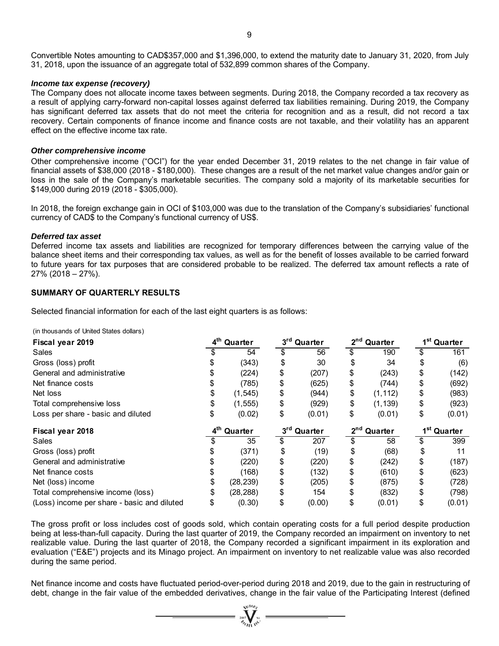#### *Income tax expense (recovery)*

The Company does not allocate income taxes between segments. During 2018, the Company recorded a tax recovery as a result of applying carry-forward non-capital losses against deferred tax liabilities remaining. During 2019, the Company has significant deferred tax assets that do not meet the criteria for recognition and as a result, did not record a tax recovery. Certain components of finance income and finance costs are not taxable, and their volatility has an apparent effect on the effective income tax rate.

#### *Other comprehensive income*

Other comprehensive income ("OCI") for the year ended December 31, 2019 relates to the net change in fair value of financial assets of \$38,000 (2018 - \$180,000). These changes are a result of the net market value changes and/or gain or loss in the sale of the Company's marketable securities. The company sold a majority of its marketable securities for \$149,000 during 2019 (2018 - \$305,000).

In 2018, the foreign exchange gain in OCI of \$103,000 was due to the translation of the Company's subsidiaries' functional currency of CAD\$ to the Company's functional currency of US\$.

#### *Deferred tax asset*

Deferred income tax assets and liabilities are recognized for temporary differences between the carrying value of the balance sheet items and their corresponding tax values, as well as for the benefit of losses available to be carried forward to future years for tax purposes that are considered probable to be realized. The deferred tax amount reflects a rate of 27% (2018 – 27%).

# **SUMMARY OF QUARTERLY RESULTS**

Selected financial information for each of the last eight quarters is as follows:

(in thousands of United States dollars)

| Fiscal year 2019                            |                 | 4 <sup>th</sup> Quarter | 3rd Quarter             | 2 <sup>nd</sup> Quarter | 1 <sup>st</sup> Quarter |
|---------------------------------------------|-----------------|-------------------------|-------------------------|-------------------------|-------------------------|
| Sales                                       |                 | 54                      | 56                      | \$<br>190               | 161                     |
| Gross (loss) profit                         |                 | (343)                   | \$<br>30                | 34                      | \$<br>(6)               |
| General and administrative                  |                 | (224)                   | \$<br>(207)             | \$<br>(243)             | \$<br>(142)             |
| Net finance costs                           | \$              | (785)                   | \$<br>(625)             | \$<br>(744)             | \$<br>(692)             |
| Net loss                                    | \$              | (1, 545)                | \$<br>(944)             | \$<br>(1, 112)          | \$<br>(983)             |
| Total comprehensive loss                    | \$              | (1, 555)                | \$<br>(929)             | \$<br>(1, 139)          | \$<br>(923)             |
| Loss per share - basic and diluted          | \$              | (0.02)                  | \$<br>(0.01)            | \$<br>(0.01)            | \$<br>(0.01)            |
| Fiscal year 2018                            | 4 <sup>th</sup> | Quarter                 | 3 <sup>rd</sup> Quarter | 2 <sup>nd</sup> Quarter | 1 <sup>st</sup> Quarter |
| <b>Sales</b>                                |                 | 35                      | \$<br>207               | \$<br>58                | \$<br>399               |
| Gross (loss) profit                         |                 | (371)                   | \$<br>(19)              | \$<br>(68)              | \$<br>11                |
| General and administrative                  |                 | (220)                   | \$<br>(220)             | \$<br>(242)             | \$<br>(187)             |
| Net finance costs                           |                 | (168)                   | \$<br>(132)             | \$<br>(610)             | \$<br>(623)             |
| Net (loss) income                           |                 | (28, 239)               | \$<br>(205)             | \$<br>(875)             | \$<br>(728)             |
| Total comprehensive income (loss)           |                 | (28, 288)               | \$<br>154               | \$<br>(832)             | \$<br>(798)             |
| (Loss) income per share - basic and diluted | \$              | (0.30)                  | \$<br>(0.00)            | \$<br>(0.01)            | \$<br>(0.01)            |

The gross profit or loss includes cost of goods sold, which contain operating costs for a full period despite production being at less-than-full capacity. During the last quarter of 2019, the Company recorded an impairment on inventory to net realizable value. During the last quarter of 2018, the Company recorded a significant impairment in its exploration and evaluation ("E&E") projects and its Minago project. An impairment on inventory to net realizable value was also recorded during the same period.

Net finance income and costs have fluctuated period-over-period during 2018 and 2019, due to the gain in restructuring of debt, change in the fair value of the embedded derivatives, change in the fair value of the Participating Interest (defined

 $\mathbf{V}$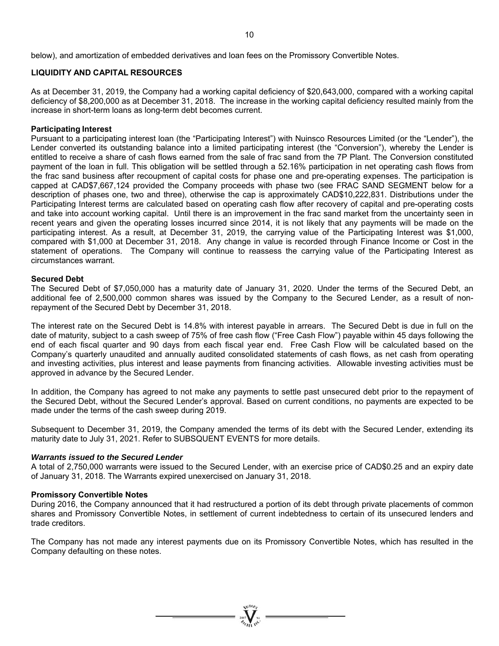below), and amortization of embedded derivatives and loan fees on the Promissory Convertible Notes.

# **LIQUIDITY AND CAPITAL RESOURCES**

As at December 31, 2019, the Company had a working capital deficiency of \$20,643,000, compared with a working capital deficiency of \$8,200,000 as at December 31, 2018. The increase in the working capital deficiency resulted mainly from the increase in short-term loans as long-term debt becomes current.

# **Participating Interest**

Pursuant to a participating interest loan (the "Participating Interest") with Nuinsco Resources Limited (or the "Lender"), the Lender converted its outstanding balance into a limited participating interest (the "Conversion"), whereby the Lender is entitled to receive a share of cash flows earned from the sale of frac sand from the 7P Plant. The Conversion constituted payment of the loan in full. This obligation will be settled through a 52.16% participation in net operating cash flows from the frac sand business after recoupment of capital costs for phase one and pre-operating expenses. The participation is capped at CAD\$7,667,124 provided the Company proceeds with phase two (see FRAC SAND SEGMENT below for a description of phases one, two and three), otherwise the cap is approximately CAD\$10,222,831. Distributions under the Participating Interest terms are calculated based on operating cash flow after recovery of capital and pre-operating costs and take into account working capital. Until there is an improvement in the frac sand market from the uncertainty seen in recent years and given the operating losses incurred since 2014, it is not likely that any payments will be made on the participating interest. As a result, at December 31, 2019, the carrying value of the Participating Interest was \$1,000, compared with \$1,000 at December 31, 2018. Any change in value is recorded through Finance Income or Cost in the statement of operations. The Company will continue to reassess the carrying value of the Participating Interest as circumstances warrant.

#### **Secured Debt**

The Secured Debt of \$7,050,000 has a maturity date of January 31, 2020. Under the terms of the Secured Debt, an additional fee of 2,500,000 common shares was issued by the Company to the Secured Lender, as a result of nonrepayment of the Secured Debt by December 31, 2018.

The interest rate on the Secured Debt is 14.8% with interest payable in arrears. The Secured Debt is due in full on the date of maturity, subject to a cash sweep of 75% of free cash flow ("Free Cash Flow") payable within 45 days following the end of each fiscal quarter and 90 days from each fiscal year end. Free Cash Flow will be calculated based on the Company's quarterly unaudited and annually audited consolidated statements of cash flows, as net cash from operating and investing activities, plus interest and lease payments from financing activities. Allowable investing activities must be approved in advance by the Secured Lender.

In addition, the Company has agreed to not make any payments to settle past unsecured debt prior to the repayment of the Secured Debt, without the Secured Lender's approval. Based on current conditions, no payments are expected to be made under the terms of the cash sweep during 2019.

Subsequent to December 31, 2019, the Company amended the terms of its debt with the Secured Lender, extending its maturity date to July 31, 2021. Refer to SUBSQUENT EVENTS for more details.

#### *Warrants issued to the Secured Lender*

A total of 2,750,000 warrants were issued to the Secured Lender, with an exercise price of CAD\$0.25 and an expiry date of January 31, 2018. The Warrants expired unexercised on January 31, 2018.

#### **Promissory Convertible Notes**

During 2016, the Company announced that it had restructured a portion of its debt through private placements of common shares and Promissory Convertible Notes, in settlement of current indebtedness to certain of its unsecured lenders and trade creditors.

The Company has not made any interest payments due on its Promissory Convertible Notes, which has resulted in the Company defaulting on these notes.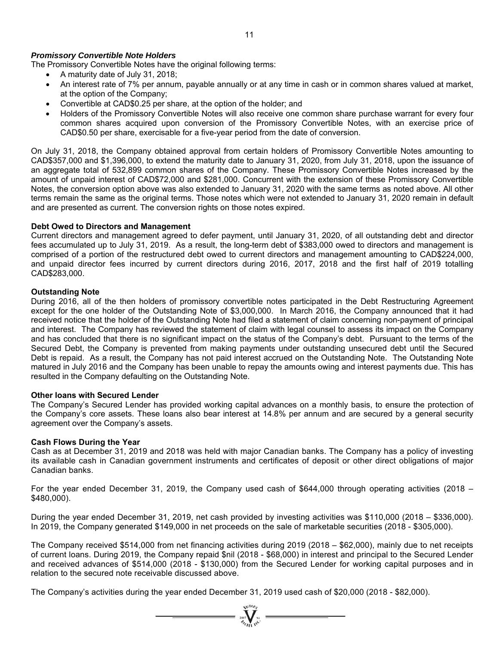# *Promissory Convertible Note Holders*

The Promissory Convertible Notes have the original following terms:

- A maturity date of July 31, 2018;
- An interest rate of 7% per annum, payable annually or at any time in cash or in common shares valued at market, at the option of the Company;
- Convertible at CAD\$0.25 per share, at the option of the holder; and
- Holders of the Promissory Convertible Notes will also receive one common share purchase warrant for every four common shares acquired upon conversion of the Promissory Convertible Notes, with an exercise price of CAD\$0.50 per share, exercisable for a five-year period from the date of conversion.

On July 31, 2018, the Company obtained approval from certain holders of Promissory Convertible Notes amounting to CAD\$357,000 and \$1,396,000, to extend the maturity date to January 31, 2020, from July 31, 2018, upon the issuance of an aggregate total of 532,899 common shares of the Company. These Promissory Convertible Notes increased by the amount of unpaid interest of CAD\$72,000 and \$281,000. Concurrent with the extension of these Promissory Convertible Notes, the conversion option above was also extended to January 31, 2020 with the same terms as noted above. All other terms remain the same as the original terms. Those notes which were not extended to January 31, 2020 remain in default and are presented as current. The conversion rights on those notes expired.

# **Debt Owed to Directors and Management**

Current directors and management agreed to defer payment, until January 31, 2020, of all outstanding debt and director fees accumulated up to July 31, 2019. As a result, the long-term debt of \$383,000 owed to directors and management is comprised of a portion of the restructured debt owed to current directors and management amounting to CAD\$224,000, and unpaid director fees incurred by current directors during 2016, 2017, 2018 and the first half of 2019 totalling CAD\$283,000.

# **Outstanding Note**

During 2016, all of the then holders of promissory convertible notes participated in the Debt Restructuring Agreement except for the one holder of the Outstanding Note of \$3,000,000. In March 2016, the Company announced that it had received notice that the holder of the Outstanding Note had filed a statement of claim concerning non-payment of principal and interest. The Company has reviewed the statement of claim with legal counsel to assess its impact on the Company and has concluded that there is no significant impact on the status of the Company's debt. Pursuant to the terms of the Secured Debt, the Company is prevented from making payments under outstanding unsecured debt until the Secured Debt is repaid. As a result, the Company has not paid interest accrued on the Outstanding Note. The Outstanding Note matured in July 2016 and the Company has been unable to repay the amounts owing and interest payments due. This has resulted in the Company defaulting on the Outstanding Note.

# **Other loans with Secured Lender**

The Company's Secured Lender has provided working capital advances on a monthly basis, to ensure the protection of the Company's core assets. These loans also bear interest at 14.8% per annum and are secured by a general security agreement over the Company's assets.

# **Cash Flows During the Year**

Cash as at December 31, 2019 and 2018 was held with major Canadian banks. The Company has a policy of investing its available cash in Canadian government instruments and certificates of deposit or other direct obligations of major Canadian banks.

For the year ended December 31, 2019, the Company used cash of \$644,000 through operating activities (2018 – \$480,000).

During the year ended December 31, 2019, net cash provided by investing activities was \$110,000 (2018 – \$336,000). In 2019, the Company generated \$149,000 in net proceeds on the sale of marketable securities (2018 - \$305,000).

The Company received \$514,000 from net financing activities during 2019 (2018 – \$62,000), mainly due to net receipts of current loans. During 2019, the Company repaid \$nil (2018 - \$68,000) in interest and principal to the Secured Lender and received advances of \$514,000 (2018 - \$130,000) from the Secured Lender for working capital purposes and in relation to the secured note receivable discussed above.

 $= \sum_{m=1}^{\infty} \sum_{n=1}^{\infty} \sum_{n=1}^{\infty}$ 

The Company's activities during the year ended December 31, 2019 used cash of \$20,000 (2018 - \$82,000).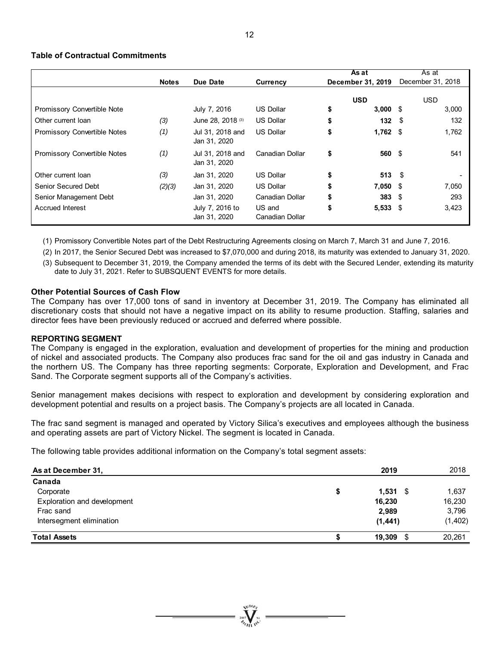# **Table of Contractual Commitments**

|                                     |              |                                  |                           | As at               | As at             |  |  |
|-------------------------------------|--------------|----------------------------------|---------------------------|---------------------|-------------------|--|--|
|                                     | <b>Notes</b> | Due Date                         | Currency                  | December 31, 2019   | December 31, 2018 |  |  |
|                                     |              |                                  |                           | <b>USD</b>          | USD               |  |  |
| Promissory Convertible Note         |              | July 7, 2016                     | <b>US Dollar</b>          | \$<br>$3,000$ \$    | 3,000             |  |  |
| Other current loan                  | (3)          | June 28, 2018 (3)                | <b>US Dollar</b>          | \$<br>$132 \quad $$ | 132               |  |  |
| <b>Promissory Convertible Notes</b> | (1)          | Jul 31, 2018 and<br>Jan 31, 2020 | <b>US Dollar</b>          | \$<br>$1,762$ \$    | 1,762             |  |  |
| <b>Promissory Convertible Notes</b> | (1)          | Jul 31, 2018 and<br>Jan 31, 2020 | Canadian Dollar           | \$<br>560 \$        | 541               |  |  |
| Other current loan                  | (3)          | Jan 31, 2020                     | <b>US Dollar</b>          | \$<br>$513$ \$      |                   |  |  |
| Senior Secured Debt                 | (2)(3)       | Jan 31, 2020                     | <b>US Dollar</b>          | \$<br>$7,050$ \$    | 7,050             |  |  |
| Senior Management Debt              |              | Jan 31, 2020                     | Canadian Dollar           | \$<br>$383*$        | 293               |  |  |
| <b>Accrued Interest</b>             |              | July 7, 2016 to<br>Jan 31, 2020  | US and<br>Canadian Dollar | \$<br>$5,533$ \$    | 3,423             |  |  |

(1) Promissory Convertible Notes part of the Debt Restructuring Agreements closing on March 7, March 31 and June 7, 2016.

(2) In 2017, the Senior Secured Debt was increased to \$7,070,000 and during 2018, its maturity was extended to January 31, 2020. (3) Subsequent to December 31, 2019, the Company amended the terms of its debt with the Secured Lender, extending its maturity date to July 31, 2021. Refer to SUBSQUENT EVENTS for more details.

# **Other Potential Sources of Cash Flow**

The Company has over 17,000 tons of sand in inventory at December 31, 2019. The Company has eliminated all discretionary costs that should not have a negative impact on its ability to resume production. Staffing, salaries and director fees have been previously reduced or accrued and deferred where possible.

# **REPORTING SEGMENT**

The Company is engaged in the exploration, evaluation and development of properties for the mining and production of nickel and associated products. The Company also produces frac sand for the oil and gas industry in Canada and the northern US. The Company has three reporting segments: Corporate, Exploration and Development, and Frac Sand. The Corporate segment supports all of the Company's activities.

Senior management makes decisions with respect to exploration and development by considering exploration and development potential and results on a project basis. The Company's projects are all located in Canada.

The frac sand segment is managed and operated by Victory Silica's executives and employees although the business and operating assets are part of Victory Nickel. The segment is located in Canada.

The following table provides additional information on the Company's total segment assets:

| As at December 31,          | 2019             | 2018     |
|-----------------------------|------------------|----------|
| Canada                      |                  |          |
| Corporate                   | \$<br>$1,531$ \$ | 1,637    |
| Exploration and development | 16,230           | 16,230   |
| Frac sand                   | 2,989            | 3,796    |
| Intersegment elimination    | (1, 441)         | (1, 402) |
| <b>Total Assets</b>         | 19,309<br>- \$   | 20,261   |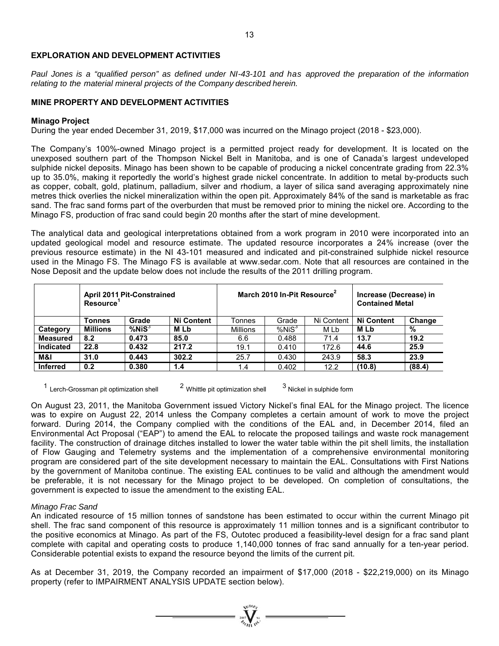# **EXPLORATION AND DEVELOPMENT ACTIVITIES**

*Paul Jones is a "qualified person" as defined under NI-43-101 and has approved the preparation of the information relating to the material mineral projects of the Company described herein.* 

# **MINE PROPERTY AND DEVELOPMENT ACTIVITIES**

# **Minago Project**

During the year ended December 31, 2019, \$17,000 was incurred on the Minago project (2018 - \$23,000).

The Company's 100%-owned Minago project is a permitted project ready for development. It is located on the unexposed southern part of the Thompson Nickel Belt in Manitoba, and is one of Canada's largest undeveloped sulphide nickel deposits. Minago has been shown to be capable of producing a nickel concentrate grading from 22.3% up to 35.0%, making it reportedly the world's highest grade nickel concentrate. In addition to metal by-products such as copper, cobalt, gold, platinum, palladium, silver and rhodium, a layer of silica sand averaging approximately nine metres thick overlies the nickel mineralization within the open pit. Approximately 84% of the sand is marketable as frac sand. The frac sand forms part of the overburden that must be removed prior to mining the nickel ore. According to the Minago FS, production of frac sand could begin 20 months after the start of mine development.

The analytical data and geological interpretations obtained from a work program in 2010 were incorporated into an updated geological model and resource estimate. The updated resource incorporates a 24% increase (over the previous resource estimate) in the NI 43-101 measured and indicated and pit-constrained sulphide nickel resource used in the Minago FS. The Minago FS is available at www.sedar.com. Note that all resources are contained in the Nose Deposit and the update below does not include the results of the 2011 drilling program.

|                  | <b>April 2011 Pit-Constrained</b><br><b>Resource</b> |              | March 2010 In-Pit Resource <sup>2</sup> |                 |                   | Increase (Decrease) in<br><b>Contained Metal</b> |                   |        |
|------------------|------------------------------------------------------|--------------|-----------------------------------------|-----------------|-------------------|--------------------------------------------------|-------------------|--------|
|                  | Tonnes                                               | Grade        | <b>Ni Content</b>                       | Tonnes          | Grade             | Ni Content                                       | <b>Ni Content</b> | Change |
| Category         | <b>Millions</b>                                      | $%$ Ni $S^3$ | M Lb                                    | <b>Millions</b> | %NiS <sup>3</sup> | M Lb                                             | M Lb              | %      |
| <b>Measured</b>  | 8.2                                                  | 0.473        | 85.0                                    | 6.6             | 0.488             | 71.4                                             | 13.7              | 19.2   |
| <b>Indicated</b> | 22.8                                                 | 0.432        | 217.2                                   | 19.1            | 0.410             | 172.6                                            | 44.6              | 25.9   |
| M&I              | 31.0                                                 | 0.443        | 302.2                                   | 25.7            | 0.430             | 243.9                                            | 58.3              | 23.9   |
| <b>Inferred</b>  | 0.2                                                  | 0.380        | 1.4                                     | 1.4             | 0.402             | 12.2                                             | (10.8)            | (88.4) |

<sup>1</sup> Lerch-Grossman pit optimization shell  $2$  Whittle pit optimization shell  $3$  Nickel in sulphide form

On August 23, 2011, the Manitoba Government issued Victory Nickel's final EAL for the Minago project. The licence was to expire on August 22, 2014 unless the Company completes a certain amount of work to move the project forward. During 2014, the Company complied with the conditions of the EAL and, in December 2014, filed an Environmental Act Proposal ("EAP") to amend the EAL to relocate the proposed tailings and waste rock management facility. The construction of drainage ditches installed to lower the water table within the pit shell limits, the installation of Flow Gauging and Telemetry systems and the implementation of a comprehensive environmental monitoring program are considered part of the site development necessary to maintain the EAL. Consultations with First Nations by the government of Manitoba continue. The existing EAL continues to be valid and although the amendment would be preferable, it is not necessary for the Minago project to be developed. On completion of consultations, the government is expected to issue the amendment to the existing EAL.

# *Minago Frac Sand*

An indicated resource of 15 million tonnes of sandstone has been estimated to occur within the current Minago pit shell. The frac sand component of this resource is approximately 11 million tonnes and is a significant contributor to the positive economics at Minago. As part of the FS, Outotec produced a feasibility-level design for a frac sand plant complete with capital and operating costs to produce 1,140,000 tonnes of frac sand annually for a ten-year period. Considerable potential exists to expand the resource beyond the limits of the current pit.

As at December 31, 2019, the Company recorded an impairment of \$17,000 (2018 - \$22,219,000) on its Minago property (refer to IMPAIRMENT ANALYSIS UPDATE section below).

 $\sum_{n=1}^{\infty} \sum_{n=1}^{\infty}$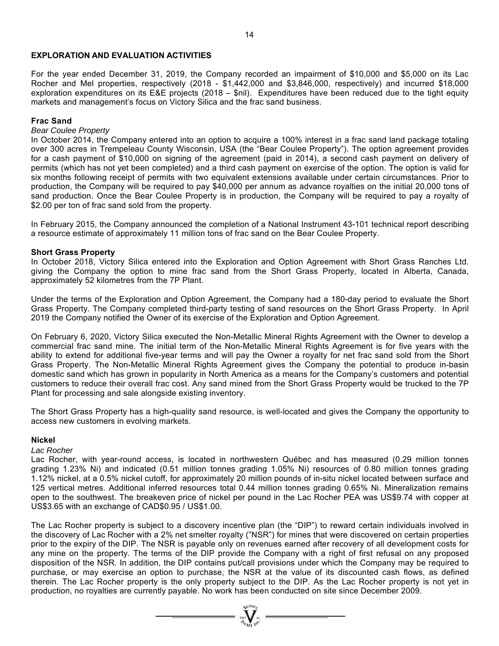# **EXPLORATION AND EVALUATION ACTIVITIES**

For the year ended December 31, 2019, the Company recorded an impairment of \$10,000 and \$5,000 on its Lac Rocher and Mel properties, respectively (2018 - \$1,442,000 and \$3,846,000, respectively) and incurred \$18,000 exploration expenditures on its E&E projects (2018 – \$nil). Expenditures have been reduced due to the tight equity markets and management's focus on Victory Silica and the frac sand business.

# **Frac Sand**

# *Bear Coulee Property*

In October 2014, the Company entered into an option to acquire a 100% interest in a frac sand land package totaling over 300 acres in Trempeleau County Wisconsin, USA (the "Bear Coulee Property"). The option agreement provides for a cash payment of \$10,000 on signing of the agreement (paid in 2014), a second cash payment on delivery of permits (which has not yet been completed) and a third cash payment on exercise of the option. The option is valid for six months following receipt of permits with two equivalent extensions available under certain circumstances. Prior to production, the Company will be required to pay \$40,000 per annum as advance royalties on the initial 20,000 tons of sand production. Once the Bear Coulee Property is in production, the Company will be required to pay a royalty of \$2.00 per ton of frac sand sold from the property.

In February 2015, the Company announced the completion of a National Instrument 43-101 technical report describing a resource estimate of approximately 11 million tons of frac sand on the Bear Coulee Property.

#### **Short Grass Property**

In October 2018, Victory Silica entered into the Exploration and Option Agreement with Short Grass Ranches Ltd. giving the Company the option to mine frac sand from the Short Grass Property, located in Alberta, Canada, approximately 52 kilometres from the 7P Plant.

Under the terms of the Exploration and Option Agreement, the Company had a 180-day period to evaluate the Short Grass Property. The Company completed third-party testing of sand resources on the Short Grass Property. In April 2019 the Company notified the Owner of its exercise of the Exploration and Option Agreement.

On February 6, 2020, Victory Silica executed the Non-Metallic Mineral Rights Agreement with the Owner to develop a commercial frac sand mine. The initial term of the Non-Metallic Mineral Rights Agreement is for five years with the ability to extend for additional five-year terms and will pay the Owner a royalty for net frac sand sold from the Short Grass Property. The Non-Metallic Mineral Rights Agreement gives the Company the potential to produce in-basin domestic sand which has grown in popularity in North America as a means for the Company's customers and potential customers to reduce their overall frac cost. Any sand mined from the Short Grass Property would be trucked to the 7P Plant for processing and sale alongside existing inventory.

The Short Grass Property has a high-quality sand resource, is well-located and gives the Company the opportunity to access new customers in evolving markets.

#### **Nickel**

*Lac Rocher* 

Lac Rocher, with year-round access, is located in northwestern Québec and has measured (0.29 million tonnes grading 1.23% Ni) and indicated (0.51 million tonnes grading 1.05% Ni) resources of 0.80 million tonnes grading 1.12% nickel, at a 0.5% nickel cutoff, for approximately 20 million pounds of in-situ nickel located between surface and 125 vertical metres. Additional inferred resources total 0.44 million tonnes grading 0.65% Ni. Mineralization remains open to the southwest. The breakeven price of nickel per pound in the Lac Rocher PEA was US\$9.74 with copper at US\$3.65 with an exchange of CAD\$0.95 / US\$1.00.

The Lac Rocher property is subject to a discovery incentive plan (the "DIP") to reward certain individuals involved in the discovery of Lac Rocher with a 2% net smelter royalty ("NSR") for mines that were discovered on certain properties prior to the expiry of the DIP. The NSR is payable only on revenues earned after recovery of all development costs for any mine on the property. The terms of the DIP provide the Company with a right of first refusal on any proposed disposition of the NSR. In addition, the DIP contains put/call provisions under which the Company may be required to purchase, or may exercise an option to purchase, the NSR at the value of its discounted cash flows, as defined therein. The Lac Rocher property is the only property subject to the DIP. As the Lac Rocher property is not yet in production, no royalties are currently payable. No work has been conducted on site since December 2009.

 $= \sqrt[n]{\frac{q_0}{q_0}}$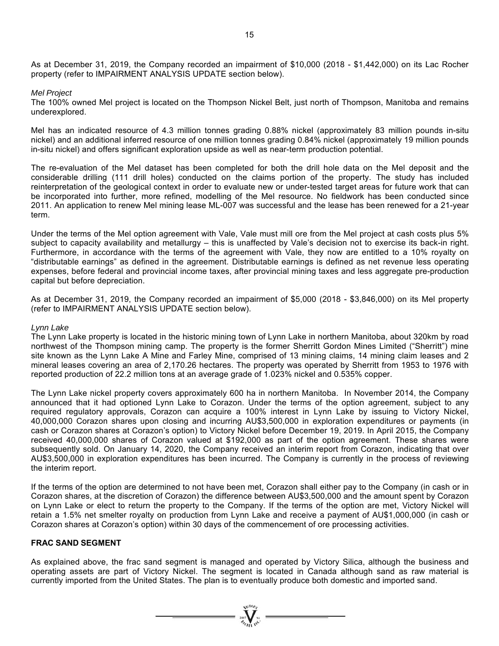As at December 31, 2019, the Company recorded an impairment of \$10,000 (2018 - \$1,442,000) on its Lac Rocher property (refer to IMPAIRMENT ANALYSIS UPDATE section below).

*Mel Project* 

The 100% owned Mel project is located on the Thompson Nickel Belt, just north of Thompson, Manitoba and remains underexplored.

Mel has an indicated resource of 4.3 million tonnes grading 0.88% nickel (approximately 83 million pounds in-situ nickel) and an additional inferred resource of one million tonnes grading 0.84% nickel (approximately 19 million pounds in-situ nickel) and offers significant exploration upside as well as near-term production potential.

The re-evaluation of the Mel dataset has been completed for both the drill hole data on the Mel deposit and the considerable drilling (111 drill holes) conducted on the claims portion of the property. The study has included reinterpretation of the geological context in order to evaluate new or under-tested target areas for future work that can be incorporated into further, more refined, modelling of the Mel resource. No fieldwork has been conducted since 2011. An application to renew Mel mining lease ML-007 was successful and the lease has been renewed for a 21-year term.

Under the terms of the Mel option agreement with Vale, Vale must mill ore from the Mel project at cash costs plus 5% subject to capacity availability and metallurgy – this is unaffected by Vale's decision not to exercise its back-in right. Furthermore, in accordance with the terms of the agreement with Vale, they now are entitled to a 10% royalty on "distributable earnings" as defined in the agreement. Distributable earnings is defined as net revenue less operating expenses, before federal and provincial income taxes, after provincial mining taxes and less aggregate pre-production capital but before depreciation.

As at December 31, 2019, the Company recorded an impairment of \$5,000 (2018 - \$3,846,000) on its Mel property (refer to IMPAIRMENT ANALYSIS UPDATE section below).

#### *Lynn Lake*

The Lynn Lake property is located in the historic mining town of Lynn Lake in northern Manitoba, about 320km by road northwest of the Thompson mining camp. The property is the former Sherritt Gordon Mines Limited ("Sherritt") mine site known as the Lynn Lake A Mine and Farley Mine, comprised of 13 mining claims, 14 mining claim leases and 2 mineral leases covering an area of 2,170.26 hectares. The property was operated by Sherritt from 1953 to 1976 with reported production of 22.2 million tons at an average grade of 1.023% nickel and 0.535% copper.

The Lynn Lake nickel property covers approximately 600 ha in northern Manitoba. In November 2014, the Company announced that it had optioned Lynn Lake to Corazon. Under the terms of the option agreement, subject to any required regulatory approvals, Corazon can acquire a 100% interest in Lynn Lake by issuing to Victory Nickel, 40,000,000 Corazon shares upon closing and incurring AU\$3,500,000 in exploration expenditures or payments (in cash or Corazon shares at Corazon's option) to Victory Nickel before December 19, 2019. In April 2015, the Company received 40,000,000 shares of Corazon valued at \$192,000 as part of the option agreement. These shares were subsequently sold. On January 14, 2020, the Company received an interim report from Corazon, indicating that over AU\$3,500,000 in exploration expenditures has been incurred. The Company is currently in the process of reviewing the interim report.

If the terms of the option are determined to not have been met, Corazon shall either pay to the Company (in cash or in Corazon shares, at the discretion of Corazon) the difference between AU\$3,500,000 and the amount spent by Corazon on Lynn Lake or elect to return the property to the Company. If the terms of the option are met, Victory Nickel will retain a 1.5% net smelter royalty on production from Lynn Lake and receive a payment of AU\$1,000,000 (in cash or Corazon shares at Corazon's option) within 30 days of the commencement of ore processing activities.

# **FRAC SAND SEGMENT**

As explained above, the frac sand segment is managed and operated by Victory Silica, although the business and operating assets are part of Victory Nickel. The segment is located in Canada although sand as raw material is currently imported from the United States. The plan is to eventually produce both domestic and imported sand.

 $= \prod_{\text{on } m}^{m}$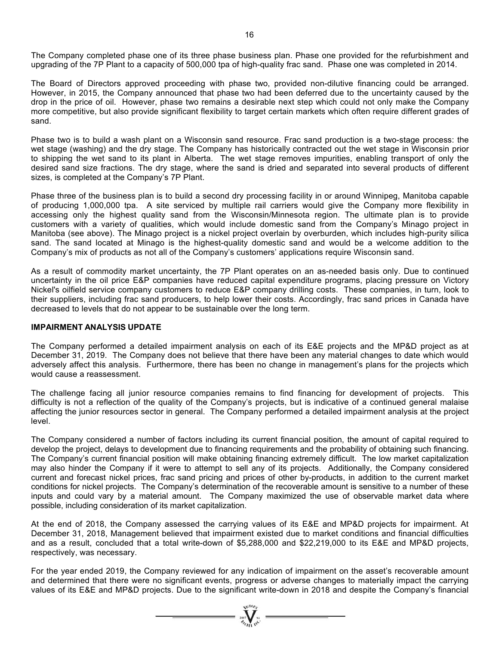The Company completed phase one of its three phase business plan. Phase one provided for the refurbishment and upgrading of the 7P Plant to a capacity of 500,000 tpa of high-quality frac sand. Phase one was completed in 2014.

The Board of Directors approved proceeding with phase two, provided non-dilutive financing could be arranged. However, in 2015, the Company announced that phase two had been deferred due to the uncertainty caused by the drop in the price of oil. However, phase two remains a desirable next step which could not only make the Company more competitive, but also provide significant flexibility to target certain markets which often require different grades of sand.

Phase two is to build a wash plant on a Wisconsin sand resource. Frac sand production is a two-stage process: the wet stage (washing) and the dry stage. The Company has historically contracted out the wet stage in Wisconsin prior to shipping the wet sand to its plant in Alberta. The wet stage removes impurities, enabling transport of only the desired sand size fractions. The dry stage, where the sand is dried and separated into several products of different sizes, is completed at the Company's 7P Plant.

Phase three of the business plan is to build a second dry processing facility in or around Winnipeg, Manitoba capable of producing 1,000,000 tpa. A site serviced by multiple rail carriers would give the Company more flexibility in accessing only the highest quality sand from the Wisconsin/Minnesota region. The ultimate plan is to provide customers with a variety of qualities, which would include domestic sand from the Company's Minago project in Manitoba (see above). The Minago project is a nickel project overlain by overburden, which includes high-purity silica sand. The sand located at Minago is the highest-quality domestic sand and would be a welcome addition to the Company's mix of products as not all of the Company's customers' applications require Wisconsin sand.

As a result of commodity market uncertainty, the 7P Plant operates on an as-needed basis only. Due to continued uncertainty in the oil price E&P companies have reduced capital expenditure programs, placing pressure on Victory Nickel's oilfield service company customers to reduce E&P company drilling costs. These companies, in turn, look to their suppliers, including frac sand producers, to help lower their costs. Accordingly, frac sand prices in Canada have decreased to levels that do not appear to be sustainable over the long term.

#### **IMPAIRMENT ANALYSIS UPDATE**

The Company performed a detailed impairment analysis on each of its E&E projects and the MP&D project as at December 31, 2019. The Company does not believe that there have been any material changes to date which would adversely affect this analysis. Furthermore, there has been no change in management's plans for the projects which would cause a reassessment.

The challenge facing all junior resource companies remains to find financing for development of projects. This difficulty is not a reflection of the quality of the Company's projects, but is indicative of a continued general malaise affecting the junior resources sector in general. The Company performed a detailed impairment analysis at the project level.

The Company considered a number of factors including its current financial position, the amount of capital required to develop the project, delays to development due to financing requirements and the probability of obtaining such financing. The Company's current financial position will make obtaining financing extremely difficult. The low market capitalization may also hinder the Company if it were to attempt to sell any of its projects. Additionally, the Company considered current and forecast nickel prices, frac sand pricing and prices of other by-products, in addition to the current market conditions for nickel projects. The Company's determination of the recoverable amount is sensitive to a number of these inputs and could vary by a material amount. The Company maximized the use of observable market data where possible, including consideration of its market capitalization.

At the end of 2018, the Company assessed the carrying values of its E&E and MP&D projects for impairment. At December 31, 2018, Management believed that impairment existed due to market conditions and financial difficulties and as a result, concluded that a total write-down of \$5,288,000 and \$22,219,000 to its E&E and MP&D projects, respectively, was necessary.

For the year ended 2019, the Company reviewed for any indication of impairment on the asset's recoverable amount and determined that there were no significant events, progress or adverse changes to materially impact the carrying values of its E&E and MP&D projects. Due to the significant write-down in 2018 and despite the Company's financial

 $\sum_{n=1}^{\infty} \sum_{n=1}^{\infty} x^n$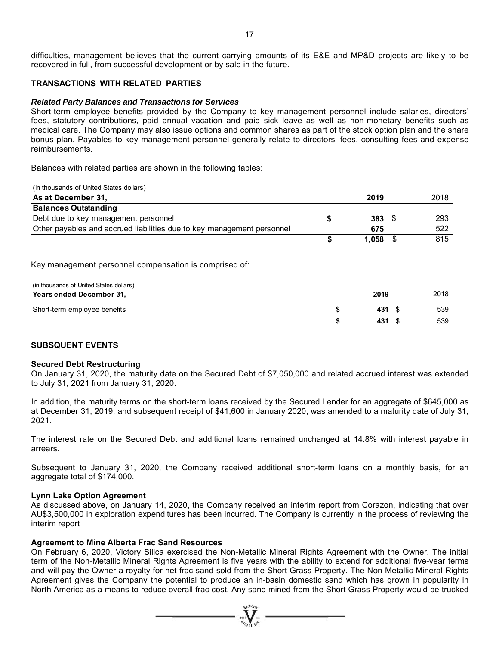difficulties, management believes that the current carrying amounts of its E&E and MP&D projects are likely to be recovered in full, from successful development or by sale in the future.

# **TRANSACTIONS WITH RELATED PARTIES**

#### *Related Party Balances and Transactions for Services*

Short-term employee benefits provided by the Company to key management personnel include salaries, directors' fees, statutory contributions, paid annual vacation and paid sick leave as well as non-monetary benefits such as medical care. The Company may also issue options and common shares as part of the stock option plan and the share bonus plan. Payables to key management personnel generally relate to directors' fees, consulting fees and expense reimbursements.

Balances with related parties are shown in the following tables:

| (in thousands of United States dollars)                                |            |      |
|------------------------------------------------------------------------|------------|------|
| As at December 31,                                                     | 2019       | 2018 |
| <b>Balances Outstanding</b>                                            |            |      |
| Debt due to key management personnel                                   | $383\quad$ | 293  |
| Other payables and accrued liabilities due to key management personnel | 675        | 522  |
|                                                                        | 1.058      | 815  |

Key management personnel compensation is comprised of:

| (in thousands of United States dollars) |       |      |
|-----------------------------------------|-------|------|
| Years ended December 31,                | 2019  | 2018 |
| Short-term employee benefits            | 431 1 | 539  |
|                                         | 431   | 539  |

# **SUBSQUENT EVENTS**

#### **Secured Debt Restructuring**

On January 31, 2020, the maturity date on the Secured Debt of \$7,050,000 and related accrued interest was extended to July 31, 2021 from January 31, 2020.

In addition, the maturity terms on the short-term loans received by the Secured Lender for an aggregate of \$645,000 as at December 31, 2019, and subsequent receipt of \$41,600 in January 2020, was amended to a maturity date of July 31, 2021.

The interest rate on the Secured Debt and additional loans remained unchanged at 14.8% with interest payable in arrears.

Subsequent to January 31, 2020, the Company received additional short-term loans on a monthly basis, for an aggregate total of \$174,000.

#### **Lynn Lake Option Agreement**

As discussed above, on January 14, 2020, the Company received an interim report from Corazon, indicating that over AU\$3,500,000 in exploration expenditures has been incurred. The Company is currently in the process of reviewing the interim report

# **Agreement to Mine Alberta Frac Sand Resources**

On February 6, 2020, Victory Silica exercised the Non-Metallic Mineral Rights Agreement with the Owner. The initial term of the Non-Metallic Mineral Rights Agreement is five years with the ability to extend for additional five-year terms and will pay the Owner a royalty for net frac sand sold from the Short Grass Property. The Non-Metallic Mineral Rights Agreement gives the Company the potential to produce an in-basin domestic sand which has grown in popularity in North America as a means to reduce overall frac cost. Any sand mined from the Short Grass Property would be trucked

 $\sum_{\alpha}$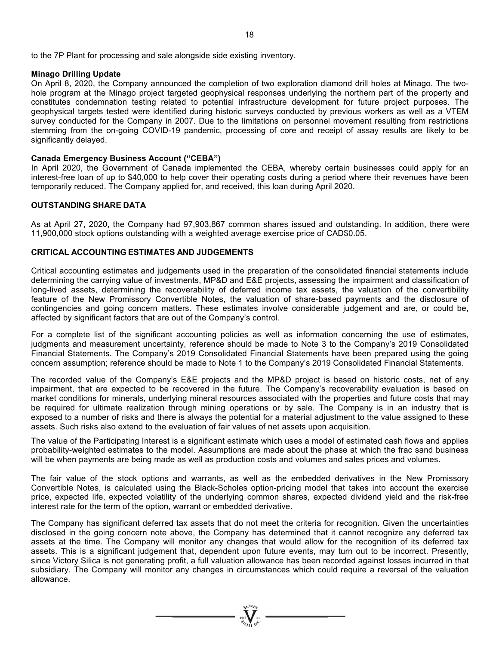to the 7P Plant for processing and sale alongside side existing inventory.

#### **Minago Drilling Update**

On April 8, 2020, the Company announced the completion of two exploration diamond drill holes at Minago. The twohole program at the Minago project targeted geophysical responses underlying the northern part of the property and constitutes condemnation testing related to potential infrastructure development for future project purposes. The geophysical targets tested were identified during historic surveys conducted by previous workers as well as a VTEM survey conducted for the Company in 2007. Due to the limitations on personnel movement resulting from restrictions stemming from the on-going COVID-19 pandemic, processing of core and receipt of assay results are likely to be significantly delayed.

#### **Canada Emergency Business Account ("CEBA")**

In April 2020, the Government of Canada implemented the CEBA, whereby certain businesses could apply for an interest-free loan of up to \$40,000 to help cover their operating costs during a period where their revenues have been temporarily reduced. The Company applied for, and received, this loan during April 2020.

#### **OUTSTANDING SHARE DATA**

As at April 27, 2020, the Company had 97,903,867 common shares issued and outstanding. In addition, there were 11,900,000 stock options outstanding with a weighted average exercise price of CAD\$0.05.

# **CRITICAL ACCOUNTING ESTIMATES AND JUDGEMENTS**

Critical accounting estimates and judgements used in the preparation of the consolidated financial statements include determining the carrying value of investments, MP&D and E&E projects, assessing the impairment and classification of long-lived assets, determining the recoverability of deferred income tax assets, the valuation of the convertibility feature of the New Promissory Convertible Notes, the valuation of share-based payments and the disclosure of contingencies and going concern matters. These estimates involve considerable judgement and are, or could be, affected by significant factors that are out of the Company's control.

For a complete list of the significant accounting policies as well as information concerning the use of estimates, judgments and measurement uncertainty, reference should be made to Note 3 to the Company's 2019 Consolidated Financial Statements. The Company's 2019 Consolidated Financial Statements have been prepared using the going concern assumption; reference should be made to Note 1 to the Company's 2019 Consolidated Financial Statements.

The recorded value of the Company's E&E projects and the MP&D project is based on historic costs, net of any impairment, that are expected to be recovered in the future. The Company's recoverability evaluation is based on market conditions for minerals, underlying mineral resources associated with the properties and future costs that may be required for ultimate realization through mining operations or by sale. The Company is in an industry that is exposed to a number of risks and there is always the potential for a material adjustment to the value assigned to these assets. Such risks also extend to the evaluation of fair values of net assets upon acquisition.

The value of the Participating Interest is a significant estimate which uses a model of estimated cash flows and applies probability-weighted estimates to the model. Assumptions are made about the phase at which the frac sand business will be when payments are being made as well as production costs and volumes and sales prices and volumes.

The fair value of the stock options and warrants, as well as the embedded derivatives in the New Promissory Convertible Notes, is calculated using the Black-Scholes option-pricing model that takes into account the exercise price, expected life, expected volatility of the underlying common shares, expected dividend yield and the risk-free interest rate for the term of the option, warrant or embedded derivative.

The Company has significant deferred tax assets that do not meet the criteria for recognition. Given the uncertainties disclosed in the going concern note above, the Company has determined that it cannot recognize any deferred tax assets at the time. The Company will monitor any changes that would allow for the recognition of its deferred tax assets. This is a significant judgement that, dependent upon future events, may turn out to be incorrect. Presently, since Victory Silica is not generating profit, a full valuation allowance has been recorded against losses incurred in that subsidiary. The Company will monitor any changes in circumstances which could require a reversal of the valuation allowance.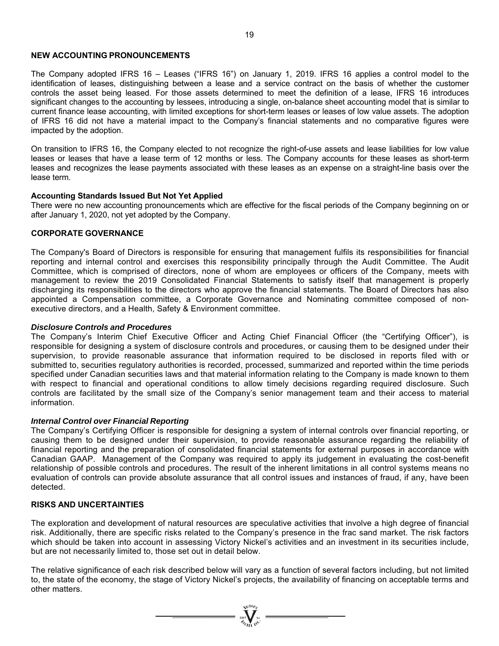#### **NEW ACCOUNTING PRONOUNCEMENTS**

The Company adopted IFRS 16 – Leases ("IFRS 16") on January 1, 2019. IFRS 16 applies a control model to the identification of leases, distinguishing between a lease and a service contract on the basis of whether the customer controls the asset being leased. For those assets determined to meet the definition of a lease, IFRS 16 introduces significant changes to the accounting by lessees, introducing a single, on-balance sheet accounting model that is similar to current finance lease accounting, with limited exceptions for short-term leases or leases of low value assets. The adoption of IFRS 16 did not have a material impact to the Company's financial statements and no comparative figures were impacted by the adoption.

On transition to IFRS 16, the Company elected to not recognize the right-of-use assets and lease liabilities for low value leases or leases that have a lease term of 12 months or less. The Company accounts for these leases as short-term leases and recognizes the lease payments associated with these leases as an expense on a straight-line basis over the lease term.

#### **Accounting Standards Issued But Not Yet Applied**

There were no new accounting pronouncements which are effective for the fiscal periods of the Company beginning on or after January 1, 2020, not yet adopted by the Company.

# **CORPORATE GOVERNANCE**

The Company's Board of Directors is responsible for ensuring that management fulfils its responsibilities for financial reporting and internal control and exercises this responsibility principally through the Audit Committee. The Audit Committee, which is comprised of directors, none of whom are employees or officers of the Company, meets with management to review the 2019 Consolidated Financial Statements to satisfy itself that management is properly discharging its responsibilities to the directors who approve the financial statements. The Board of Directors has also appointed a Compensation committee, a Corporate Governance and Nominating committee composed of nonexecutive directors, and a Health, Safety & Environment committee.

#### *Disclosure Controls and Procedures*

The Company's Interim Chief Executive Officer and Acting Chief Financial Officer (the "Certifying Officer"), is responsible for designing a system of disclosure controls and procedures, or causing them to be designed under their supervision, to provide reasonable assurance that information required to be disclosed in reports filed with or submitted to, securities regulatory authorities is recorded, processed, summarized and reported within the time periods specified under Canadian securities laws and that material information relating to the Company is made known to them with respect to financial and operational conditions to allow timely decisions regarding required disclosure. Such controls are facilitated by the small size of the Company's senior management team and their access to material information.

#### *Internal Control over Financial Reporting*

The Company's Certifying Officer is responsible for designing a system of internal controls over financial reporting, or causing them to be designed under their supervision, to provide reasonable assurance regarding the reliability of financial reporting and the preparation of consolidated financial statements for external purposes in accordance with Canadian GAAP. Management of the Company was required to apply its judgement in evaluating the cost-benefit relationship of possible controls and procedures. The result of the inherent limitations in all control systems means no evaluation of controls can provide absolute assurance that all control issues and instances of fraud, if any, have been detected.

# **RISKS AND UNCERTAINTIES**

The exploration and development of natural resources are speculative activities that involve a high degree of financial risk. Additionally, there are specific risks related to the Company's presence in the frac sand market. The risk factors which should be taken into account in assessing Victory Nickel's activities and an investment in its securities include, but are not necessarily limited to, those set out in detail below.

The relative significance of each risk described below will vary as a function of several factors including, but not limited to, the state of the economy, the stage of Victory Nickel's projects, the availability of financing on acceptable terms and other matters.

=  $\sum_{\substack{301 \text{ odd } \\ \text{odd } \\ 0 \leq i \leq n}}$  =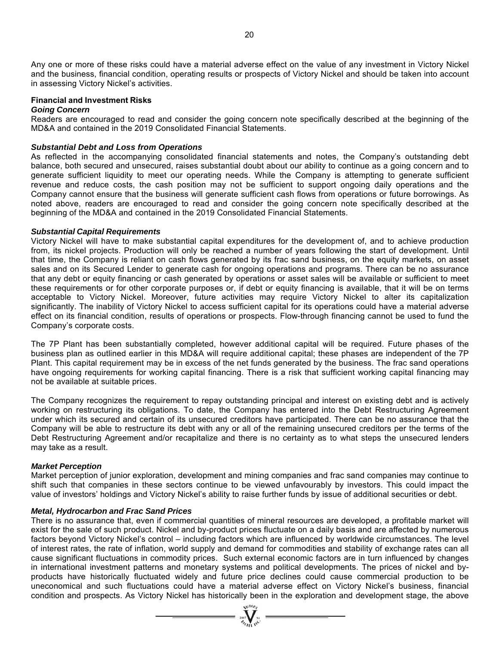Any one or more of these risks could have a material adverse effect on the value of any investment in Victory Nickel and the business, financial condition, operating results or prospects of Victory Nickel and should be taken into account in assessing Victory Nickel's activities.

#### **Financial and Investment Risks**

#### *Going Concern*

Readers are encouraged to read and consider the going concern note specifically described at the beginning of the MD&A and contained in the 2019 Consolidated Financial Statements.

# *Substantial Debt and Loss from Operations*

As reflected in the accompanying consolidated financial statements and notes, the Company's outstanding debt balance, both secured and unsecured, raises substantial doubt about our ability to continue as a going concern and to generate sufficient liquidity to meet our operating needs. While the Company is attempting to generate sufficient revenue and reduce costs, the cash position may not be sufficient to support ongoing daily operations and the Company cannot ensure that the business will generate sufficient cash flows from operations or future borrowings. As noted above, readers are encouraged to read and consider the going concern note specifically described at the beginning of the MD&A and contained in the 2019 Consolidated Financial Statements.

#### *Substantial Capital Requirements*

Victory Nickel will have to make substantial capital expenditures for the development of, and to achieve production from, its nickel projects. Production will only be reached a number of years following the start of development. Until that time, the Company is reliant on cash flows generated by its frac sand business, on the equity markets, on asset sales and on its Secured Lender to generate cash for ongoing operations and programs. There can be no assurance that any debt or equity financing or cash generated by operations or asset sales will be available or sufficient to meet these requirements or for other corporate purposes or, if debt or equity financing is available, that it will be on terms acceptable to Victory Nickel. Moreover, future activities may require Victory Nickel to alter its capitalization significantly. The inability of Victory Nickel to access sufficient capital for its operations could have a material adverse effect on its financial condition, results of operations or prospects. Flow-through financing cannot be used to fund the Company's corporate costs.

The 7P Plant has been substantially completed, however additional capital will be required. Future phases of the business plan as outlined earlier in this MD&A will require additional capital; these phases are independent of the 7P Plant. This capital requirement may be in excess of the net funds generated by the business. The frac sand operations have ongoing requirements for working capital financing. There is a risk that sufficient working capital financing may not be available at suitable prices.

The Company recognizes the requirement to repay outstanding principal and interest on existing debt and is actively working on restructuring its obligations. To date, the Company has entered into the Debt Restructuring Agreement under which its secured and certain of its unsecured creditors have participated. There can be no assurance that the Company will be able to restructure its debt with any or all of the remaining unsecured creditors per the terms of the Debt Restructuring Agreement and/or recapitalize and there is no certainty as to what steps the unsecured lenders may take as a result.

# *Market Perception*

Market perception of junior exploration, development and mining companies and frac sand companies may continue to shift such that companies in these sectors continue to be viewed unfavourably by investors. This could impact the value of investors' holdings and Victory Nickel's ability to raise further funds by issue of additional securities or debt.

# *Metal, Hydrocarbon and Frac Sand Prices*

There is no assurance that, even if commercial quantities of mineral resources are developed, a profitable market will exist for the sale of such product. Nickel and by-product prices fluctuate on a daily basis and are affected by numerous factors beyond Victory Nickel's control – including factors which are influenced by worldwide circumstances. The level of interest rates, the rate of inflation, world supply and demand for commodities and stability of exchange rates can all cause significant fluctuations in commodity prices. Such external economic factors are in turn influenced by changes in international investment patterns and monetary systems and political developments. The prices of nickel and byproducts have historically fluctuated widely and future price declines could cause commercial production to be uneconomical and such fluctuations could have a material adverse effect on Victory Nickel's business, financial condition and prospects. As Victory Nickel has historically been in the exploration and development stage, the above

 $\sum_{\alpha}$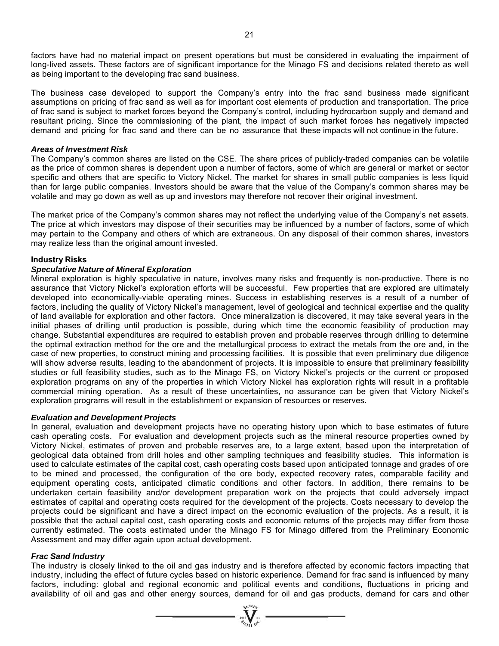factors have had no material impact on present operations but must be considered in evaluating the impairment of long-lived assets. These factors are of significant importance for the Minago FS and decisions related thereto as well as being important to the developing frac sand business.

The business case developed to support the Company's entry into the frac sand business made significant assumptions on pricing of frac sand as well as for important cost elements of production and transportation. The price of frac sand is subject to market forces beyond the Company's control, including hydrocarbon supply and demand and resultant pricing. Since the commissioning of the plant, the impact of such market forces has negatively impacted demand and pricing for frac sand and there can be no assurance that these impacts will not continue in the future.

#### *Areas of Investment Risk*

The Company's common shares are listed on the CSE. The share prices of publicly-traded companies can be volatile as the price of common shares is dependent upon a number of factors, some of which are general or market or sector specific and others that are specific to Victory Nickel. The market for shares in small public companies is less liquid than for large public companies. Investors should be aware that the value of the Company's common shares may be volatile and may go down as well as up and investors may therefore not recover their original investment.

The market price of the Company's common shares may not reflect the underlying value of the Company's net assets. The price at which investors may dispose of their securities may be influenced by a number of factors, some of which may pertain to the Company and others of which are extraneous. On any disposal of their common shares, investors may realize less than the original amount invested.

#### **Industry Risks**

#### *Speculative Nature of Mineral Exploration*

Mineral exploration is highly speculative in nature, involves many risks and frequently is non-productive. There is no assurance that Victory Nickel's exploration efforts will be successful. Few properties that are explored are ultimately developed into economically-viable operating mines. Success in establishing reserves is a result of a number of factors, including the quality of Victory Nickel's management, level of geological and technical expertise and the quality of land available for exploration and other factors. Once mineralization is discovered, it may take several years in the initial phases of drilling until production is possible, during which time the economic feasibility of production may change. Substantial expenditures are required to establish proven and probable reserves through drilling to determine the optimal extraction method for the ore and the metallurgical process to extract the metals from the ore and, in the case of new properties, to construct mining and processing facilities. It is possible that even preliminary due diligence will show adverse results, leading to the abandonment of projects. It is impossible to ensure that preliminary feasibility studies or full feasibility studies, such as to the Minago FS, on Victory Nickel's projects or the current or proposed exploration programs on any of the properties in which Victory Nickel has exploration rights will result in a profitable commercial mining operation. As a result of these uncertainties, no assurance can be given that Victory Nickel's exploration programs will result in the establishment or expansion of resources or reserves.

#### *Evaluation and Development Projects*

In general, evaluation and development projects have no operating history upon which to base estimates of future cash operating costs. For evaluation and development projects such as the mineral resource properties owned by Victory Nickel, estimates of proven and probable reserves are, to a large extent, based upon the interpretation of geological data obtained from drill holes and other sampling techniques and feasibility studies. This information is used to calculate estimates of the capital cost, cash operating costs based upon anticipated tonnage and grades of ore to be mined and processed, the configuration of the ore body, expected recovery rates, comparable facility and equipment operating costs, anticipated climatic conditions and other factors. In addition, there remains to be undertaken certain feasibility and/or development preparation work on the projects that could adversely impact estimates of capital and operating costs required for the development of the projects. Costs necessary to develop the projects could be significant and have a direct impact on the economic evaluation of the projects. As a result, it is possible that the actual capital cost, cash operating costs and economic returns of the projects may differ from those currently estimated. The costs estimated under the Minago FS for Minago differed from the Preliminary Economic Assessment and may differ again upon actual development.

# *Frac Sand Industry*

The industry is closely linked to the oil and gas industry and is therefore affected by economic factors impacting that industry, including the effect of future cycles based on historic experience. Demand for frac sand is influenced by many factors, including: global and regional economic and political events and conditions, fluctuations in pricing and availability of oil and gas and other energy sources, demand for oil and gas products, demand for cars and other

 $\sum_{\substack{m=-\infty\\ \text{with } m=-\infty}}^{\infty}$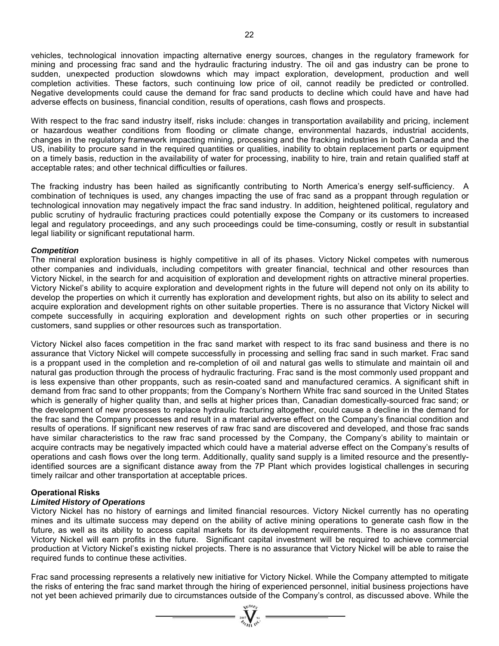vehicles, technological innovation impacting alternative energy sources, changes in the regulatory framework for mining and processing frac sand and the hydraulic fracturing industry. The oil and gas industry can be prone to sudden, unexpected production slowdowns which may impact exploration, development, production and well completion activities. These factors, such continuing low price of oil, cannot readily be predicted or controlled. Negative developments could cause the demand for frac sand products to decline which could have and have had adverse effects on business, financial condition, results of operations, cash flows and prospects.

With respect to the frac sand industry itself, risks include: changes in transportation availability and pricing, inclement or hazardous weather conditions from flooding or climate change, environmental hazards, industrial accidents, changes in the regulatory framework impacting mining, processing and the fracking industries in both Canada and the US, inability to procure sand in the required quantities or qualities, inability to obtain replacement parts or equipment on a timely basis, reduction in the availability of water for processing, inability to hire, train and retain qualified staff at acceptable rates; and other technical difficulties or failures.

The fracking industry has been hailed as significantly contributing to North America's energy self-sufficiency. A combination of techniques is used, any changes impacting the use of frac sand as a proppant through regulation or technological innovation may negatively impact the frac sand industry. In addition, heightened political, regulatory and public scrutiny of hydraulic fracturing practices could potentially expose the Company or its customers to increased legal and regulatory proceedings, and any such proceedings could be time-consuming, costly or result in substantial legal liability or significant reputational harm.

# *Competition*

The mineral exploration business is highly competitive in all of its phases. Victory Nickel competes with numerous other companies and individuals, including competitors with greater financial, technical and other resources than Victory Nickel, in the search for and acquisition of exploration and development rights on attractive mineral properties. Victory Nickel's ability to acquire exploration and development rights in the future will depend not only on its ability to develop the properties on which it currently has exploration and development rights, but also on its ability to select and acquire exploration and development rights on other suitable properties. There is no assurance that Victory Nickel will compete successfully in acquiring exploration and development rights on such other properties or in securing customers, sand supplies or other resources such as transportation.

Victory Nickel also faces competition in the frac sand market with respect to its frac sand business and there is no assurance that Victory Nickel will compete successfully in processing and selling frac sand in such market. Frac sand is a proppant used in the completion and re-completion of oil and natural gas wells to stimulate and maintain oil and natural gas production through the process of hydraulic fracturing. Frac sand is the most commonly used proppant and is less expensive than other proppants, such as resin-coated sand and manufactured ceramics. A significant shift in demand from frac sand to other proppants; from the Company's Northern White frac sand sourced in the United States which is generally of higher quality than, and sells at higher prices than, Canadian domestically-sourced frac sand; or the development of new processes to replace hydraulic fracturing altogether, could cause a decline in the demand for the frac sand the Company processes and result in a material adverse effect on the Company's financial condition and results of operations. If significant new reserves of raw frac sand are discovered and developed, and those frac sands have similar characteristics to the raw frac sand processed by the Company, the Company's ability to maintain or acquire contracts may be negatively impacted which could have a material adverse effect on the Company's results of operations and cash flows over the long term. Additionally, quality sand supply is a limited resource and the presentlyidentified sources are a significant distance away from the 7P Plant which provides logistical challenges in securing timely railcar and other transportation at acceptable prices.

# **Operational Risks**

# *Limited History of Operations*

Victory Nickel has no history of earnings and limited financial resources. Victory Nickel currently has no operating mines and its ultimate success may depend on the ability of active mining operations to generate cash flow in the future, as well as its ability to access capital markets for its development requirements. There is no assurance that Victory Nickel will earn profits in the future. Significant capital investment will be required to achieve commercial production at Victory Nickel's existing nickel projects. There is no assurance that Victory Nickel will be able to raise the required funds to continue these activities.

Frac sand processing represents a relatively new initiative for Victory Nickel. While the Company attempted to mitigate the risks of entering the frac sand market through the hiring of experienced personnel, initial business projections have not yet been achieved primarily due to circumstances outside of the Company's control, as discussed above. While the

 $\sum_{i=1}^{n} \sum_{i=1}^{n}$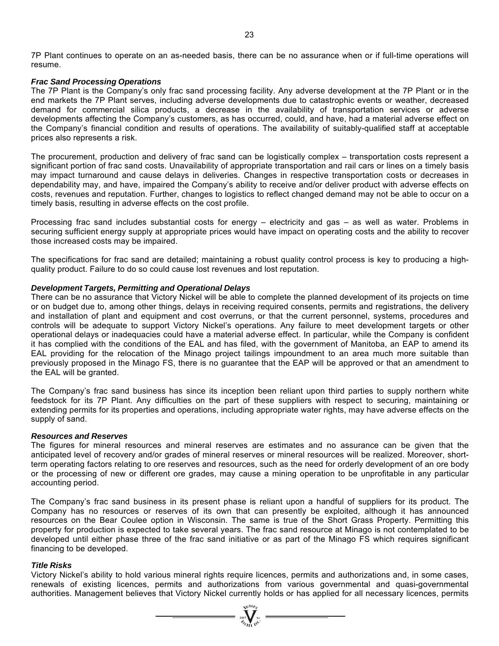7P Plant continues to operate on an as-needed basis, there can be no assurance when or if full-time operations will resume.

#### *Frac Sand Processing Operations*

The 7P Plant is the Company's only frac sand processing facility. Any adverse development at the 7P Plant or in the end markets the 7P Plant serves, including adverse developments due to catastrophic events or weather, decreased demand for commercial silica products, a decrease in the availability of transportation services or adverse developments affecting the Company's customers, as has occurred, could, and have, had a material adverse effect on the Company's financial condition and results of operations. The availability of suitably-qualified staff at acceptable prices also represents a risk.

The procurement, production and delivery of frac sand can be logistically complex – transportation costs represent a significant portion of frac sand costs. Unavailability of appropriate transportation and rail cars or lines on a timely basis may impact turnaround and cause delays in deliveries. Changes in respective transportation costs or decreases in dependability may, and have, impaired the Company's ability to receive and/or deliver product with adverse effects on costs, revenues and reputation. Further, changes to logistics to reflect changed demand may not be able to occur on a timely basis, resulting in adverse effects on the cost profile.

Processing frac sand includes substantial costs for energy – electricity and gas – as well as water. Problems in securing sufficient energy supply at appropriate prices would have impact on operating costs and the ability to recover those increased costs may be impaired.

The specifications for frac sand are detailed; maintaining a robust quality control process is key to producing a highquality product. Failure to do so could cause lost revenues and lost reputation.

# *Development Targets, Permitting and Operational Delays*

There can be no assurance that Victory Nickel will be able to complete the planned development of its projects on time or on budget due to, among other things, delays in receiving required consents, permits and registrations, the delivery and installation of plant and equipment and cost overruns, or that the current personnel, systems, procedures and controls will be adequate to support Victory Nickel's operations. Any failure to meet development targets or other operational delays or inadequacies could have a material adverse effect. In particular, while the Company is confident it has complied with the conditions of the EAL and has filed, with the government of Manitoba, an EAP to amend its EAL providing for the relocation of the Minago project tailings impoundment to an area much more suitable than previously proposed in the Minago FS, there is no guarantee that the EAP will be approved or that an amendment to the EAL will be granted.

The Company's frac sand business has since its inception been reliant upon third parties to supply northern white feedstock for its 7P Plant. Any difficulties on the part of these suppliers with respect to securing, maintaining or extending permits for its properties and operations, including appropriate water rights, may have adverse effects on the supply of sand.

#### *Resources and Reserves*

The figures for mineral resources and mineral reserves are estimates and no assurance can be given that the anticipated level of recovery and/or grades of mineral reserves or mineral resources will be realized. Moreover, shortterm operating factors relating to ore reserves and resources, such as the need for orderly development of an ore body or the processing of new or different ore grades, may cause a mining operation to be unprofitable in any particular accounting period.

The Company's frac sand business in its present phase is reliant upon a handful of suppliers for its product. The Company has no resources or reserves of its own that can presently be exploited, although it has announced resources on the Bear Coulee option in Wisconsin. The same is true of the Short Grass Property. Permitting this property for production is expected to take several years. The frac sand resource at Minago is not contemplated to be developed until either phase three of the frac sand initiative or as part of the Minago FS which requires significant financing to be developed.

# *Title Risks*

Victory Nickel's ability to hold various mineral rights require licences, permits and authorizations and, in some cases, renewals of existing licences, permits and authorizations from various governmental and quasi-governmental authorities. Management believes that Victory Nickel currently holds or has applied for all necessary licences, permits

 $\sum_{\alpha_{\ell m} \atop \alpha_{\ell m} \alpha^{\vee}}^{\infty}$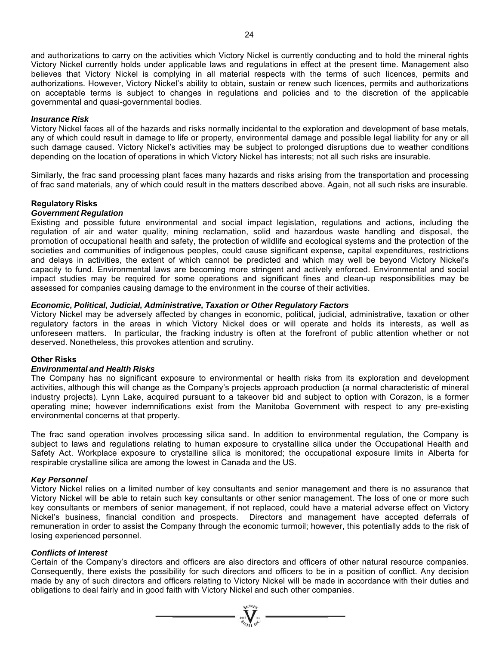and authorizations to carry on the activities which Victory Nickel is currently conducting and to hold the mineral rights Victory Nickel currently holds under applicable laws and regulations in effect at the present time. Management also believes that Victory Nickel is complying in all material respects with the terms of such licences, permits and authorizations. However, Victory Nickel's ability to obtain, sustain or renew such licences, permits and authorizations on acceptable terms is subject to changes in regulations and policies and to the discretion of the applicable governmental and quasi-governmental bodies.

# *Insurance Risk*

Victory Nickel faces all of the hazards and risks normally incidental to the exploration and development of base metals, any of which could result in damage to life or property, environmental damage and possible legal liability for any or all such damage caused. Victory Nickel's activities may be subject to prolonged disruptions due to weather conditions depending on the location of operations in which Victory Nickel has interests; not all such risks are insurable.

Similarly, the frac sand processing plant faces many hazards and risks arising from the transportation and processing of frac sand materials, any of which could result in the matters described above. Again, not all such risks are insurable.

# **Regulatory Risks**

#### *Government Regulation*

Existing and possible future environmental and social impact legislation, regulations and actions, including the regulation of air and water quality, mining reclamation, solid and hazardous waste handling and disposal, the promotion of occupational health and safety, the protection of wildlife and ecological systems and the protection of the societies and communities of indigenous peoples, could cause significant expense, capital expenditures, restrictions and delays in activities, the extent of which cannot be predicted and which may well be beyond Victory Nickel's capacity to fund. Environmental laws are becoming more stringent and actively enforced. Environmental and social impact studies may be required for some operations and significant fines and clean-up responsibilities may be assessed for companies causing damage to the environment in the course of their activities.

#### *Economic, Political, Judicial, Administrative, Taxation or Other Regulatory Factors*

Victory Nickel may be adversely affected by changes in economic, political, judicial, administrative, taxation or other regulatory factors in the areas in which Victory Nickel does or will operate and holds its interests, as well as unforeseen matters. In particular, the fracking industry is often at the forefront of public attention whether or not deserved. Nonetheless, this provokes attention and scrutiny.

#### **Other Risks**

#### *Environmental and Health Risks*

The Company has no significant exposure to environmental or health risks from its exploration and development activities, although this will change as the Company's projects approach production (a normal characteristic of mineral industry projects). Lynn Lake, acquired pursuant to a takeover bid and subject to option with Corazon, is a former operating mine; however indemnifications exist from the Manitoba Government with respect to any pre-existing environmental concerns at that property.

The frac sand operation involves processing silica sand. In addition to environmental regulation, the Company is subject to laws and regulations relating to human exposure to crystalline silica under the Occupational Health and Safety Act. Workplace exposure to crystalline silica is monitored; the occupational exposure limits in Alberta for respirable crystalline silica are among the lowest in Canada and the US.

#### *Key Personnel*

Victory Nickel relies on a limited number of key consultants and senior management and there is no assurance that Victory Nickel will be able to retain such key consultants or other senior management. The loss of one or more such key consultants or members of senior management, if not replaced, could have a material adverse effect on Victory Nickel's business, financial condition and prospects. Directors and management have accepted deferrals of remuneration in order to assist the Company through the economic turmoil; however, this potentially adds to the risk of losing experienced personnel.

#### *Conflicts of Interest*

Certain of the Company's directors and officers are also directors and officers of other natural resource companies. Consequently, there exists the possibility for such directors and officers to be in a position of conflict. Any decision made by any of such directors and officers relating to Victory Nickel will be made in accordance with their duties and obligations to deal fairly and in good faith with Victory Nickel and such other companies.

 $=\sum_{\substack{m=1\\ \text{with } m\in\mathbb{N}}} \sum_{\substack{m=1\\ \text{with } m\in\mathbb{N}}}$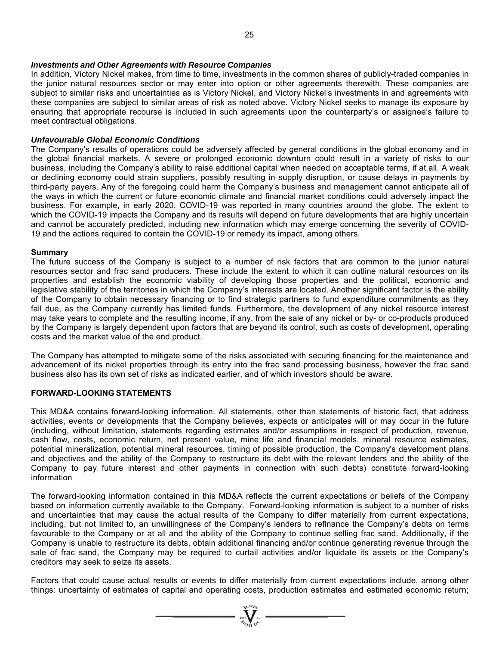#### *Investments and Other Agreements with Resource Companies*

In addition, Victory Nickel makes, from time to time, investments in the common shares of publicly-traded companies in the junior natural resources sector or may enter into option or other agreements therewith. These companies are subject to similar risks and uncertainties as is Victory Nickel, and Victory Nickel's investments in and agreements with these companies are subject to similar areas of risk as noted above. Victory Nickel seeks to manage its exposure by ensuring that appropriate recourse is included in such agreements upon the counterparty's or assignee's failure to meet contractual obligations.

#### *Unfavourable Global Economic Conditions*

The Company's results of operations could be adversely affected by general conditions in the global economy and in the global financial markets. A severe or prolonged economic downturn could result in a variety of risks to our business, including the Company's ability to raise additional capital when needed on acceptable terms, if at all. A weak or declining economy could strain suppliers, possibly resulting in supply disruption, or cause delays in payments by third-party payers. Any of the foregoing could harm the Company's business and management cannot anticipate all of the ways in which the current or future economic climate and financial market conditions could adversely impact the business. For example, in early 2020, COVID-19 was reported in many countries around the globe. The extent to which the COVID-19 impacts the Company and its results will depend on future developments that are highly uncertain and cannot be accurately predicted, including new information which may emerge concerning the severity of COVID-19 and the actions required to contain the COVID-19 or remedy its impact, among others.

#### **Summary**

The future success of the Company is subject to a number of risk factors that are common to the junior natural resources sector and frac sand producers. These include the extent to which it can outline natural resources on its properties and establish the economic viability of developing those properties and the political, economic and legislative stability of the territories in which the Company's interests are located. Another significant factor is the ability of the Company to obtain necessary financing or to find strategic partners to fund expenditure commitments as they fall due, as the Company currently has limited funds. Furthermore, the development of any nickel resource interest may take years to complete and the resulting income, if any, from the sale of any nickel or by- or co-products produced by the Company is largely dependent upon factors that are beyond its control, such as costs of development, operating costs and the market value of the end product.

The Company has attempted to mitigate some of the risks associated with securing financing for the maintenance and advancement of its nickel properties through its entry into the frac sand processing business, however the frac sand business also has its own set of risks as indicated earlier, and of which investors should be aware.

# **FORWARD-LOOKING STATEMENTS**

This MD&A contains forward-looking information. All statements, other than statements of historic fact, that address activities, events or developments that the Company believes, expects or anticipates will or may occur in the future (including, without limitation, statements regarding estimates and/or assumptions in respect of production, revenue, cash flow, costs, economic return, net present value, mine life and financial models, mineral resource estimates, potential mineralization, potential mineral resources, timing of possible production, the Company's development plans and objectives and the ability of the Company to restructure its debt with the relevant lenders and the ability of the Company to pay future interest and other payments in connection with such debts) constitute forward-looking information

The forward-looking information contained in this MD&A reflects the current expectations or beliefs of the Company based on information currently available to the Company. Forward-looking information is subject to a number of risks and uncertainties that may cause the actual results of the Company to differ materially from current expectations, including, but not limited to, an unwillingness of the Company's lenders to refinance the Company's debts on terms favourable to the Company or at all and the ability of the Company to continue selling frac sand. Additionally, if the Company is unable to restructure its debts, obtain additional financing and/or continue generating revenue through the sale of frac sand, the Company may be required to curtail activities and/or liquidate its assets or the Company's creditors may seek to seize its assets.

Factors that could cause actual results or events to differ materially from current expectations include, among other things: uncertainty of estimates of capital and operating costs, production estimates and estimated economic return;

 $\sum_{\alpha}$